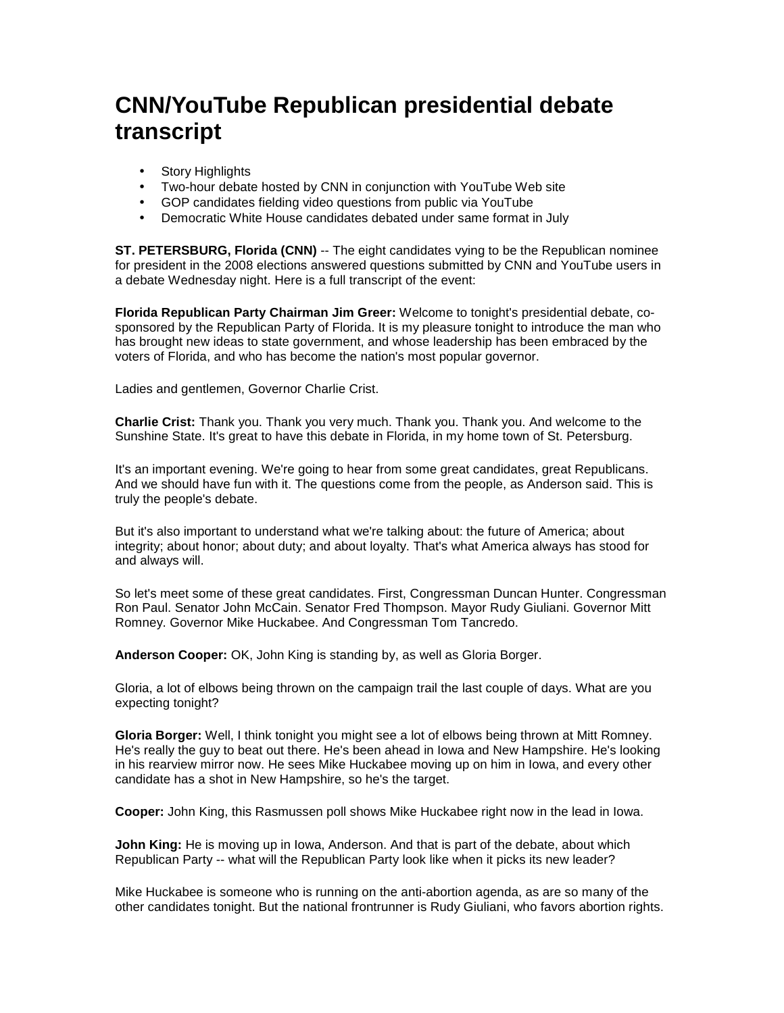# **CNN/YouTube Republican presidential debate transcript**

- Story Highlights
- Two-hour debate hosted by CNN in conjunction with YouTube Web site
- GOP candidates fielding video questions from public via YouTube
- Democratic White House candidates debated under same format in July

**ST. PETERSBURG, Florida (CNN)** -- The eight candidates vying to be the Republican nominee for president in the 2008 elections answered questions submitted by CNN and YouTube users in a debate Wednesday night. Here is a full transcript of the event:

**Florida Republican Party Chairman Jim Greer:** Welcome to tonight's presidential debate, cosponsored by the Republican Party of Florida. It is my pleasure tonight to introduce the man who has brought new ideas to state government, and whose leadership has been embraced by the voters of Florida, and who has become the nation's most popular governor.

Ladies and gentlemen, Governor Charlie Crist.

**Charlie Crist:** Thank you. Thank you very much. Thank you. Thank you. And welcome to the Sunshine State. It's great to have this debate in Florida, in my home town of St. Petersburg.

It's an important evening. We're going to hear from some great candidates, great Republicans. And we should have fun with it. The questions come from the people, as Anderson said. This is truly the people's debate.

But it's also important to understand what we're talking about: the future of America; about integrity; about honor; about duty; and about loyalty. That's what America always has stood for and always will.

So let's meet some of these great candidates. First, Congressman Duncan Hunter. Congressman Ron Paul. Senator John McCain. Senator Fred Thompson. Mayor Rudy Giuliani. Governor Mitt Romney. Governor Mike Huckabee. And Congressman Tom Tancredo.

**Anderson Cooper:** OK, John King is standing by, as well as Gloria Borger.

Gloria, a lot of elbows being thrown on the campaign trail the last couple of days. What are you expecting tonight?

**Gloria Borger:** Well, I think tonight you might see a lot of elbows being thrown at Mitt Romney. He's really the guy to beat out there. He's been ahead in Iowa and New Hampshire. He's looking in his rearview mirror now. He sees Mike Huckabee moving up on him in Iowa, and every other candidate has a shot in New Hampshire, so he's the target.

**Cooper:** John King, this Rasmussen poll shows Mike Huckabee right now in the lead in Iowa.

**John King:** He is moving up in Iowa, Anderson. And that is part of the debate, about which Republican Party -- what will the Republican Party look like when it picks its new leader?

Mike Huckabee is someone who is running on the anti-abortion agenda, as are so many of the other candidates tonight. But the national frontrunner is Rudy Giuliani, who favors abortion rights.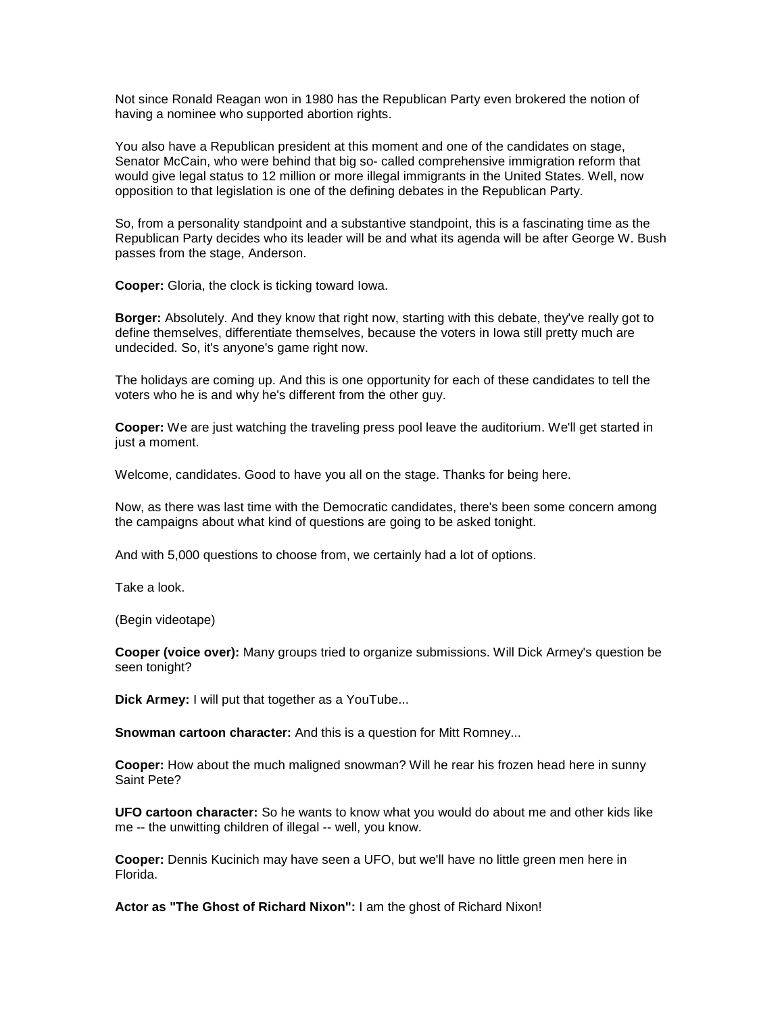Not since Ronald Reagan won in 1980 has the Republican Party even brokered the notion of having a nominee who supported abortion rights.

You also have a Republican president at this moment and one of the candidates on stage, Senator McCain, who were behind that big so- called comprehensive immigration reform that would give legal status to 12 million or more illegal immigrants in the United States. Well, now opposition to that legislation is one of the defining debates in the Republican Party.

So, from a personality standpoint and a substantive standpoint, this is a fascinating time as the Republican Party decides who its leader will be and what its agenda will be after George W. Bush passes from the stage, Anderson.

**Cooper:** Gloria, the clock is ticking toward Iowa.

**Borger:** Absolutely. And they know that right now, starting with this debate, they've really got to define themselves, differentiate themselves, because the voters in Iowa still pretty much are undecided. So, it's anyone's game right now.

The holidays are coming up. And this is one opportunity for each of these candidates to tell the voters who he is and why he's different from the other guy.

**Cooper:** We are just watching the traveling press pool leave the auditorium. We'll get started in just a moment.

Welcome, candidates. Good to have you all on the stage. Thanks for being here.

Now, as there was last time with the Democratic candidates, there's been some concern among the campaigns about what kind of questions are going to be asked tonight.

And with 5,000 questions to choose from, we certainly had a lot of options.

Take a look.

(Begin videotape)

**Cooper (voice over):** Many groups tried to organize submissions. Will Dick Armey's question be seen tonight?

**Dick Armey:** I will put that together as a YouTube...

**Snowman cartoon character:** And this is a question for Mitt Romney...

**Cooper:** How about the much maligned snowman? Will he rear his frozen head here in sunny Saint Pete?

**UFO cartoon character:** So he wants to know what you would do about me and other kids like me -- the unwitting children of illegal -- well, you know.

**Cooper:** Dennis Kucinich may have seen a UFO, but we'll have no little green men here in Florida.

**Actor as "The Ghost of Richard Nixon":** I am the ghost of Richard Nixon!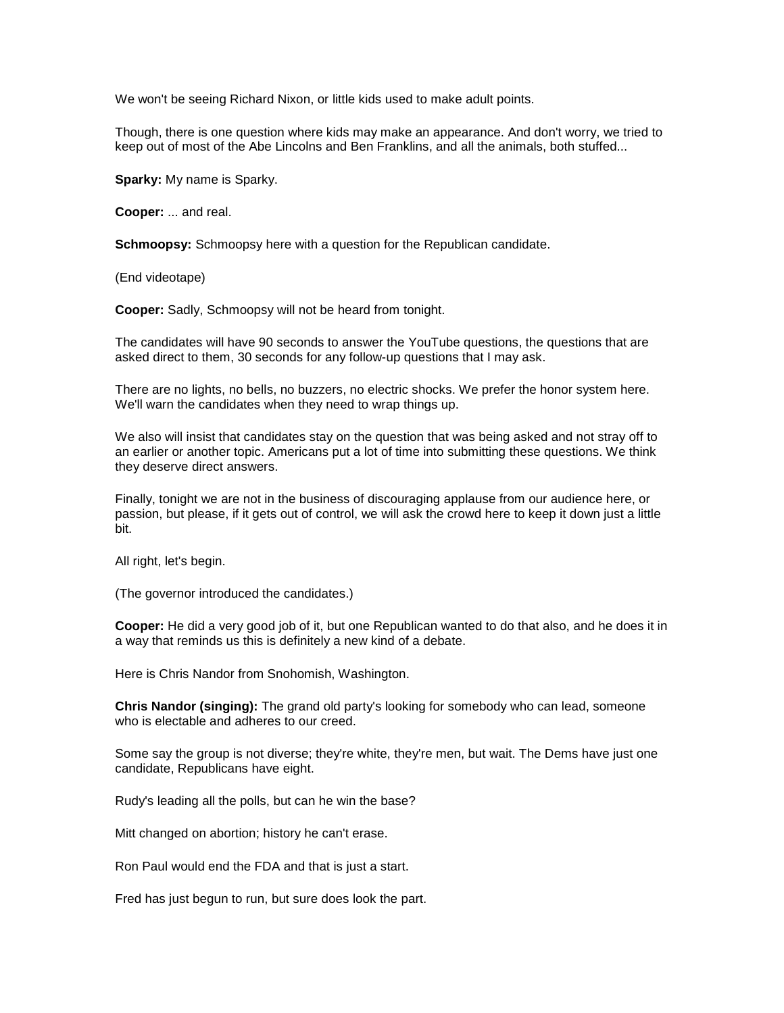We won't be seeing Richard Nixon, or little kids used to make adult points.

Though, there is one question where kids may make an appearance. And don't worry, we tried to keep out of most of the Abe Lincolns and Ben Franklins, and all the animals, both stuffed...

**Sparky:** My name is Sparky.

**Cooper:** ... and real.

**Schmoopsy:** Schmoopsy here with a question for the Republican candidate.

(End videotape)

**Cooper:** Sadly, Schmoopsy will not be heard from tonight.

The candidates will have 90 seconds to answer the YouTube questions, the questions that are asked direct to them, 30 seconds for any follow-up questions that I may ask.

There are no lights, no bells, no buzzers, no electric shocks. We prefer the honor system here. We'll warn the candidates when they need to wrap things up.

We also will insist that candidates stay on the question that was being asked and not stray off to an earlier or another topic. Americans put a lot of time into submitting these questions. We think they deserve direct answers.

Finally, tonight we are not in the business of discouraging applause from our audience here, or passion, but please, if it gets out of control, we will ask the crowd here to keep it down just a little bit.

All right, let's begin.

(The governor introduced the candidates.)

**Cooper:** He did a very good job of it, but one Republican wanted to do that also, and he does it in a way that reminds us this is definitely a new kind of a debate.

Here is Chris Nandor from Snohomish, Washington.

**Chris Nandor (singing):** The grand old party's looking for somebody who can lead, someone who is electable and adheres to our creed.

Some say the group is not diverse; they're white, they're men, but wait. The Dems have just one candidate, Republicans have eight.

Rudy's leading all the polls, but can he win the base?

Mitt changed on abortion; history he can't erase.

Ron Paul would end the FDA and that is just a start.

Fred has just begun to run, but sure does look the part.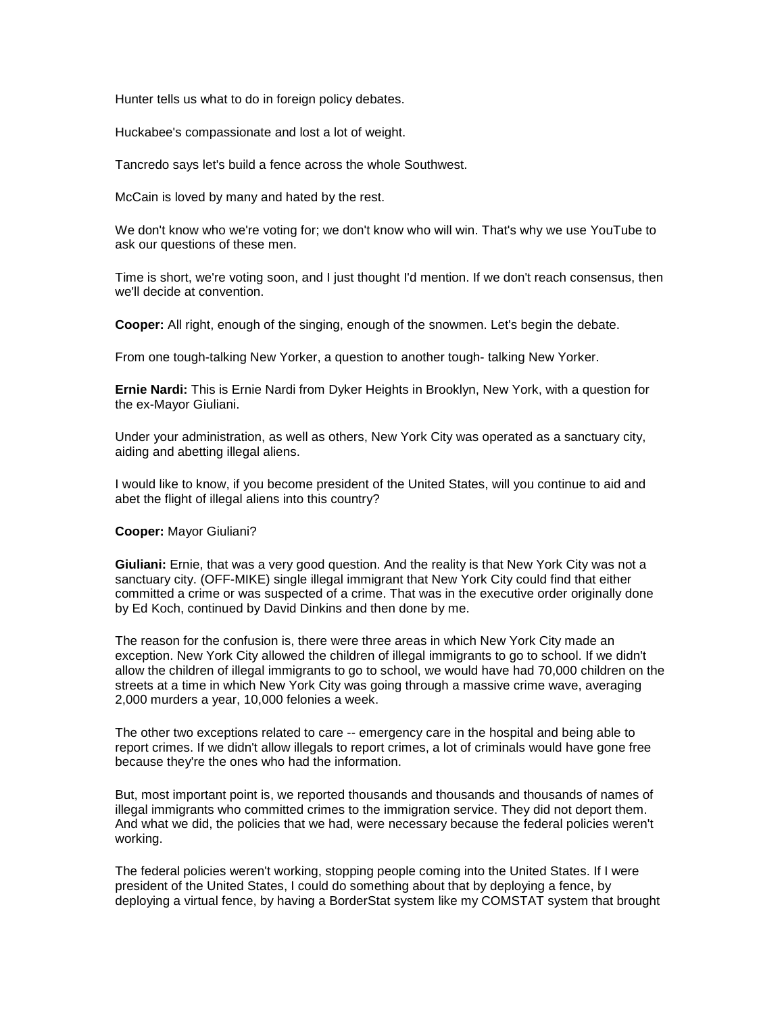Hunter tells us what to do in foreign policy debates.

Huckabee's compassionate and lost a lot of weight.

Tancredo says let's build a fence across the whole Southwest.

McCain is loved by many and hated by the rest.

We don't know who we're voting for; we don't know who will win. That's why we use YouTube to ask our questions of these men.

Time is short, we're voting soon, and I just thought I'd mention. If we don't reach consensus, then we'll decide at convention.

**Cooper:** All right, enough of the singing, enough of the snowmen. Let's begin the debate.

From one tough-talking New Yorker, a question to another tough- talking New Yorker.

**Ernie Nardi:** This is Ernie Nardi from Dyker Heights in Brooklyn, New York, with a question for the ex-Mayor Giuliani.

Under your administration, as well as others, New York City was operated as a sanctuary city, aiding and abetting illegal aliens.

I would like to know, if you become president of the United States, will you continue to aid and abet the flight of illegal aliens into this country?

#### **Cooper:** Mayor Giuliani?

**Giuliani:** Ernie, that was a very good question. And the reality is that New York City was not a sanctuary city. (OFF-MIKE) single illegal immigrant that New York City could find that either committed a crime or was suspected of a crime. That was in the executive order originally done by Ed Koch, continued by David Dinkins and then done by me.

The reason for the confusion is, there were three areas in which New York City made an exception. New York City allowed the children of illegal immigrants to go to school. If we didn't allow the children of illegal immigrants to go to school, we would have had 70,000 children on the streets at a time in which New York City was going through a massive crime wave, averaging 2,000 murders a year, 10,000 felonies a week.

The other two exceptions related to care -- emergency care in the hospital and being able to report crimes. If we didn't allow illegals to report crimes, a lot of criminals would have gone free because they're the ones who had the information.

But, most important point is, we reported thousands and thousands and thousands of names of illegal immigrants who committed crimes to the immigration service. They did not deport them. And what we did, the policies that we had, were necessary because the federal policies weren't working.

The federal policies weren't working, stopping people coming into the United States. If I were president of the United States, I could do something about that by deploying a fence, by deploying a virtual fence, by having a BorderStat system like my COMSTAT system that brought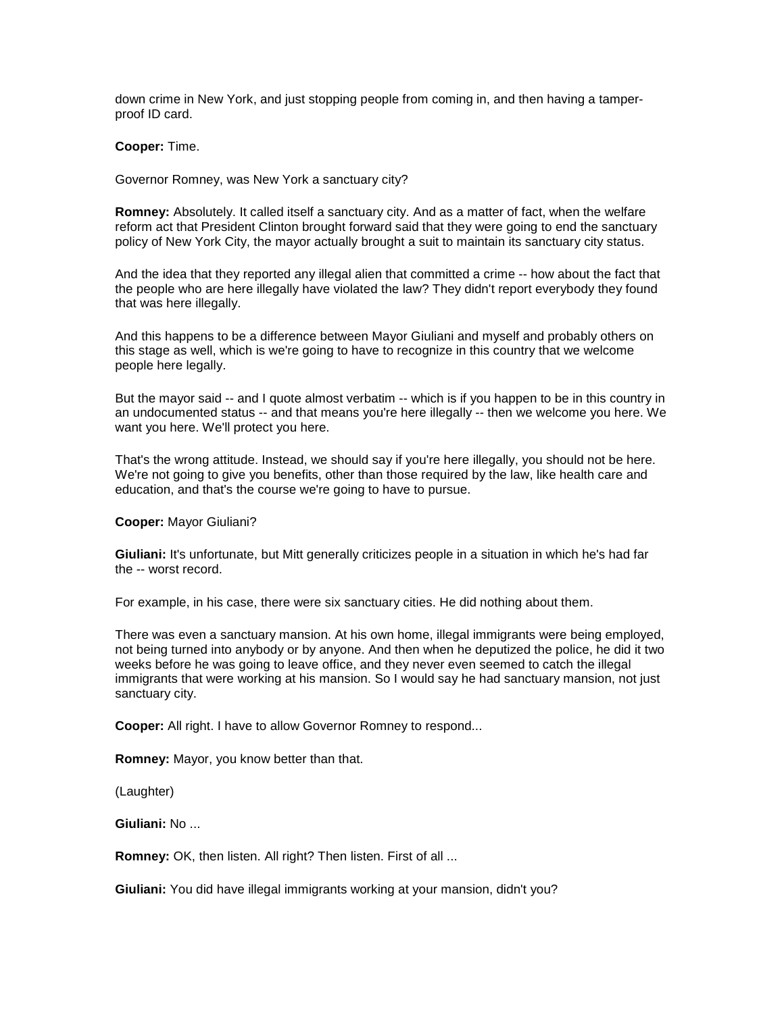down crime in New York, and just stopping people from coming in, and then having a tamperproof ID card.

**Cooper:** Time.

Governor Romney, was New York a sanctuary city?

**Romney:** Absolutely. It called itself a sanctuary city. And as a matter of fact, when the welfare reform act that President Clinton brought forward said that they were going to end the sanctuary policy of New York City, the mayor actually brought a suit to maintain its sanctuary city status.

And the idea that they reported any illegal alien that committed a crime -- how about the fact that the people who are here illegally have violated the law? They didn't report everybody they found that was here illegally.

And this happens to be a difference between Mayor Giuliani and myself and probably others on this stage as well, which is we're going to have to recognize in this country that we welcome people here legally.

But the mayor said -- and I quote almost verbatim -- which is if you happen to be in this country in an undocumented status -- and that means you're here illegally -- then we welcome you here. We want you here. We'll protect you here.

That's the wrong attitude. Instead, we should say if you're here illegally, you should not be here. We're not going to give you benefits, other than those required by the law, like health care and education, and that's the course we're going to have to pursue.

**Cooper:** Mayor Giuliani?

**Giuliani:** It's unfortunate, but Mitt generally criticizes people in a situation in which he's had far the -- worst record.

For example, in his case, there were six sanctuary cities. He did nothing about them.

There was even a sanctuary mansion. At his own home, illegal immigrants were being employed, not being turned into anybody or by anyone. And then when he deputized the police, he did it two weeks before he was going to leave office, and they never even seemed to catch the illegal immigrants that were working at his mansion. So I would say he had sanctuary mansion, not just sanctuary city.

**Cooper:** All right. I have to allow Governor Romney to respond...

**Romney:** Mayor, you know better than that.

(Laughter)

**Giuliani:** No ...

**Romney:** OK, then listen. All right? Then listen. First of all ...

**Giuliani:** You did have illegal immigrants working at your mansion, didn't you?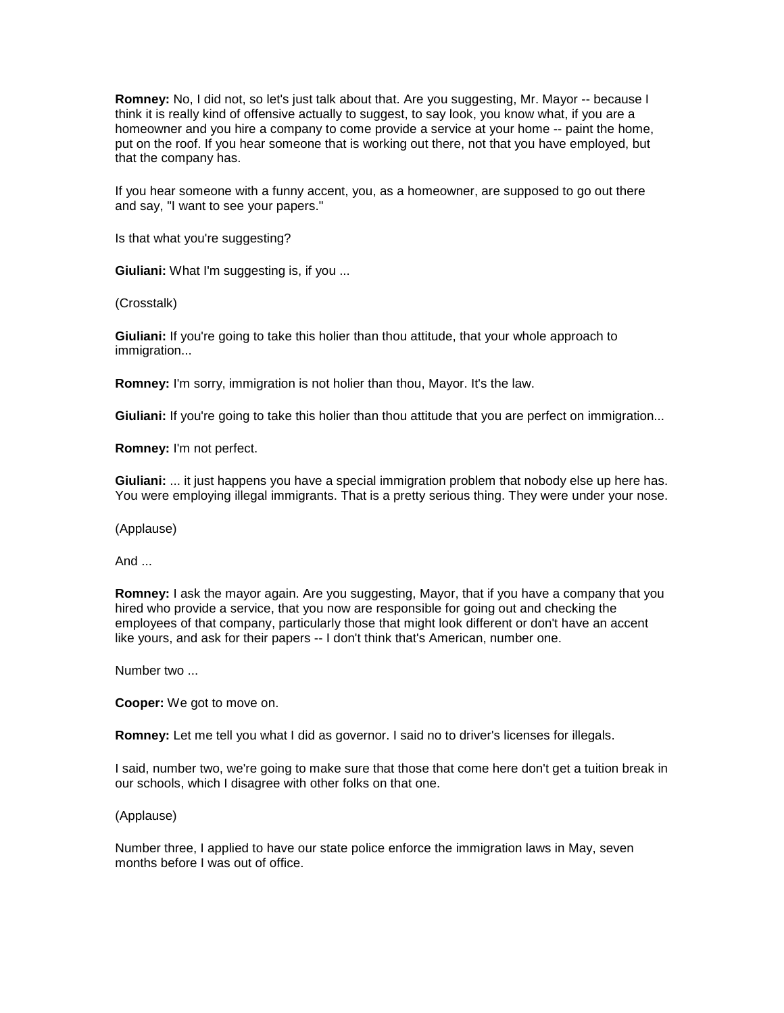**Romney:** No, I did not, so let's just talk about that. Are you suggesting, Mr. Mayor -- because I think it is really kind of offensive actually to suggest, to say look, you know what, if you are a homeowner and you hire a company to come provide a service at your home -- paint the home, put on the roof. If you hear someone that is working out there, not that you have employed, but that the company has.

If you hear someone with a funny accent, you, as a homeowner, are supposed to go out there and say, "I want to see your papers."

Is that what you're suggesting?

**Giuliani:** What I'm suggesting is, if you ...

(Crosstalk)

**Giuliani:** If you're going to take this holier than thou attitude, that your whole approach to immigration...

**Romney:** I'm sorry, immigration is not holier than thou, Mayor. It's the law.

**Giuliani:** If you're going to take this holier than thou attitude that you are perfect on immigration...

**Romney:** I'm not perfect.

**Giuliani:** ... it just happens you have a special immigration problem that nobody else up here has. You were employing illegal immigrants. That is a pretty serious thing. They were under your nose.

(Applause)

And ...

**Romney:** I ask the mayor again. Are you suggesting, Mayor, that if you have a company that you hired who provide a service, that you now are responsible for going out and checking the employees of that company, particularly those that might look different or don't have an accent like yours, and ask for their papers -- I don't think that's American, number one.

Number two ...

**Cooper:** We got to move on.

**Romney:** Let me tell you what I did as governor. I said no to driver's licenses for illegals.

I said, number two, we're going to make sure that those that come here don't get a tuition break in our schools, which I disagree with other folks on that one.

(Applause)

Number three, I applied to have our state police enforce the immigration laws in May, seven months before I was out of office.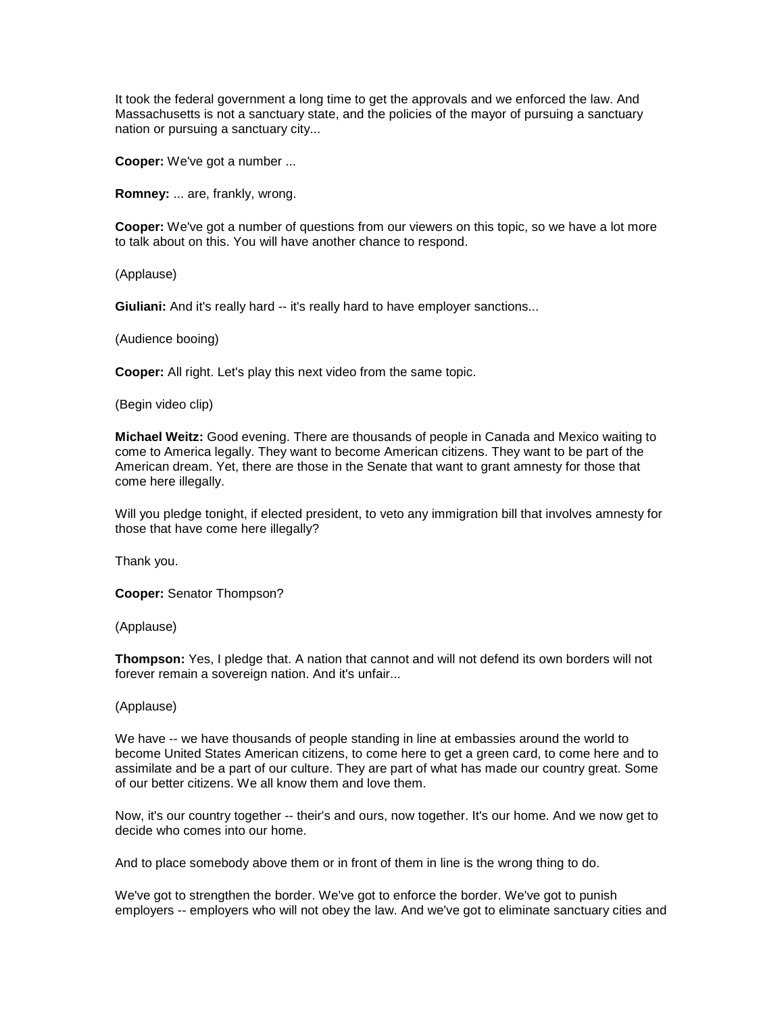It took the federal government a long time to get the approvals and we enforced the law. And Massachusetts is not a sanctuary state, and the policies of the mayor of pursuing a sanctuary nation or pursuing a sanctuary city...

**Cooper:** We've got a number ...

**Romney:** ... are, frankly, wrong.

**Cooper:** We've got a number of questions from our viewers on this topic, so we have a lot more to talk about on this. You will have another chance to respond.

(Applause)

**Giuliani:** And it's really hard -- it's really hard to have employer sanctions...

(Audience booing)

**Cooper:** All right. Let's play this next video from the same topic.

(Begin video clip)

**Michael Weitz:** Good evening. There are thousands of people in Canada and Mexico waiting to come to America legally. They want to become American citizens. They want to be part of the American dream. Yet, there are those in the Senate that want to grant amnesty for those that come here illegally.

Will you pledge tonight, if elected president, to veto any immigration bill that involves amnesty for those that have come here illegally?

Thank you.

**Cooper:** Senator Thompson?

(Applause)

**Thompson:** Yes, I pledge that. A nation that cannot and will not defend its own borders will not forever remain a sovereign nation. And it's unfair...

#### (Applause)

We have -- we have thousands of people standing in line at embassies around the world to become United States American citizens, to come here to get a green card, to come here and to assimilate and be a part of our culture. They are part of what has made our country great. Some of our better citizens. We all know them and love them.

Now, it's our country together -- their's and ours, now together. It's our home. And we now get to decide who comes into our home.

And to place somebody above them or in front of them in line is the wrong thing to do.

We've got to strengthen the border. We've got to enforce the border. We've got to punish employers -- employers who will not obey the law. And we've got to eliminate sanctuary cities and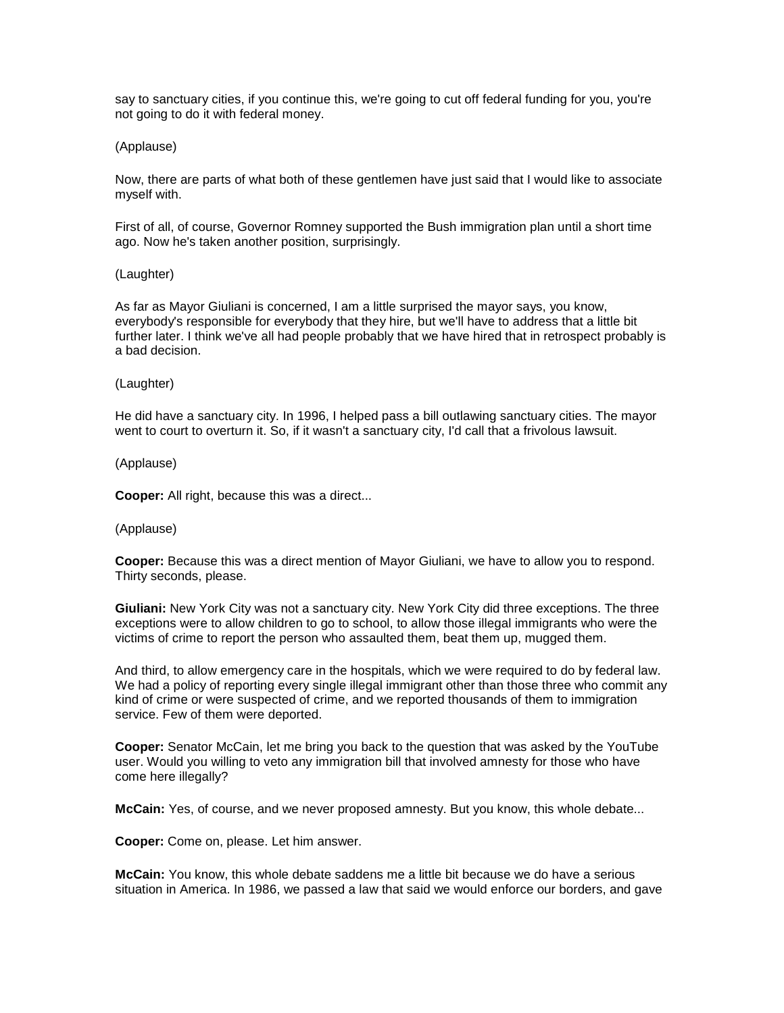say to sanctuary cities, if you continue this, we're going to cut off federal funding for you, you're not going to do it with federal money.

## (Applause)

Now, there are parts of what both of these gentlemen have just said that I would like to associate myself with.

First of all, of course, Governor Romney supported the Bush immigration plan until a short time ago. Now he's taken another position, surprisingly.

#### (Laughter)

As far as Mayor Giuliani is concerned, I am a little surprised the mayor says, you know, everybody's responsible for everybody that they hire, but we'll have to address that a little bit further later. I think we've all had people probably that we have hired that in retrospect probably is a bad decision.

## (Laughter)

He did have a sanctuary city. In 1996, I helped pass a bill outlawing sanctuary cities. The mayor went to court to overturn it. So, if it wasn't a sanctuary city, I'd call that a frivolous lawsuit.

## (Applause)

**Cooper:** All right, because this was a direct...

# (Applause)

**Cooper:** Because this was a direct mention of Mayor Giuliani, we have to allow you to respond. Thirty seconds, please.

**Giuliani:** New York City was not a sanctuary city. New York City did three exceptions. The three exceptions were to allow children to go to school, to allow those illegal immigrants who were the victims of crime to report the person who assaulted them, beat them up, mugged them.

And third, to allow emergency care in the hospitals, which we were required to do by federal law. We had a policy of reporting every single illegal immigrant other than those three who commit any kind of crime or were suspected of crime, and we reported thousands of them to immigration service. Few of them were deported.

**Cooper:** Senator McCain, let me bring you back to the question that was asked by the YouTube user. Would you willing to veto any immigration bill that involved amnesty for those who have come here illegally?

**McCain:** Yes, of course, and we never proposed amnesty. But you know, this whole debate...

**Cooper:** Come on, please. Let him answer.

**McCain:** You know, this whole debate saddens me a little bit because we do have a serious situation in America. In 1986, we passed a law that said we would enforce our borders, and gave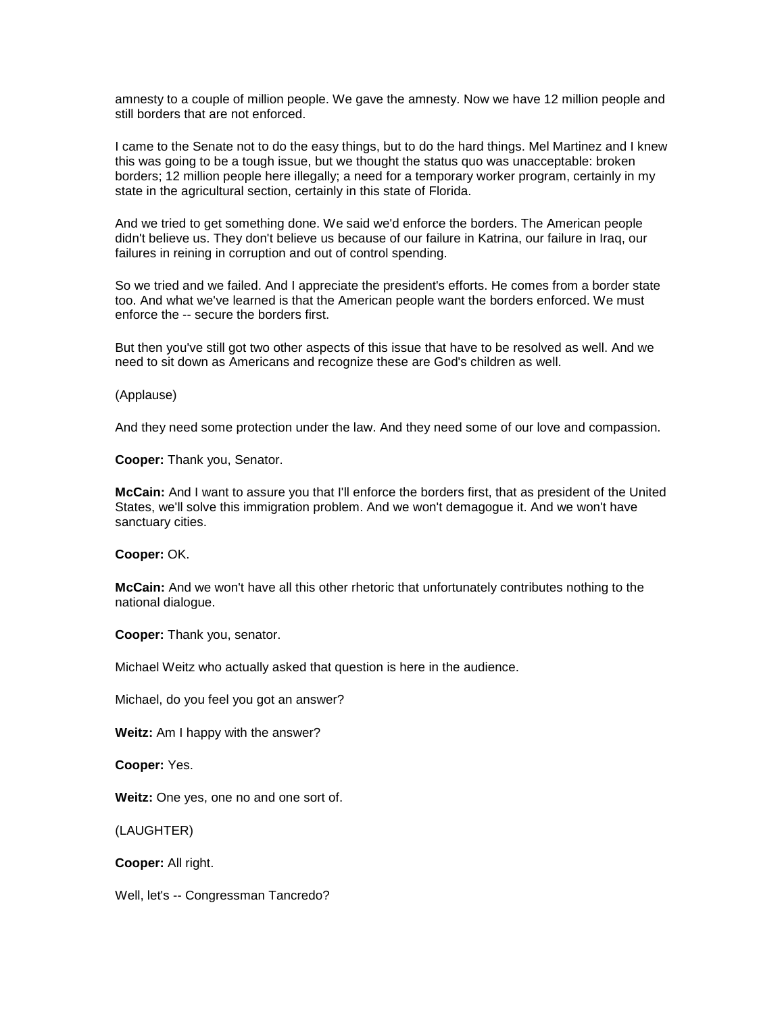amnesty to a couple of million people. We gave the amnesty. Now we have 12 million people and still borders that are not enforced.

I came to the Senate not to do the easy things, but to do the hard things. Mel Martinez and I knew this was going to be a tough issue, but we thought the status quo was unacceptable: broken borders; 12 million people here illegally; a need for a temporary worker program, certainly in my state in the agricultural section, certainly in this state of Florida.

And we tried to get something done. We said we'd enforce the borders. The American people didn't believe us. They don't believe us because of our failure in Katrina, our failure in Iraq, our failures in reining in corruption and out of control spending.

So we tried and we failed. And I appreciate the president's efforts. He comes from a border state too. And what we've learned is that the American people want the borders enforced. We must enforce the -- secure the borders first.

But then you've still got two other aspects of this issue that have to be resolved as well. And we need to sit down as Americans and recognize these are God's children as well.

(Applause)

And they need some protection under the law. And they need some of our love and compassion.

**Cooper:** Thank you, Senator.

**McCain:** And I want to assure you that I'll enforce the borders first, that as president of the United States, we'll solve this immigration problem. And we won't demagogue it. And we won't have sanctuary cities.

**Cooper:** OK.

**McCain:** And we won't have all this other rhetoric that unfortunately contributes nothing to the national dialogue.

**Cooper:** Thank you, senator.

Michael Weitz who actually asked that question is here in the audience.

Michael, do you feel you got an answer?

**Weitz:** Am I happy with the answer?

**Cooper:** Yes.

**Weitz:** One yes, one no and one sort of.

(LAUGHTER)

**Cooper:** All right.

Well, let's -- Congressman Tancredo?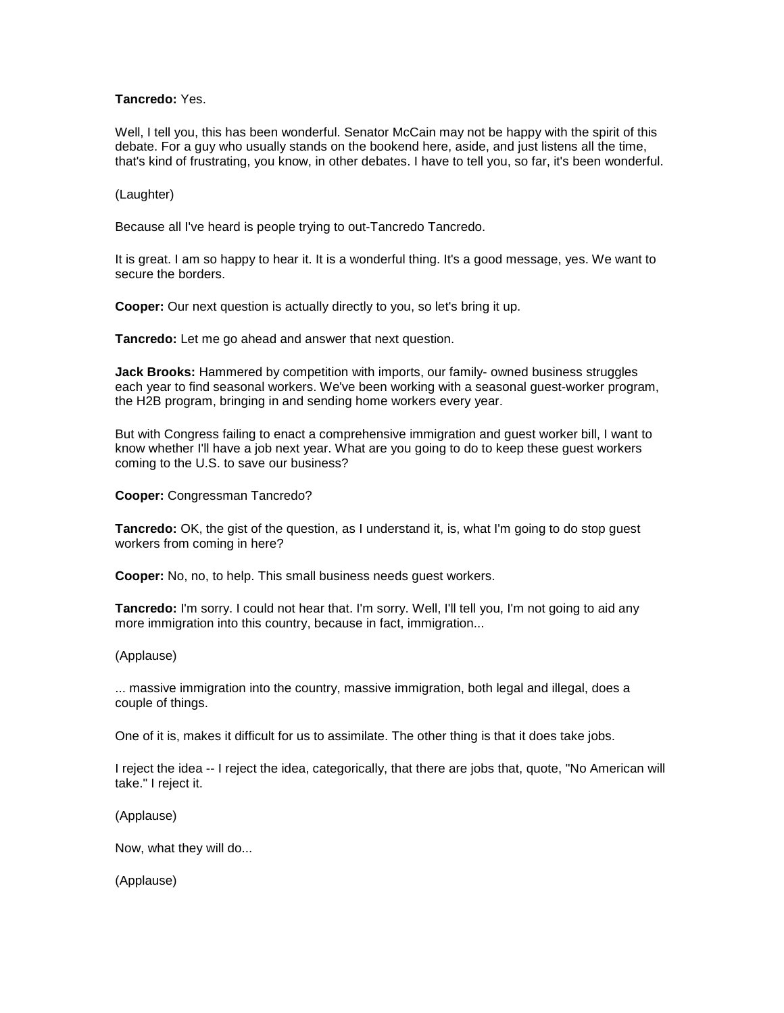# **Tancredo:** Yes.

Well, I tell you, this has been wonderful. Senator McCain may not be happy with the spirit of this debate. For a guy who usually stands on the bookend here, aside, and just listens all the time, that's kind of frustrating, you know, in other debates. I have to tell you, so far, it's been wonderful.

# (Laughter)

Because all I've heard is people trying to out-Tancredo Tancredo.

It is great. I am so happy to hear it. It is a wonderful thing. It's a good message, yes. We want to secure the borders.

**Cooper:** Our next question is actually directly to you, so let's bring it up.

**Tancredo:** Let me go ahead and answer that next question.

**Jack Brooks:** Hammered by competition with imports, our family- owned business struggles each year to find seasonal workers. We've been working with a seasonal guest-worker program, the H2B program, bringing in and sending home workers every year.

But with Congress failing to enact a comprehensive immigration and guest worker bill, I want to know whether I'll have a job next year. What are you going to do to keep these guest workers coming to the U.S. to save our business?

**Cooper:** Congressman Tancredo?

**Tancredo:** OK, the gist of the question, as I understand it, is, what I'm going to do stop guest workers from coming in here?

**Cooper:** No, no, to help. This small business needs guest workers.

**Tancredo:** I'm sorry. I could not hear that. I'm sorry. Well, I'll tell you, I'm not going to aid any more immigration into this country, because in fact, immigration...

# (Applause)

... massive immigration into the country, massive immigration, both legal and illegal, does a couple of things.

One of it is, makes it difficult for us to assimilate. The other thing is that it does take jobs.

I reject the idea -- I reject the idea, categorically, that there are jobs that, quote, "No American will take." I reject it.

(Applause)

Now, what they will do...

(Applause)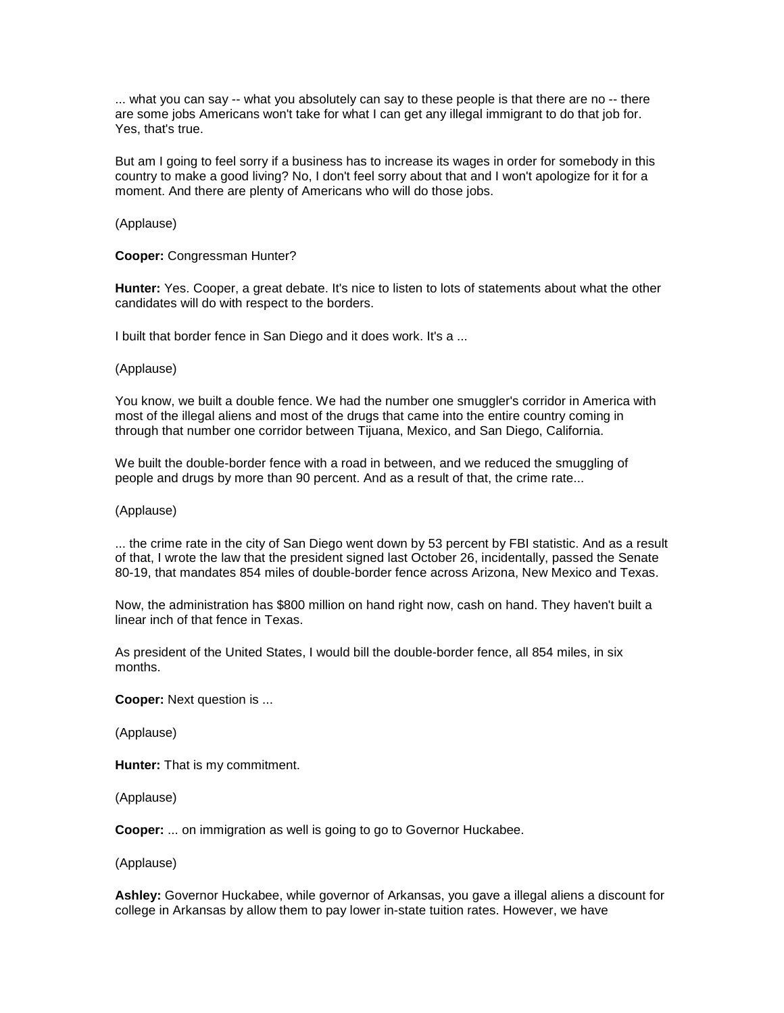... what you can say -- what you absolutely can say to these people is that there are no -- there are some jobs Americans won't take for what I can get any illegal immigrant to do that job for. Yes, that's true.

But am I going to feel sorry if a business has to increase its wages in order for somebody in this country to make a good living? No, I don't feel sorry about that and I won't apologize for it for a moment. And there are plenty of Americans who will do those jobs.

(Applause)

**Cooper:** Congressman Hunter?

**Hunter:** Yes. Cooper, a great debate. It's nice to listen to lots of statements about what the other candidates will do with respect to the borders.

I built that border fence in San Diego and it does work. It's a ...

(Applause)

You know, we built a double fence. We had the number one smuggler's corridor in America with most of the illegal aliens and most of the drugs that came into the entire country coming in through that number one corridor between Tijuana, Mexico, and San Diego, California.

We built the double-border fence with a road in between, and we reduced the smuggling of people and drugs by more than 90 percent. And as a result of that, the crime rate...

(Applause)

... the crime rate in the city of San Diego went down by 53 percent by FBI statistic. And as a result of that, I wrote the law that the president signed last October 26, incidentally, passed the Senate 80-19, that mandates 854 miles of double-border fence across Arizona, New Mexico and Texas.

Now, the administration has \$800 million on hand right now, cash on hand. They haven't built a linear inch of that fence in Texas.

As president of the United States, I would bill the double-border fence, all 854 miles, in six months.

**Cooper:** Next question is ...

(Applause)

**Hunter:** That is my commitment.

(Applause)

**Cooper:** ... on immigration as well is going to go to Governor Huckabee.

(Applause)

**Ashley:** Governor Huckabee, while governor of Arkansas, you gave a illegal aliens a discount for college in Arkansas by allow them to pay lower in-state tuition rates. However, we have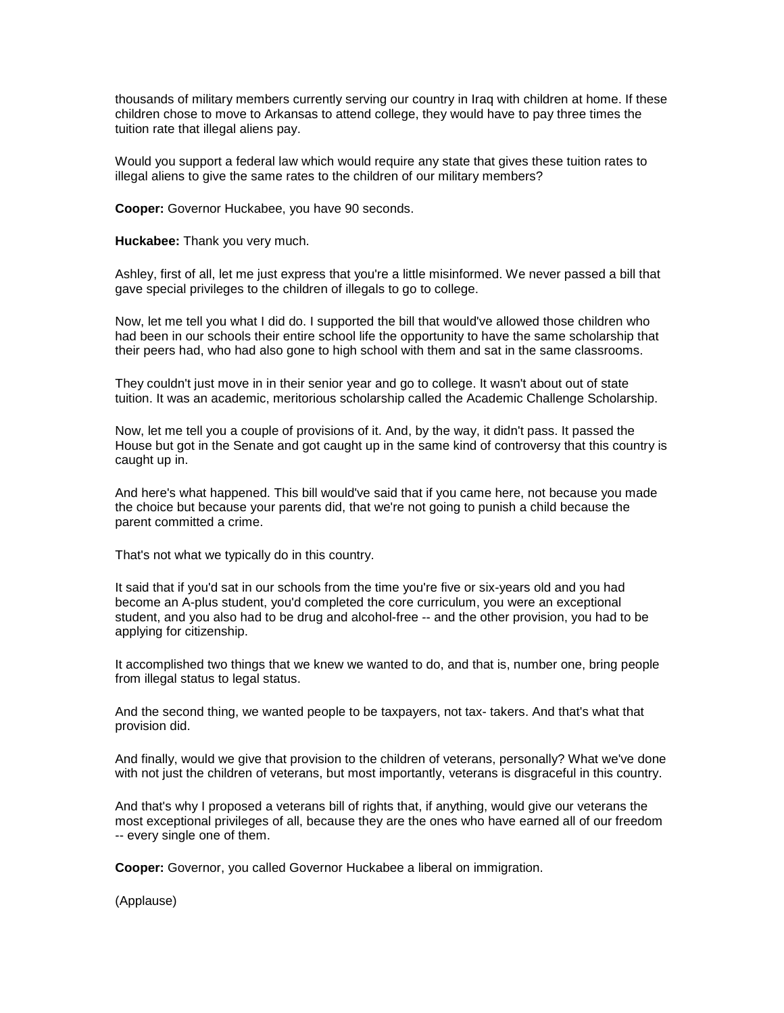thousands of military members currently serving our country in Iraq with children at home. If these children chose to move to Arkansas to attend college, they would have to pay three times the tuition rate that illegal aliens pay.

Would you support a federal law which would require any state that gives these tuition rates to illegal aliens to give the same rates to the children of our military members?

**Cooper:** Governor Huckabee, you have 90 seconds.

**Huckabee:** Thank you very much.

Ashley, first of all, let me just express that you're a little misinformed. We never passed a bill that gave special privileges to the children of illegals to go to college.

Now, let me tell you what I did do. I supported the bill that would've allowed those children who had been in our schools their entire school life the opportunity to have the same scholarship that their peers had, who had also gone to high school with them and sat in the same classrooms.

They couldn't just move in in their senior year and go to college. It wasn't about out of state tuition. It was an academic, meritorious scholarship called the Academic Challenge Scholarship.

Now, let me tell you a couple of provisions of it. And, by the way, it didn't pass. It passed the House but got in the Senate and got caught up in the same kind of controversy that this country is caught up in.

And here's what happened. This bill would've said that if you came here, not because you made the choice but because your parents did, that we're not going to punish a child because the parent committed a crime.

That's not what we typically do in this country.

It said that if you'd sat in our schools from the time you're five or six-years old and you had become an A-plus student, you'd completed the core curriculum, you were an exceptional student, and you also had to be drug and alcohol-free -- and the other provision, you had to be applying for citizenship.

It accomplished two things that we knew we wanted to do, and that is, number one, bring people from illegal status to legal status.

And the second thing, we wanted people to be taxpayers, not tax- takers. And that's what that provision did.

And finally, would we give that provision to the children of veterans, personally? What we've done with not just the children of veterans, but most importantly, veterans is disgraceful in this country.

And that's why I proposed a veterans bill of rights that, if anything, would give our veterans the most exceptional privileges of all, because they are the ones who have earned all of our freedom -- every single one of them.

**Cooper:** Governor, you called Governor Huckabee a liberal on immigration.

(Applause)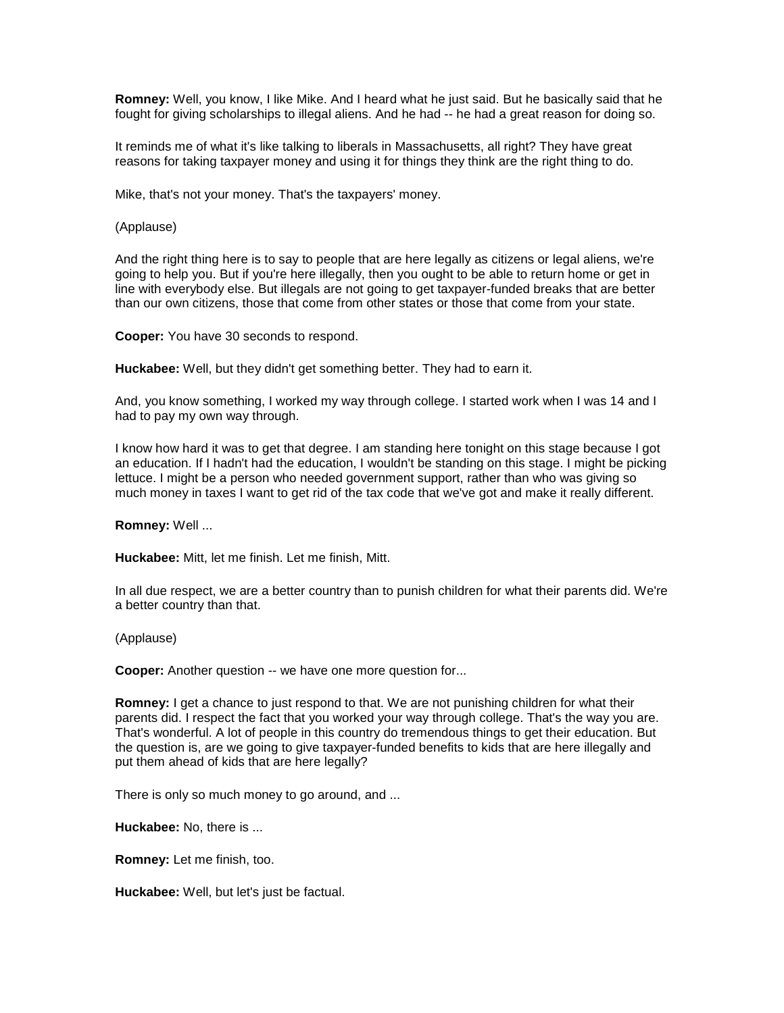**Romney:** Well, you know, I like Mike. And I heard what he just said. But he basically said that he fought for giving scholarships to illegal aliens. And he had -- he had a great reason for doing so.

It reminds me of what it's like talking to liberals in Massachusetts, all right? They have great reasons for taking taxpayer money and using it for things they think are the right thing to do.

Mike, that's not your money. That's the taxpayers' money.

(Applause)

And the right thing here is to say to people that are here legally as citizens or legal aliens, we're going to help you. But if you're here illegally, then you ought to be able to return home or get in line with everybody else. But illegals are not going to get taxpayer-funded breaks that are better than our own citizens, those that come from other states or those that come from your state.

**Cooper:** You have 30 seconds to respond.

**Huckabee:** Well, but they didn't get something better. They had to earn it.

And, you know something, I worked my way through college. I started work when I was 14 and I had to pay my own way through.

I know how hard it was to get that degree. I am standing here tonight on this stage because I got an education. If I hadn't had the education, I wouldn't be standing on this stage. I might be picking lettuce. I might be a person who needed government support, rather than who was giving so much money in taxes I want to get rid of the tax code that we've got and make it really different.

**Romney:** Well ...

**Huckabee:** Mitt, let me finish. Let me finish, Mitt.

In all due respect, we are a better country than to punish children for what their parents did. We're a better country than that.

(Applause)

**Cooper:** Another question -- we have one more question for...

**Romney:** I get a chance to just respond to that. We are not punishing children for what their parents did. I respect the fact that you worked your way through college. That's the way you are. That's wonderful. A lot of people in this country do tremendous things to get their education. But the question is, are we going to give taxpayer-funded benefits to kids that are here illegally and put them ahead of kids that are here legally?

There is only so much money to go around, and ...

**Huckabee:** No, there is ...

**Romney:** Let me finish, too.

**Huckabee:** Well, but let's just be factual.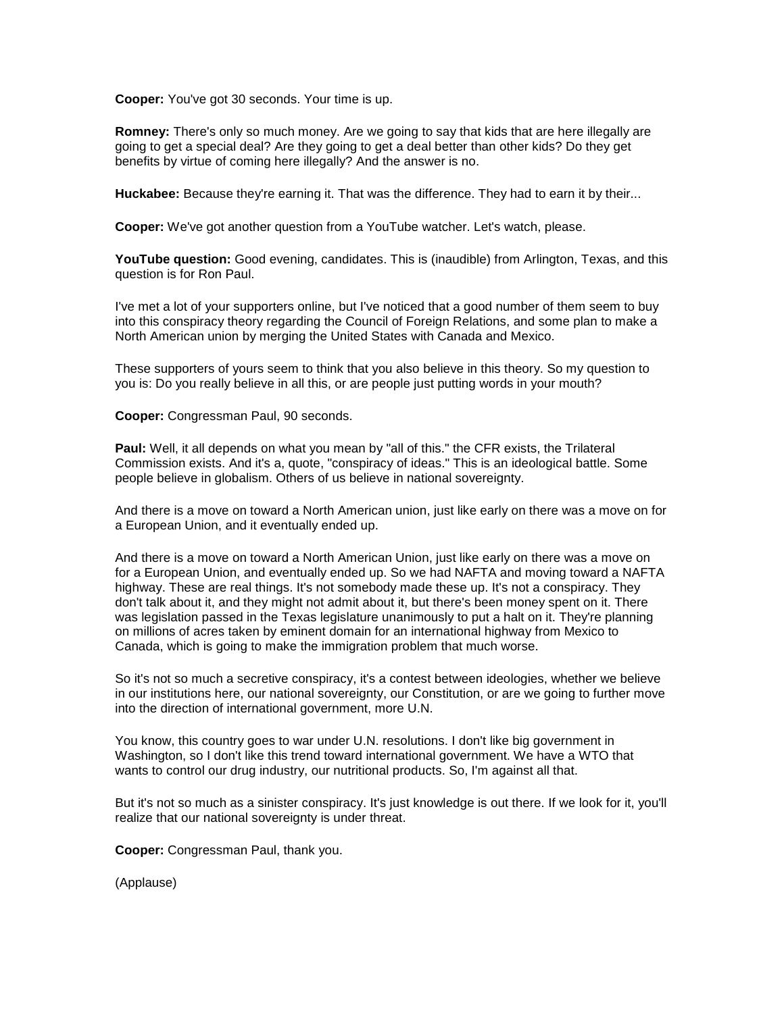**Cooper:** You've got 30 seconds. Your time is up.

**Romney:** There's only so much money. Are we going to say that kids that are here illegally are going to get a special deal? Are they going to get a deal better than other kids? Do they get benefits by virtue of coming here illegally? And the answer is no.

**Huckabee:** Because they're earning it. That was the difference. They had to earn it by their...

**Cooper:** We've got another question from a YouTube watcher. Let's watch, please.

**YouTube question:** Good evening, candidates. This is (inaudible) from Arlington, Texas, and this question is for Ron Paul.

I've met a lot of your supporters online, but I've noticed that a good number of them seem to buy into this conspiracy theory regarding the Council of Foreign Relations, and some plan to make a North American union by merging the United States with Canada and Mexico.

These supporters of yours seem to think that you also believe in this theory. So my question to you is: Do you really believe in all this, or are people just putting words in your mouth?

**Cooper:** Congressman Paul, 90 seconds.

**Paul:** Well, it all depends on what you mean by "all of this." the CFR exists, the Trilateral Commission exists. And it's a, quote, "conspiracy of ideas." This is an ideological battle. Some people believe in globalism. Others of us believe in national sovereignty.

And there is a move on toward a North American union, just like early on there was a move on for a European Union, and it eventually ended up.

And there is a move on toward a North American Union, just like early on there was a move on for a European Union, and eventually ended up. So we had NAFTA and moving toward a NAFTA highway. These are real things. It's not somebody made these up. It's not a conspiracy. They don't talk about it, and they might not admit about it, but there's been money spent on it. There was legislation passed in the Texas legislature unanimously to put a halt on it. They're planning on millions of acres taken by eminent domain for an international highway from Mexico to Canada, which is going to make the immigration problem that much worse.

So it's not so much a secretive conspiracy, it's a contest between ideologies, whether we believe in our institutions here, our national sovereignty, our Constitution, or are we going to further move into the direction of international government, more U.N.

You know, this country goes to war under U.N. resolutions. I don't like big government in Washington, so I don't like this trend toward international government. We have a WTO that wants to control our drug industry, our nutritional products. So, I'm against all that.

But it's not so much as a sinister conspiracy. It's just knowledge is out there. If we look for it, you'll realize that our national sovereignty is under threat.

**Cooper:** Congressman Paul, thank you.

(Applause)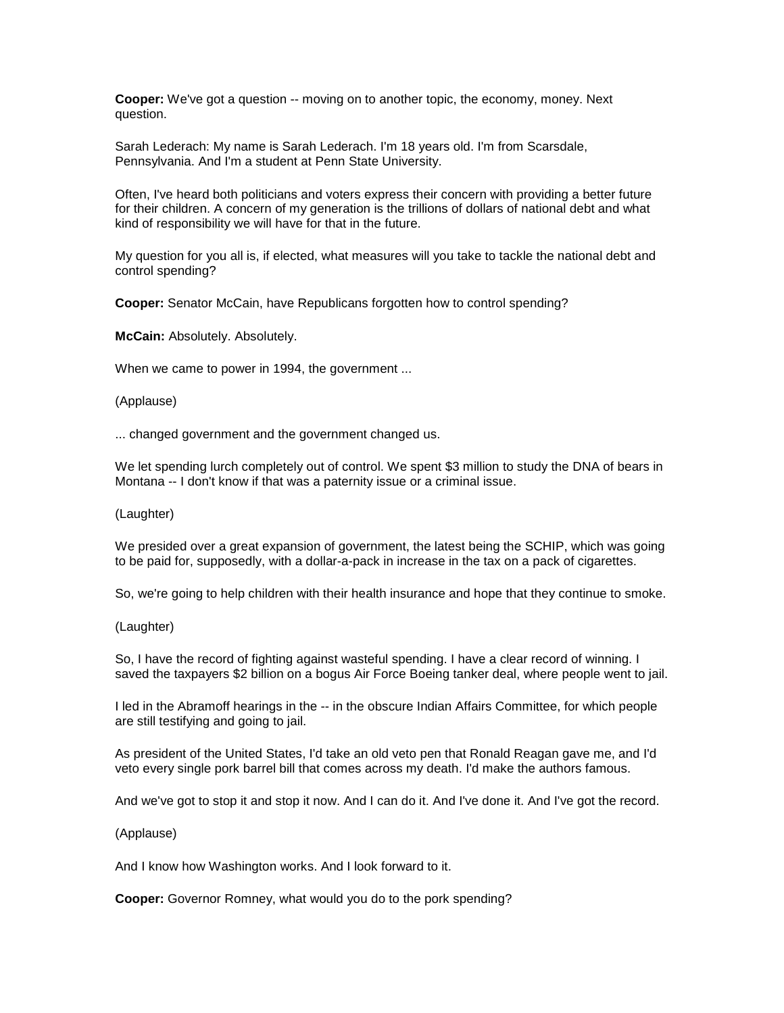**Cooper:** We've got a question -- moving on to another topic, the economy, money. Next question.

Sarah Lederach: My name is Sarah Lederach. I'm 18 years old. I'm from Scarsdale, Pennsylvania. And I'm a student at Penn State University.

Often, I've heard both politicians and voters express their concern with providing a better future for their children. A concern of my generation is the trillions of dollars of national debt and what kind of responsibility we will have for that in the future.

My question for you all is, if elected, what measures will you take to tackle the national debt and control spending?

**Cooper:** Senator McCain, have Republicans forgotten how to control spending?

**McCain:** Absolutely. Absolutely.

When we came to power in 1994, the government ...

#### (Applause)

... changed government and the government changed us.

We let spending lurch completely out of control. We spent \$3 million to study the DNA of bears in Montana -- I don't know if that was a paternity issue or a criminal issue.

## (Laughter)

We presided over a great expansion of government, the latest being the SCHIP, which was going to be paid for, supposedly, with a dollar-a-pack in increase in the tax on a pack of cigarettes.

So, we're going to help children with their health insurance and hope that they continue to smoke.

#### (Laughter)

So, I have the record of fighting against wasteful spending. I have a clear record of winning. I saved the taxpayers \$2 billion on a bogus Air Force Boeing tanker deal, where people went to jail.

I led in the Abramoff hearings in the -- in the obscure Indian Affairs Committee, for which people are still testifying and going to jail.

As president of the United States, I'd take an old veto pen that Ronald Reagan gave me, and I'd veto every single pork barrel bill that comes across my death. I'd make the authors famous.

And we've got to stop it and stop it now. And I can do it. And I've done it. And I've got the record.

#### (Applause)

And I know how Washington works. And I look forward to it.

**Cooper:** Governor Romney, what would you do to the pork spending?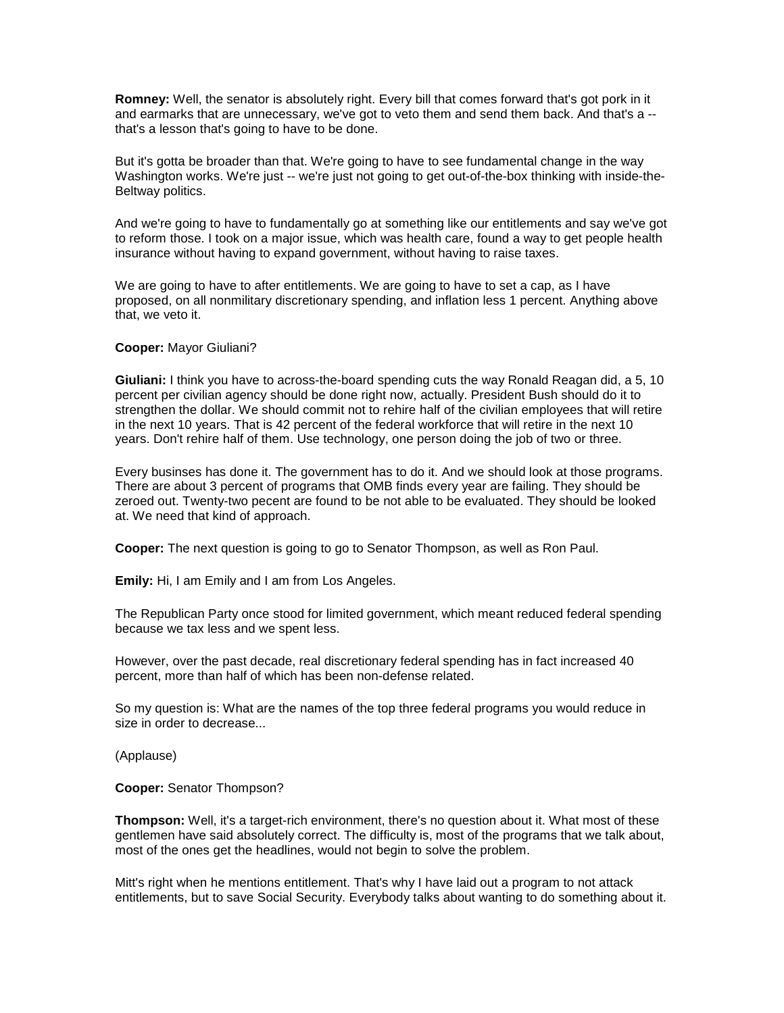**Romney:** Well, the senator is absolutely right. Every bill that comes forward that's got pork in it and earmarks that are unnecessary, we've got to veto them and send them back. And that's a - that's a lesson that's going to have to be done.

But it's gotta be broader than that. We're going to have to see fundamental change in the way Washington works. We're just -- we're just not going to get out-of-the-box thinking with inside-the-Beltway politics.

And we're going to have to fundamentally go at something like our entitlements and say we've got to reform those. I took on a major issue, which was health care, found a way to get people health insurance without having to expand government, without having to raise taxes.

We are going to have to after entitlements. We are going to have to set a cap, as I have proposed, on all nonmilitary discretionary spending, and inflation less 1 percent. Anything above that, we veto it.

# **Cooper:** Mayor Giuliani?

**Giuliani:** I think you have to across-the-board spending cuts the way Ronald Reagan did, a 5, 10 percent per civilian agency should be done right now, actually. President Bush should do it to strengthen the dollar. We should commit not to rehire half of the civilian employees that will retire in the next 10 years. That is 42 percent of the federal workforce that will retire in the next 10 years. Don't rehire half of them. Use technology, one person doing the job of two or three.

Every businses has done it. The government has to do it. And we should look at those programs. There are about 3 percent of programs that OMB finds every year are failing. They should be zeroed out. Twenty-two pecent are found to be not able to be evaluated. They should be looked at. We need that kind of approach.

**Cooper:** The next question is going to go to Senator Thompson, as well as Ron Paul.

**Emily:** Hi, I am Emily and I am from Los Angeles.

The Republican Party once stood for limited government, which meant reduced federal spending because we tax less and we spent less.

However, over the past decade, real discretionary federal spending has in fact increased 40 percent, more than half of which has been non-defense related.

So my question is: What are the names of the top three federal programs you would reduce in size in order to decrease...

(Applause)

**Cooper:** Senator Thompson?

**Thompson:** Well, it's a target-rich environment, there's no question about it. What most of these gentlemen have said absolutely correct. The difficulty is, most of the programs that we talk about, most of the ones get the headlines, would not begin to solve the problem.

Mitt's right when he mentions entitlement. That's why I have laid out a program to not attack entitlements, but to save Social Security. Everybody talks about wanting to do something about it.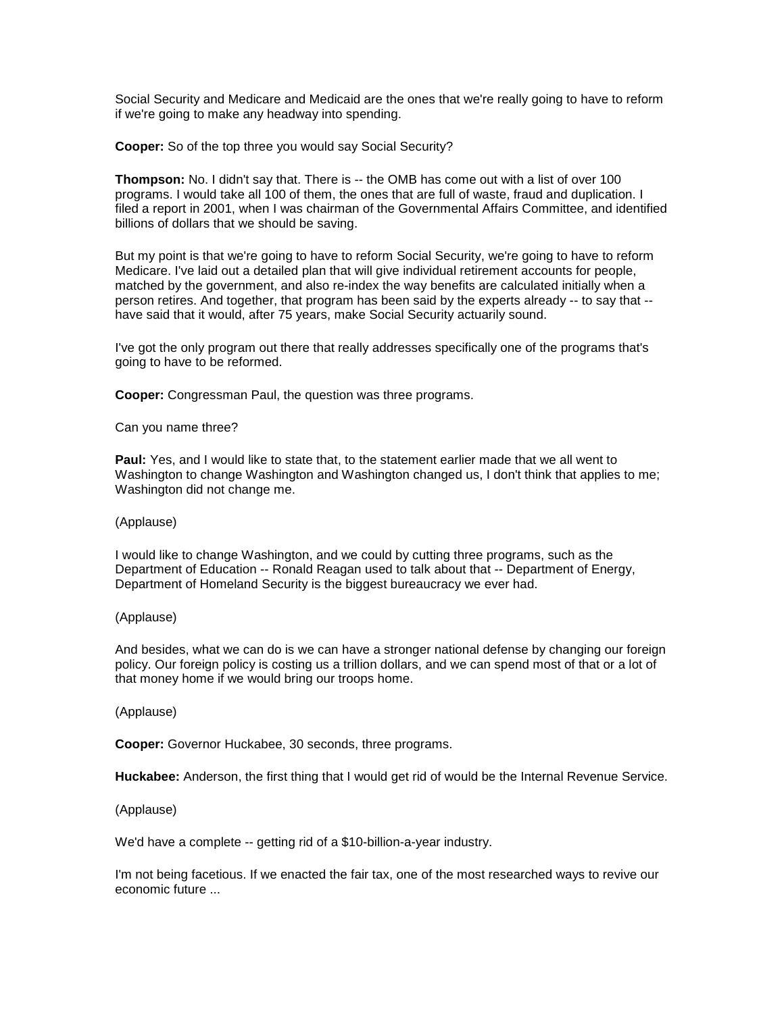Social Security and Medicare and Medicaid are the ones that we're really going to have to reform if we're going to make any headway into spending.

**Cooper:** So of the top three you would say Social Security?

**Thompson:** No. I didn't say that. There is -- the OMB has come out with a list of over 100 programs. I would take all 100 of them, the ones that are full of waste, fraud and duplication. I filed a report in 2001, when I was chairman of the Governmental Affairs Committee, and identified billions of dollars that we should be saving.

But my point is that we're going to have to reform Social Security, we're going to have to reform Medicare. I've laid out a detailed plan that will give individual retirement accounts for people, matched by the government, and also re-index the way benefits are calculated initially when a person retires. And together, that program has been said by the experts already -- to say that - have said that it would, after 75 years, make Social Security actuarily sound.

I've got the only program out there that really addresses specifically one of the programs that's going to have to be reformed.

**Cooper:** Congressman Paul, the question was three programs.

Can you name three?

**Paul:** Yes, and I would like to state that, to the statement earlier made that we all went to Washington to change Washington and Washington changed us, I don't think that applies to me; Washington did not change me.

# (Applause)

I would like to change Washington, and we could by cutting three programs, such as the Department of Education -- Ronald Reagan used to talk about that -- Department of Energy, Department of Homeland Security is the biggest bureaucracy we ever had.

#### (Applause)

And besides, what we can do is we can have a stronger national defense by changing our foreign policy. Our foreign policy is costing us a trillion dollars, and we can spend most of that or a lot of that money home if we would bring our troops home.

# (Applause)

**Cooper:** Governor Huckabee, 30 seconds, three programs.

**Huckabee:** Anderson, the first thing that I would get rid of would be the Internal Revenue Service.

# (Applause)

We'd have a complete -- getting rid of a \$10-billion-a-year industry.

I'm not being facetious. If we enacted the fair tax, one of the most researched ways to revive our economic future ...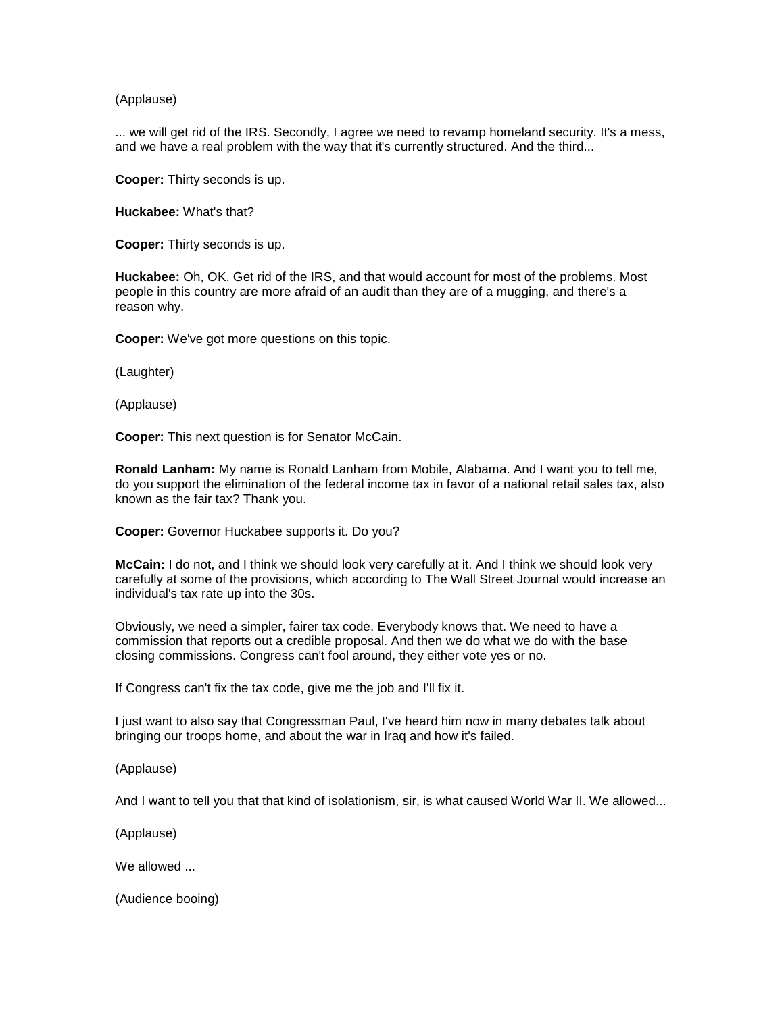# (Applause)

... we will get rid of the IRS. Secondly, I agree we need to revamp homeland security. It's a mess, and we have a real problem with the way that it's currently structured. And the third...

**Cooper:** Thirty seconds is up.

**Huckabee:** What's that?

**Cooper:** Thirty seconds is up.

**Huckabee:** Oh, OK. Get rid of the IRS, and that would account for most of the problems. Most people in this country are more afraid of an audit than they are of a mugging, and there's a reason why.

**Cooper:** We've got more questions on this topic.

(Laughter)

(Applause)

**Cooper:** This next question is for Senator McCain.

**Ronald Lanham:** My name is Ronald Lanham from Mobile, Alabama. And I want you to tell me, do you support the elimination of the federal income tax in favor of a national retail sales tax, also known as the fair tax? Thank you.

**Cooper:** Governor Huckabee supports it. Do you?

**McCain:** I do not, and I think we should look very carefully at it. And I think we should look very carefully at some of the provisions, which according to The Wall Street Journal would increase an individual's tax rate up into the 30s.

Obviously, we need a simpler, fairer tax code. Everybody knows that. We need to have a commission that reports out a credible proposal. And then we do what we do with the base closing commissions. Congress can't fool around, they either vote yes or no.

If Congress can't fix the tax code, give me the job and I'll fix it.

I just want to also say that Congressman Paul, I've heard him now in many debates talk about bringing our troops home, and about the war in Iraq and how it's failed.

(Applause)

And I want to tell you that that kind of isolationism, sir, is what caused World War II. We allowed...

(Applause)

We allowed ...

(Audience booing)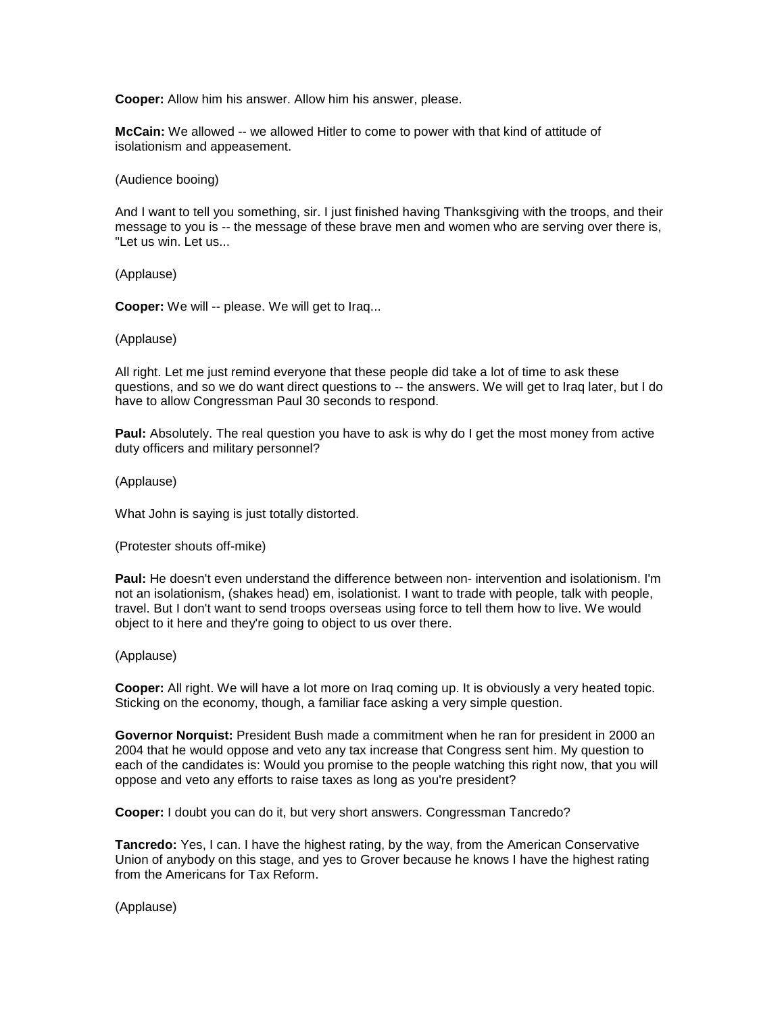**Cooper:** Allow him his answer. Allow him his answer, please.

**McCain:** We allowed -- we allowed Hitler to come to power with that kind of attitude of isolationism and appeasement.

(Audience booing)

And I want to tell you something, sir. I just finished having Thanksgiving with the troops, and their message to you is -- the message of these brave men and women who are serving over there is, "Let us win. Let us...

(Applause)

**Cooper:** We will -- please. We will get to Iraq...

(Applause)

All right. Let me just remind everyone that these people did take a lot of time to ask these questions, and so we do want direct questions to -- the answers. We will get to Iraq later, but I do have to allow Congressman Paul 30 seconds to respond.

**Paul:** Absolutely. The real question you have to ask is why do I get the most money from active duty officers and military personnel?

(Applause)

What John is saying is just totally distorted.

(Protester shouts off-mike)

**Paul:** He doesn't even understand the difference between non- intervention and isolationism. I'm not an isolationism, (shakes head) em, isolationist. I want to trade with people, talk with people, travel. But I don't want to send troops overseas using force to tell them how to live. We would object to it here and they're going to object to us over there.

(Applause)

**Cooper:** All right. We will have a lot more on Iraq coming up. It is obviously a very heated topic. Sticking on the economy, though, a familiar face asking a very simple question.

**Governor Norquist:** President Bush made a commitment when he ran for president in 2000 an 2004 that he would oppose and veto any tax increase that Congress sent him. My question to each of the candidates is: Would you promise to the people watching this right now, that you will oppose and veto any efforts to raise taxes as long as you're president?

**Cooper:** I doubt you can do it, but very short answers. Congressman Tancredo?

**Tancredo:** Yes, I can. I have the highest rating, by the way, from the American Conservative Union of anybody on this stage, and yes to Grover because he knows I have the highest rating from the Americans for Tax Reform.

(Applause)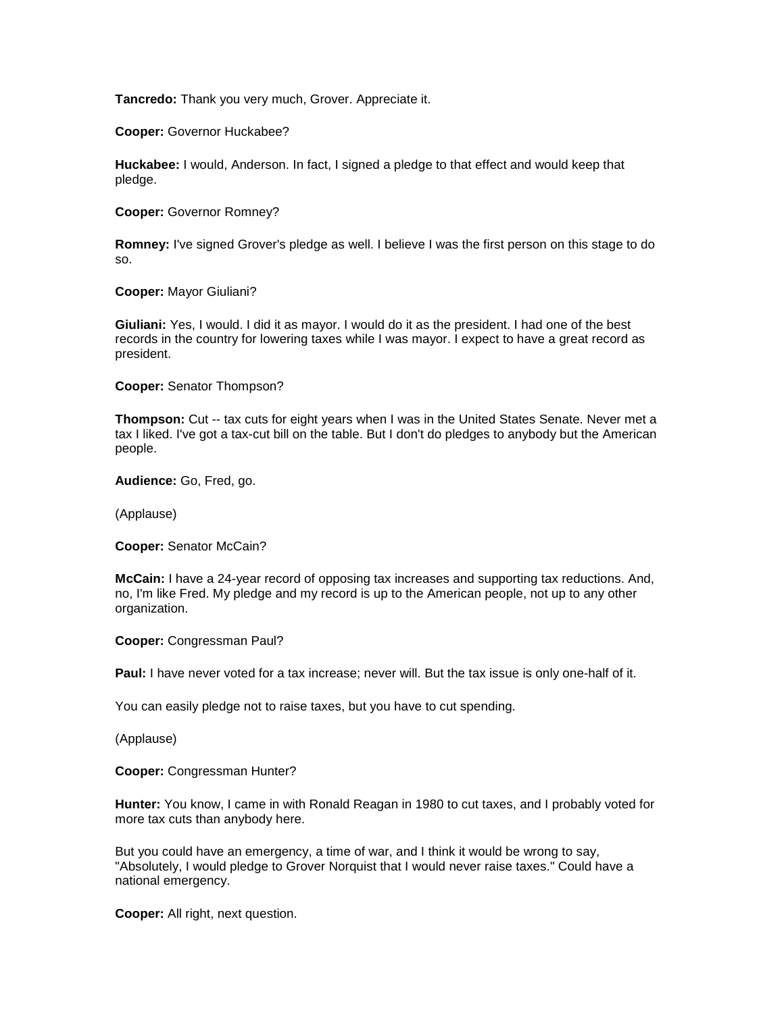**Tancredo:** Thank you very much, Grover. Appreciate it.

**Cooper:** Governor Huckabee?

**Huckabee:** I would, Anderson. In fact, I signed a pledge to that effect and would keep that pledge.

**Cooper:** Governor Romney?

**Romney:** I've signed Grover's pledge as well. I believe I was the first person on this stage to do so.

**Cooper:** Mayor Giuliani?

**Giuliani:** Yes, I would. I did it as mayor. I would do it as the president. I had one of the best records in the country for lowering taxes while I was mayor. I expect to have a great record as president.

**Cooper:** Senator Thompson?

**Thompson:** Cut -- tax cuts for eight years when I was in the United States Senate. Never met a tax I liked. I've got a tax-cut bill on the table. But I don't do pledges to anybody but the American people.

**Audience:** Go, Fred, go.

(Applause)

**Cooper:** Senator McCain?

**McCain:** I have a 24-year record of opposing tax increases and supporting tax reductions. And, no, I'm like Fred. My pledge and my record is up to the American people, not up to any other organization.

**Cooper:** Congressman Paul?

**Paul:** I have never voted for a tax increase; never will. But the tax issue is only one-half of it.

You can easily pledge not to raise taxes, but you have to cut spending.

(Applause)

**Cooper:** Congressman Hunter?

**Hunter:** You know, I came in with Ronald Reagan in 1980 to cut taxes, and I probably voted for more tax cuts than anybody here.

But you could have an emergency, a time of war, and I think it would be wrong to say, "Absolutely, I would pledge to Grover Norquist that I would never raise taxes." Could have a national emergency.

**Cooper:** All right, next question.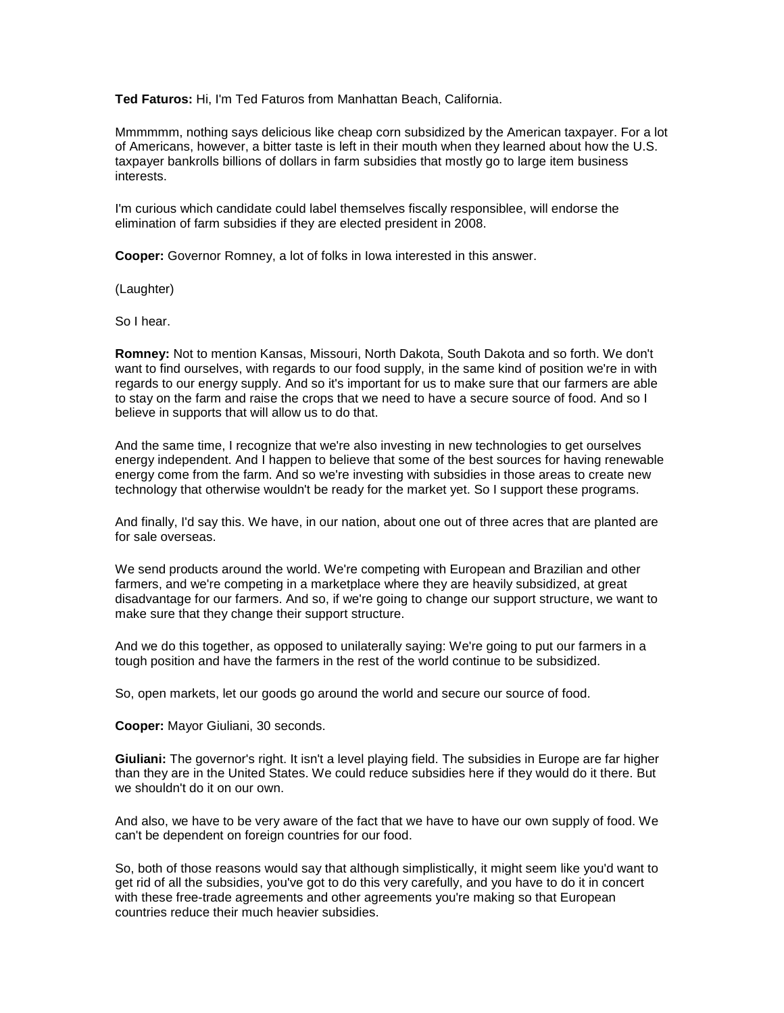**Ted Faturos:** Hi, I'm Ted Faturos from Manhattan Beach, California.

Mmmmmm, nothing says delicious like cheap corn subsidized by the American taxpayer. For a lot of Americans, however, a bitter taste is left in their mouth when they learned about how the U.S. taxpayer bankrolls billions of dollars in farm subsidies that mostly go to large item business interests.

I'm curious which candidate could label themselves fiscally responsiblee, will endorse the elimination of farm subsidies if they are elected president in 2008.

**Cooper:** Governor Romney, a lot of folks in Iowa interested in this answer.

(Laughter)

So I hear.

**Romney:** Not to mention Kansas, Missouri, North Dakota, South Dakota and so forth. We don't want to find ourselves, with regards to our food supply, in the same kind of position we're in with regards to our energy supply. And so it's important for us to make sure that our farmers are able to stay on the farm and raise the crops that we need to have a secure source of food. And so I believe in supports that will allow us to do that.

And the same time, I recognize that we're also investing in new technologies to get ourselves energy independent. And I happen to believe that some of the best sources for having renewable energy come from the farm. And so we're investing with subsidies in those areas to create new technology that otherwise wouldn't be ready for the market yet. So I support these programs.

And finally, I'd say this. We have, in our nation, about one out of three acres that are planted are for sale overseas.

We send products around the world. We're competing with European and Brazilian and other farmers, and we're competing in a marketplace where they are heavily subsidized, at great disadvantage for our farmers. And so, if we're going to change our support structure, we want to make sure that they change their support structure.

And we do this together, as opposed to unilaterally saying: We're going to put our farmers in a tough position and have the farmers in the rest of the world continue to be subsidized.

So, open markets, let our goods go around the world and secure our source of food.

**Cooper:** Mayor Giuliani, 30 seconds.

**Giuliani:** The governor's right. It isn't a level playing field. The subsidies in Europe are far higher than they are in the United States. We could reduce subsidies here if they would do it there. But we shouldn't do it on our own.

And also, we have to be very aware of the fact that we have to have our own supply of food. We can't be dependent on foreign countries for our food.

So, both of those reasons would say that although simplistically, it might seem like you'd want to get rid of all the subsidies, you've got to do this very carefully, and you have to do it in concert with these free-trade agreements and other agreements you're making so that European countries reduce their much heavier subsidies.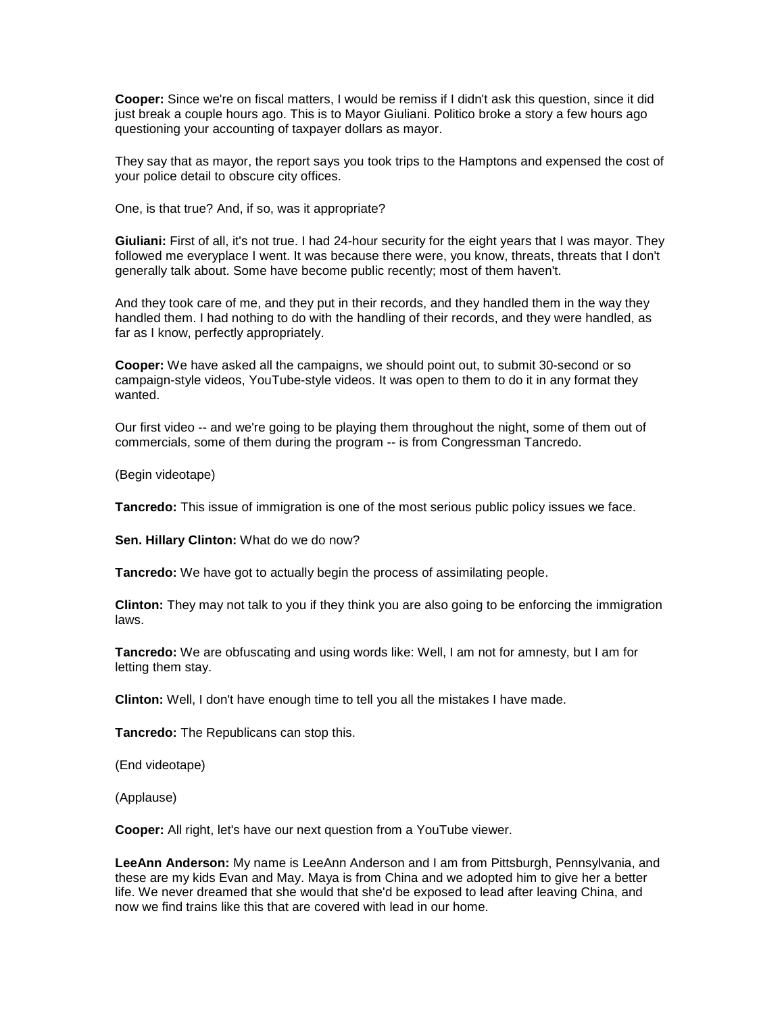**Cooper:** Since we're on fiscal matters, I would be remiss if I didn't ask this question, since it did just break a couple hours ago. This is to Mayor Giuliani. Politico broke a story a few hours ago questioning your accounting of taxpayer dollars as mayor.

They say that as mayor, the report says you took trips to the Hamptons and expensed the cost of your police detail to obscure city offices.

One, is that true? And, if so, was it appropriate?

**Giuliani:** First of all, it's not true. I had 24-hour security for the eight years that I was mayor. They followed me everyplace I went. It was because there were, you know, threats, threats that I don't generally talk about. Some have become public recently; most of them haven't.

And they took care of me, and they put in their records, and they handled them in the way they handled them. I had nothing to do with the handling of their records, and they were handled, as far as I know, perfectly appropriately.

**Cooper:** We have asked all the campaigns, we should point out, to submit 30-second or so campaign-style videos, YouTube-style videos. It was open to them to do it in any format they wanted.

Our first video -- and we're going to be playing them throughout the night, some of them out of commercials, some of them during the program -- is from Congressman Tancredo.

(Begin videotape)

**Tancredo:** This issue of immigration is one of the most serious public policy issues we face.

**Sen. Hillary Clinton:** What do we do now?

**Tancredo:** We have got to actually begin the process of assimilating people.

**Clinton:** They may not talk to you if they think you are also going to be enforcing the immigration laws.

**Tancredo:** We are obfuscating and using words like: Well, I am not for amnesty, but I am for letting them stay.

**Clinton:** Well, I don't have enough time to tell you all the mistakes I have made.

**Tancredo:** The Republicans can stop this.

(End videotape)

(Applause)

**Cooper:** All right, let's have our next question from a YouTube viewer.

**LeeAnn Anderson:** My name is LeeAnn Anderson and I am from Pittsburgh, Pennsylvania, and these are my kids Evan and May. Maya is from China and we adopted him to give her a better life. We never dreamed that she would that she'd be exposed to lead after leaving China, and now we find trains like this that are covered with lead in our home.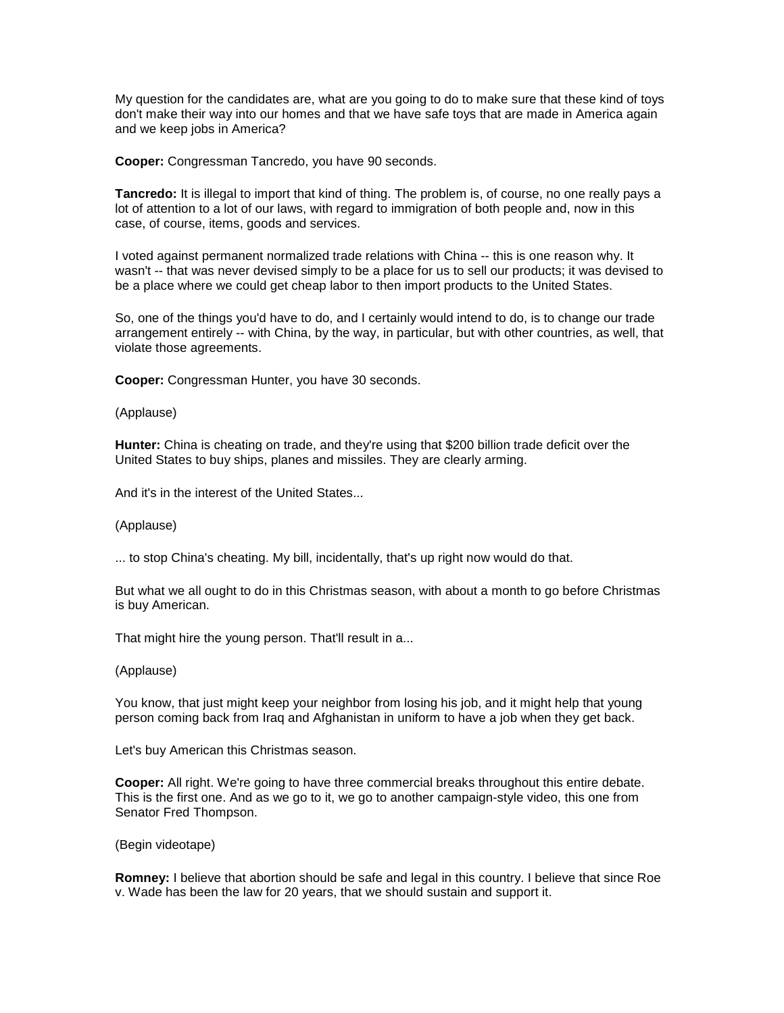My question for the candidates are, what are you going to do to make sure that these kind of toys don't make their way into our homes and that we have safe toys that are made in America again and we keep jobs in America?

**Cooper:** Congressman Tancredo, you have 90 seconds.

**Tancredo:** It is illegal to import that kind of thing. The problem is, of course, no one really pays a lot of attention to a lot of our laws, with regard to immigration of both people and, now in this case, of course, items, goods and services.

I voted against permanent normalized trade relations with China -- this is one reason why. It wasn't -- that was never devised simply to be a place for us to sell our products; it was devised to be a place where we could get cheap labor to then import products to the United States.

So, one of the things you'd have to do, and I certainly would intend to do, is to change our trade arrangement entirely -- with China, by the way, in particular, but with other countries, as well, that violate those agreements.

**Cooper:** Congressman Hunter, you have 30 seconds.

#### (Applause)

**Hunter:** China is cheating on trade, and they're using that \$200 billion trade deficit over the United States to buy ships, planes and missiles. They are clearly arming.

And it's in the interest of the United States...

# (Applause)

... to stop China's cheating. My bill, incidentally, that's up right now would do that.

But what we all ought to do in this Christmas season, with about a month to go before Christmas is buy American.

That might hire the young person. That'll result in a...

#### (Applause)

You know, that just might keep your neighbor from losing his job, and it might help that young person coming back from Iraq and Afghanistan in uniform to have a job when they get back.

Let's buy American this Christmas season.

**Cooper:** All right. We're going to have three commercial breaks throughout this entire debate. This is the first one. And as we go to it, we go to another campaign-style video, this one from Senator Fred Thompson.

#### (Begin videotape)

**Romney:** I believe that abortion should be safe and legal in this country. I believe that since Roe v. Wade has been the law for 20 years, that we should sustain and support it.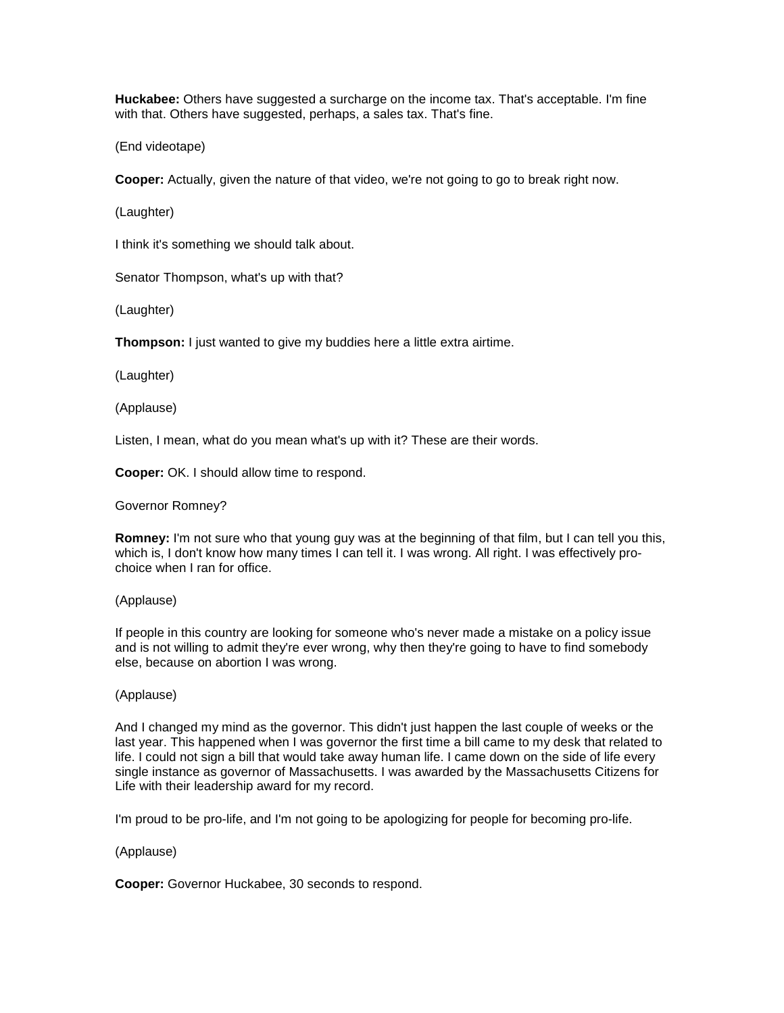**Huckabee:** Others have suggested a surcharge on the income tax. That's acceptable. I'm fine with that. Others have suggested, perhaps, a sales tax. That's fine.

(End videotape)

**Cooper:** Actually, given the nature of that video, we're not going to go to break right now.

(Laughter)

I think it's something we should talk about.

Senator Thompson, what's up with that?

(Laughter)

**Thompson:** I just wanted to give my buddies here a little extra airtime.

(Laughter)

(Applause)

Listen, I mean, what do you mean what's up with it? These are their words.

**Cooper:** OK. I should allow time to respond.

Governor Romney?

**Romney:** I'm not sure who that young guy was at the beginning of that film, but I can tell you this, which is, I don't know how many times I can tell it. I was wrong. All right. I was effectively prochoice when I ran for office.

(Applause)

If people in this country are looking for someone who's never made a mistake on a policy issue and is not willing to admit they're ever wrong, why then they're going to have to find somebody else, because on abortion I was wrong.

# (Applause)

And I changed my mind as the governor. This didn't just happen the last couple of weeks or the last year. This happened when I was governor the first time a bill came to my desk that related to life. I could not sign a bill that would take away human life. I came down on the side of life every single instance as governor of Massachusetts. I was awarded by the Massachusetts Citizens for Life with their leadership award for my record.

I'm proud to be pro-life, and I'm not going to be apologizing for people for becoming pro-life.

(Applause)

**Cooper:** Governor Huckabee, 30 seconds to respond.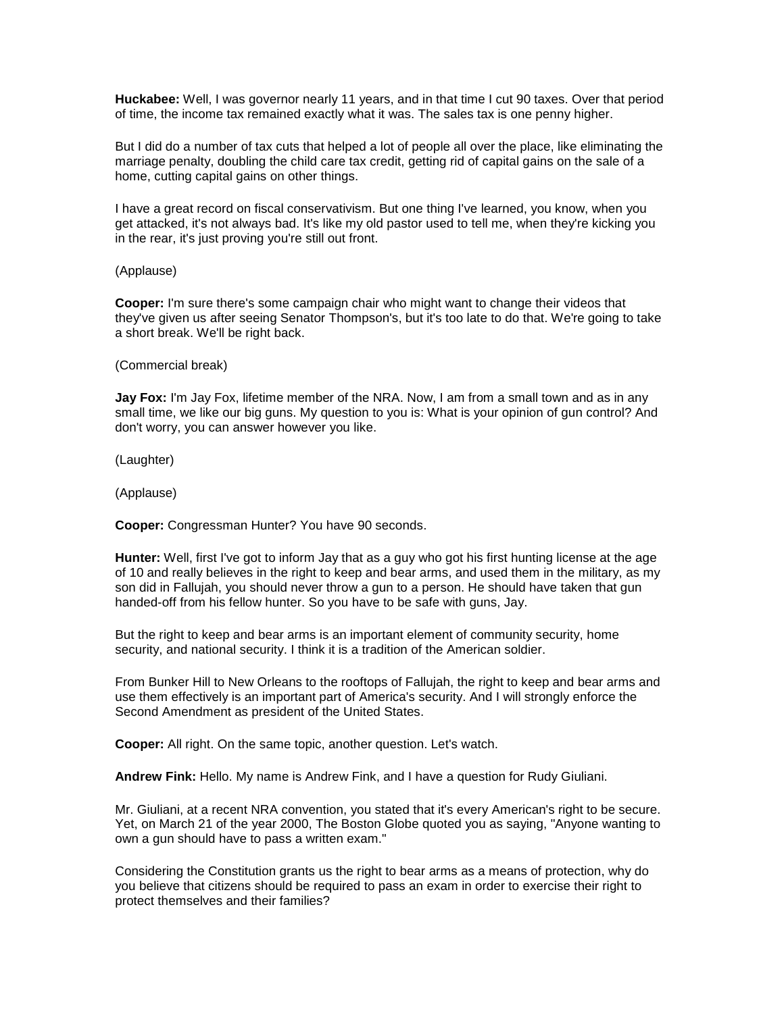**Huckabee:** Well, I was governor nearly 11 years, and in that time I cut 90 taxes. Over that period of time, the income tax remained exactly what it was. The sales tax is one penny higher.

But I did do a number of tax cuts that helped a lot of people all over the place, like eliminating the marriage penalty, doubling the child care tax credit, getting rid of capital gains on the sale of a home, cutting capital gains on other things.

I have a great record on fiscal conservativism. But one thing I've learned, you know, when you get attacked, it's not always bad. It's like my old pastor used to tell me, when they're kicking you in the rear, it's just proving you're still out front.

(Applause)

**Cooper:** I'm sure there's some campaign chair who might want to change their videos that they've given us after seeing Senator Thompson's, but it's too late to do that. We're going to take a short break. We'll be right back.

(Commercial break)

**Jay Fox:** I'm Jay Fox, lifetime member of the NRA. Now, I am from a small town and as in any small time, we like our big guns. My question to you is: What is your opinion of gun control? And don't worry, you can answer however you like.

(Laughter)

(Applause)

**Cooper:** Congressman Hunter? You have 90 seconds.

**Hunter:** Well, first I've got to inform Jay that as a guy who got his first hunting license at the age of 10 and really believes in the right to keep and bear arms, and used them in the military, as my son did in Fallujah, you should never throw a gun to a person. He should have taken that gun handed-off from his fellow hunter. So you have to be safe with guns, Jay.

But the right to keep and bear arms is an important element of community security, home security, and national security. I think it is a tradition of the American soldier.

From Bunker Hill to New Orleans to the rooftops of Fallujah, the right to keep and bear arms and use them effectively is an important part of America's security. And I will strongly enforce the Second Amendment as president of the United States.

**Cooper:** All right. On the same topic, another question. Let's watch.

**Andrew Fink:** Hello. My name is Andrew Fink, and I have a question for Rudy Giuliani.

Mr. Giuliani, at a recent NRA convention, you stated that it's every American's right to be secure. Yet, on March 21 of the year 2000, The Boston Globe quoted you as saying, "Anyone wanting to own a gun should have to pass a written exam."

Considering the Constitution grants us the right to bear arms as a means of protection, why do you believe that citizens should be required to pass an exam in order to exercise their right to protect themselves and their families?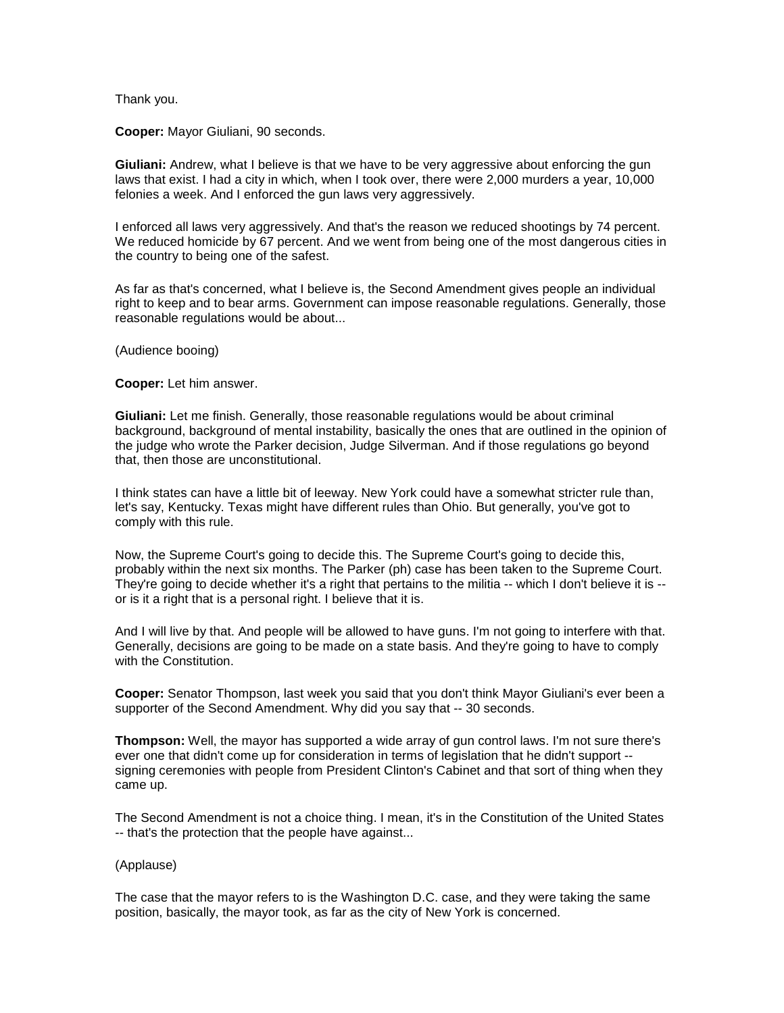## Thank you.

**Cooper:** Mayor Giuliani, 90 seconds.

**Giuliani:** Andrew, what I believe is that we have to be very aggressive about enforcing the gun laws that exist. I had a city in which, when I took over, there were 2,000 murders a year, 10,000 felonies a week. And I enforced the gun laws very aggressively.

I enforced all laws very aggressively. And that's the reason we reduced shootings by 74 percent. We reduced homicide by 67 percent. And we went from being one of the most dangerous cities in the country to being one of the safest.

As far as that's concerned, what I believe is, the Second Amendment gives people an individual right to keep and to bear arms. Government can impose reasonable regulations. Generally, those reasonable regulations would be about...

(Audience booing)

**Cooper:** Let him answer.

**Giuliani:** Let me finish. Generally, those reasonable regulations would be about criminal background, background of mental instability, basically the ones that are outlined in the opinion of the judge who wrote the Parker decision, Judge Silverman. And if those regulations go beyond that, then those are unconstitutional.

I think states can have a little bit of leeway. New York could have a somewhat stricter rule than, let's say, Kentucky. Texas might have different rules than Ohio. But generally, you've got to comply with this rule.

Now, the Supreme Court's going to decide this. The Supreme Court's going to decide this, probably within the next six months. The Parker (ph) case has been taken to the Supreme Court. They're going to decide whether it's a right that pertains to the militia -- which I don't believe it is - or is it a right that is a personal right. I believe that it is.

And I will live by that. And people will be allowed to have guns. I'm not going to interfere with that. Generally, decisions are going to be made on a state basis. And they're going to have to comply with the Constitution.

**Cooper:** Senator Thompson, last week you said that you don't think Mayor Giuliani's ever been a supporter of the Second Amendment. Why did you say that -- 30 seconds.

**Thompson:** Well, the mayor has supported a wide array of gun control laws. I'm not sure there's ever one that didn't come up for consideration in terms of legislation that he didn't support - signing ceremonies with people from President Clinton's Cabinet and that sort of thing when they came up.

The Second Amendment is not a choice thing. I mean, it's in the Constitution of the United States -- that's the protection that the people have against...

## (Applause)

The case that the mayor refers to is the Washington D.C. case, and they were taking the same position, basically, the mayor took, as far as the city of New York is concerned.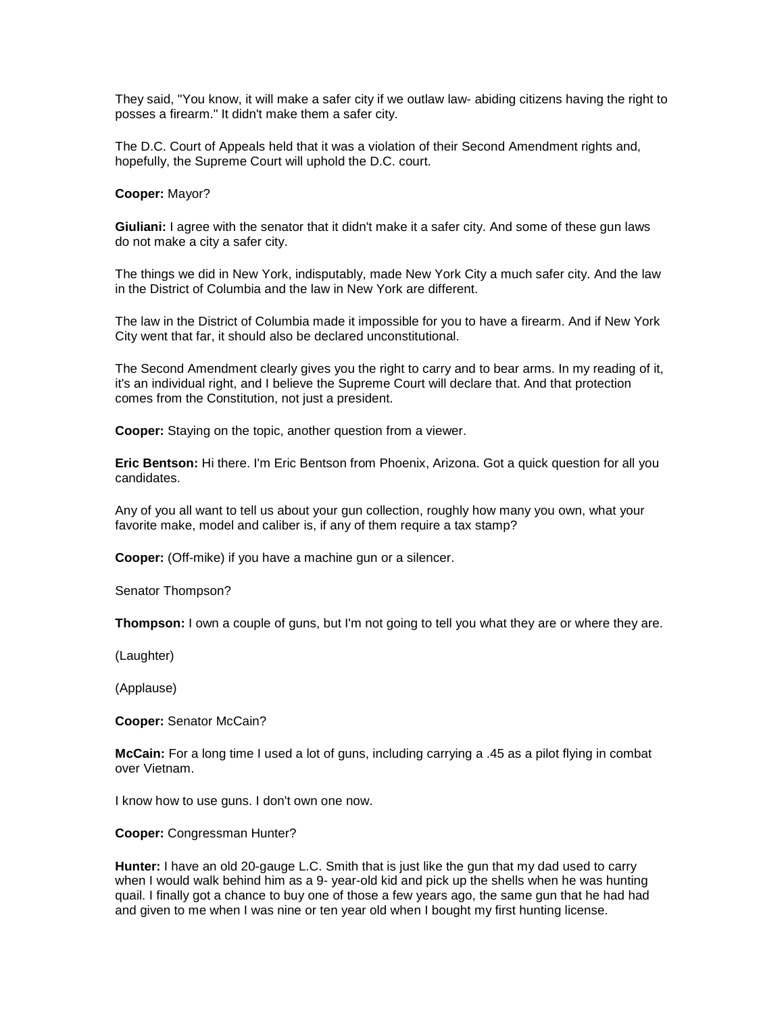They said, "You know, it will make a safer city if we outlaw law- abiding citizens having the right to posses a firearm." It didn't make them a safer city.

The D.C. Court of Appeals held that it was a violation of their Second Amendment rights and, hopefully, the Supreme Court will uphold the D.C. court.

## **Cooper:** Mayor?

**Giuliani:** I agree with the senator that it didn't make it a safer city. And some of these gun laws do not make a city a safer city.

The things we did in New York, indisputably, made New York City a much safer city. And the law in the District of Columbia and the law in New York are different.

The law in the District of Columbia made it impossible for you to have a firearm. And if New York City went that far, it should also be declared unconstitutional.

The Second Amendment clearly gives you the right to carry and to bear arms. In my reading of it, it's an individual right, and I believe the Supreme Court will declare that. And that protection comes from the Constitution, not just a president.

**Cooper:** Staying on the topic, another question from a viewer.

**Eric Bentson:** Hi there. I'm Eric Bentson from Phoenix, Arizona. Got a quick question for all you candidates.

Any of you all want to tell us about your gun collection, roughly how many you own, what your favorite make, model and caliber is, if any of them require a tax stamp?

**Cooper:** (Off-mike) if you have a machine gun or a silencer.

Senator Thompson?

**Thompson:** I own a couple of guns, but I'm not going to tell you what they are or where they are.

(Laughter)

(Applause)

**Cooper:** Senator McCain?

**McCain:** For a long time I used a lot of guns, including carrying a .45 as a pilot flying in combat over Vietnam.

I know how to use guns. I don't own one now.

**Cooper:** Congressman Hunter?

**Hunter:** I have an old 20-gauge L.C. Smith that is just like the gun that my dad used to carry when I would walk behind him as a 9- year-old kid and pick up the shells when he was hunting quail. I finally got a chance to buy one of those a few years ago, the same gun that he had had and given to me when I was nine or ten year old when I bought my first hunting license.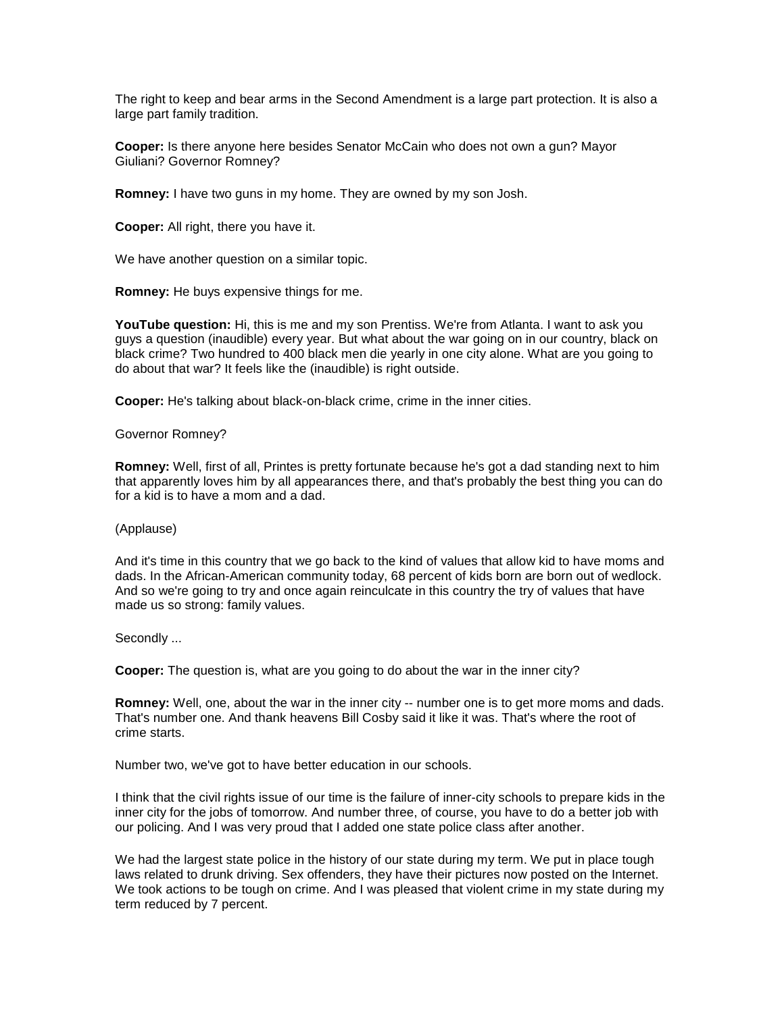The right to keep and bear arms in the Second Amendment is a large part protection. It is also a large part family tradition.

**Cooper:** Is there anyone here besides Senator McCain who does not own a gun? Mayor Giuliani? Governor Romney?

**Romney:** I have two guns in my home. They are owned by my son Josh.

**Cooper:** All right, there you have it.

We have another question on a similar topic.

**Romney:** He buys expensive things for me.

**YouTube question:** Hi, this is me and my son Prentiss. We're from Atlanta. I want to ask you guys a question (inaudible) every year. But what about the war going on in our country, black on black crime? Two hundred to 400 black men die yearly in one city alone. What are you going to do about that war? It feels like the (inaudible) is right outside.

**Cooper:** He's talking about black-on-black crime, crime in the inner cities.

Governor Romney?

**Romney:** Well, first of all, Printes is pretty fortunate because he's got a dad standing next to him that apparently loves him by all appearances there, and that's probably the best thing you can do for a kid is to have a mom and a dad.

# (Applause)

And it's time in this country that we go back to the kind of values that allow kid to have moms and dads. In the African-American community today, 68 percent of kids born are born out of wedlock. And so we're going to try and once again reinculcate in this country the try of values that have made us so strong: family values.

Secondly ...

**Cooper:** The question is, what are you going to do about the war in the inner city?

**Romney:** Well, one, about the war in the inner city -- number one is to get more moms and dads. That's number one. And thank heavens Bill Cosby said it like it was. That's where the root of crime starts.

Number two, we've got to have better education in our schools.

I think that the civil rights issue of our time is the failure of inner-city schools to prepare kids in the inner city for the jobs of tomorrow. And number three, of course, you have to do a better job with our policing. And I was very proud that I added one state police class after another.

We had the largest state police in the history of our state during my term. We put in place tough laws related to drunk driving. Sex offenders, they have their pictures now posted on the Internet. We took actions to be tough on crime. And I was pleased that violent crime in my state during my term reduced by 7 percent.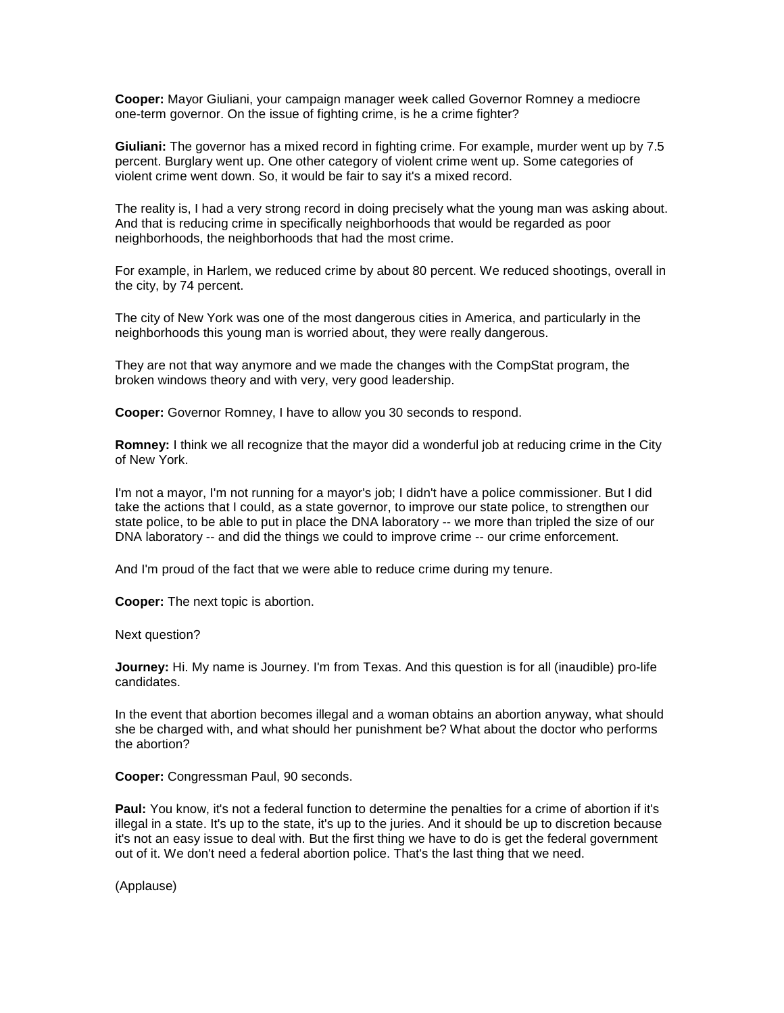**Cooper:** Mayor Giuliani, your campaign manager week called Governor Romney a mediocre one-term governor. On the issue of fighting crime, is he a crime fighter?

**Giuliani:** The governor has a mixed record in fighting crime. For example, murder went up by 7.5 percent. Burglary went up. One other category of violent crime went up. Some categories of violent crime went down. So, it would be fair to say it's a mixed record.

The reality is, I had a very strong record in doing precisely what the young man was asking about. And that is reducing crime in specifically neighborhoods that would be regarded as poor neighborhoods, the neighborhoods that had the most crime.

For example, in Harlem, we reduced crime by about 80 percent. We reduced shootings, overall in the city, by 74 percent.

The city of New York was one of the most dangerous cities in America, and particularly in the neighborhoods this young man is worried about, they were really dangerous.

They are not that way anymore and we made the changes with the CompStat program, the broken windows theory and with very, very good leadership.

**Cooper:** Governor Romney, I have to allow you 30 seconds to respond.

**Romney:** I think we all recognize that the mayor did a wonderful job at reducing crime in the City of New York.

I'm not a mayor, I'm not running for a mayor's job; I didn't have a police commissioner. But I did take the actions that I could, as a state governor, to improve our state police, to strengthen our state police, to be able to put in place the DNA laboratory -- we more than tripled the size of our DNA laboratory -- and did the things we could to improve crime -- our crime enforcement.

And I'm proud of the fact that we were able to reduce crime during my tenure.

**Cooper:** The next topic is abortion.

Next question?

**Journey:** Hi. My name is Journey. I'm from Texas. And this question is for all (inaudible) pro-life candidates.

In the event that abortion becomes illegal and a woman obtains an abortion anyway, what should she be charged with, and what should her punishment be? What about the doctor who performs the abortion?

**Cooper:** Congressman Paul, 90 seconds.

**Paul:** You know, it's not a federal function to determine the penalties for a crime of abortion if it's illegal in a state. It's up to the state, it's up to the juries. And it should be up to discretion because it's not an easy issue to deal with. But the first thing we have to do is get the federal government out of it. We don't need a federal abortion police. That's the last thing that we need.

(Applause)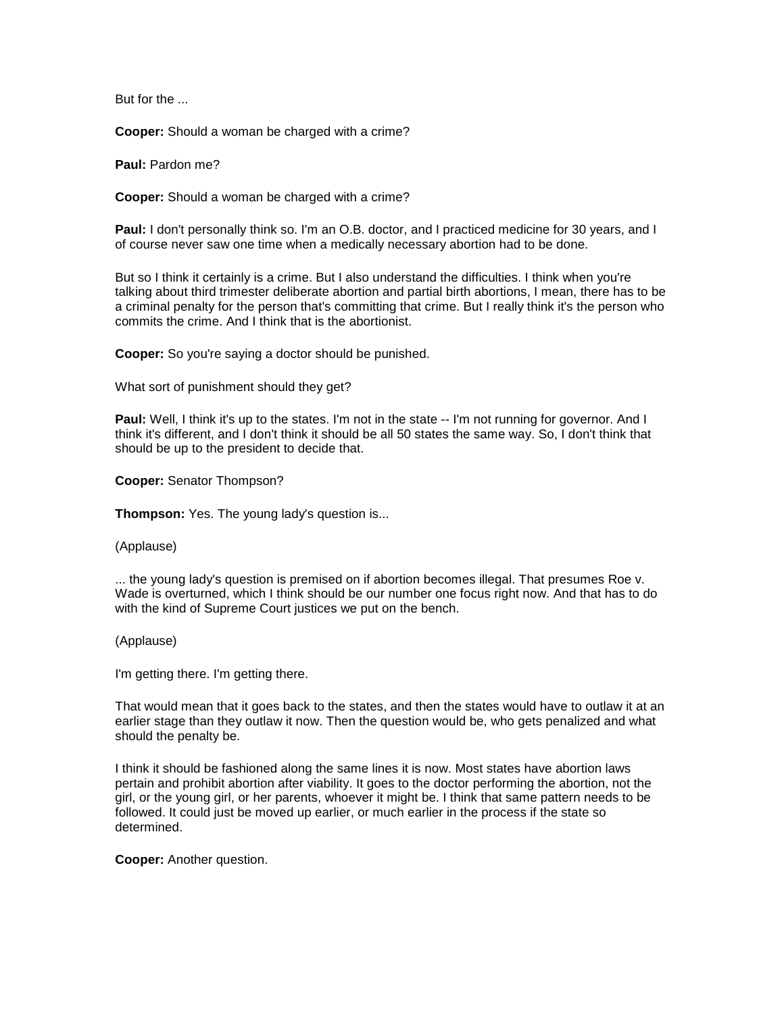But for the ...

**Cooper:** Should a woman be charged with a crime?

**Paul:** Pardon me?

**Cooper:** Should a woman be charged with a crime?

**Paul:** I don't personally think so. I'm an O.B. doctor, and I practiced medicine for 30 years, and I of course never saw one time when a medically necessary abortion had to be done.

But so I think it certainly is a crime. But I also understand the difficulties. I think when you're talking about third trimester deliberate abortion and partial birth abortions, I mean, there has to be a criminal penalty for the person that's committing that crime. But I really think it's the person who commits the crime. And I think that is the abortionist.

**Cooper:** So you're saying a doctor should be punished.

What sort of punishment should they get?

**Paul:** Well, I think it's up to the states. I'm not in the state -- I'm not running for governor. And I think it's different, and I don't think it should be all 50 states the same way. So, I don't think that should be up to the president to decide that.

**Cooper:** Senator Thompson?

**Thompson:** Yes. The young lady's question is...

(Applause)

... the young lady's question is premised on if abortion becomes illegal. That presumes Roe v. Wade is overturned, which I think should be our number one focus right now. And that has to do with the kind of Supreme Court justices we put on the bench.

(Applause)

I'm getting there. I'm getting there.

That would mean that it goes back to the states, and then the states would have to outlaw it at an earlier stage than they outlaw it now. Then the question would be, who gets penalized and what should the penalty be.

I think it should be fashioned along the same lines it is now. Most states have abortion laws pertain and prohibit abortion after viability. It goes to the doctor performing the abortion, not the girl, or the young girl, or her parents, whoever it might be. I think that same pattern needs to be followed. It could just be moved up earlier, or much earlier in the process if the state so determined.

**Cooper:** Another question.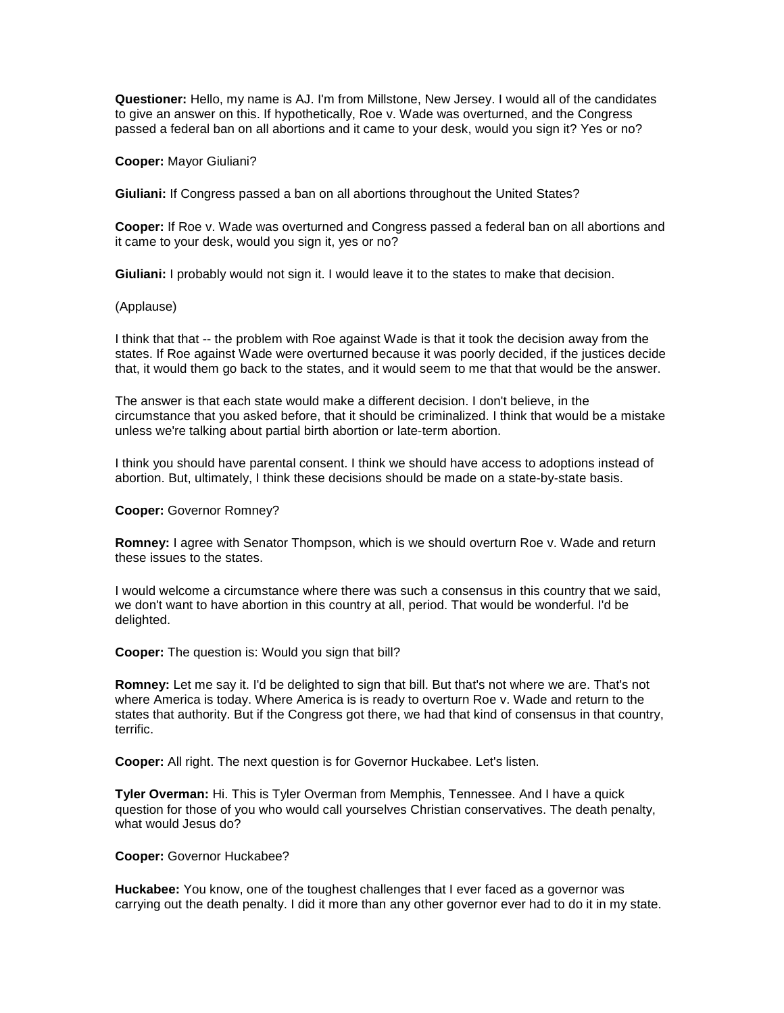**Questioner:** Hello, my name is AJ. I'm from Millstone, New Jersey. I would all of the candidates to give an answer on this. If hypothetically, Roe v. Wade was overturned, and the Congress passed a federal ban on all abortions and it came to your desk, would you sign it? Yes or no?

**Cooper:** Mayor Giuliani?

**Giuliani:** If Congress passed a ban on all abortions throughout the United States?

**Cooper:** If Roe v. Wade was overturned and Congress passed a federal ban on all abortions and it came to your desk, would you sign it, yes or no?

**Giuliani:** I probably would not sign it. I would leave it to the states to make that decision.

## (Applause)

I think that that -- the problem with Roe against Wade is that it took the decision away from the states. If Roe against Wade were overturned because it was poorly decided, if the justices decide that, it would them go back to the states, and it would seem to me that that would be the answer.

The answer is that each state would make a different decision. I don't believe, in the circumstance that you asked before, that it should be criminalized. I think that would be a mistake unless we're talking about partial birth abortion or late-term abortion.

I think you should have parental consent. I think we should have access to adoptions instead of abortion. But, ultimately, I think these decisions should be made on a state-by-state basis.

**Cooper:** Governor Romney?

**Romney:** I agree with Senator Thompson, which is we should overturn Roe v. Wade and return these issues to the states.

I would welcome a circumstance where there was such a consensus in this country that we said, we don't want to have abortion in this country at all, period. That would be wonderful. I'd be delighted.

**Cooper:** The question is: Would you sign that bill?

**Romney:** Let me say it. I'd be delighted to sign that bill. But that's not where we are. That's not where America is today. Where America is is ready to overturn Roe v. Wade and return to the states that authority. But if the Congress got there, we had that kind of consensus in that country, terrific.

**Cooper:** All right. The next question is for Governor Huckabee. Let's listen.

**Tyler Overman:** Hi. This is Tyler Overman from Memphis, Tennessee. And I have a quick question for those of you who would call yourselves Christian conservatives. The death penalty, what would Jesus do?

**Cooper:** Governor Huckabee?

**Huckabee:** You know, one of the toughest challenges that I ever faced as a governor was carrying out the death penalty. I did it more than any other governor ever had to do it in my state.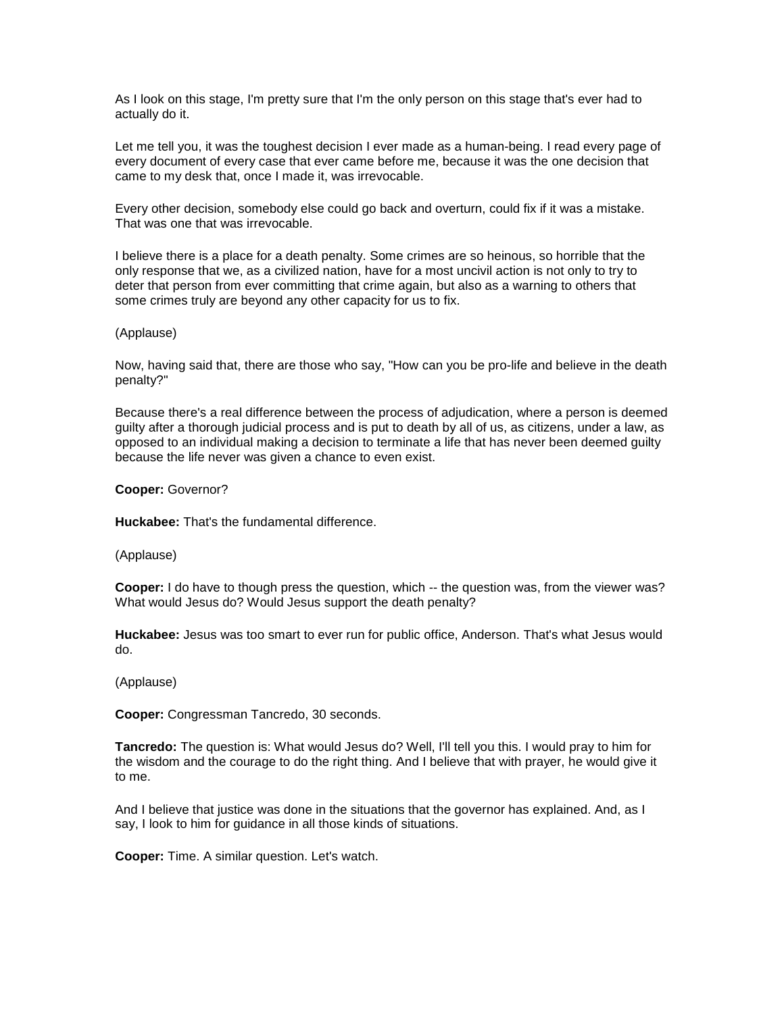As I look on this stage, I'm pretty sure that I'm the only person on this stage that's ever had to actually do it.

Let me tell you, it was the toughest decision I ever made as a human-being. I read every page of every document of every case that ever came before me, because it was the one decision that came to my desk that, once I made it, was irrevocable.

Every other decision, somebody else could go back and overturn, could fix if it was a mistake. That was one that was irrevocable.

I believe there is a place for a death penalty. Some crimes are so heinous, so horrible that the only response that we, as a civilized nation, have for a most uncivil action is not only to try to deter that person from ever committing that crime again, but also as a warning to others that some crimes truly are beyond any other capacity for us to fix.

#### (Applause)

Now, having said that, there are those who say, "How can you be pro-life and believe in the death penalty?"

Because there's a real difference between the process of adjudication, where a person is deemed guilty after a thorough judicial process and is put to death by all of us, as citizens, under a law, as opposed to an individual making a decision to terminate a life that has never been deemed guilty because the life never was given a chance to even exist.

**Cooper:** Governor?

**Huckabee:** That's the fundamental difference.

(Applause)

**Cooper:** I do have to though press the question, which -- the question was, from the viewer was? What would Jesus do? Would Jesus support the death penalty?

**Huckabee:** Jesus was too smart to ever run for public office, Anderson. That's what Jesus would do.

(Applause)

**Cooper:** Congressman Tancredo, 30 seconds.

**Tancredo:** The question is: What would Jesus do? Well, I'll tell you this. I would pray to him for the wisdom and the courage to do the right thing. And I believe that with prayer, he would give it to me.

And I believe that justice was done in the situations that the governor has explained. And, as I say, I look to him for guidance in all those kinds of situations.

**Cooper:** Time. A similar question. Let's watch.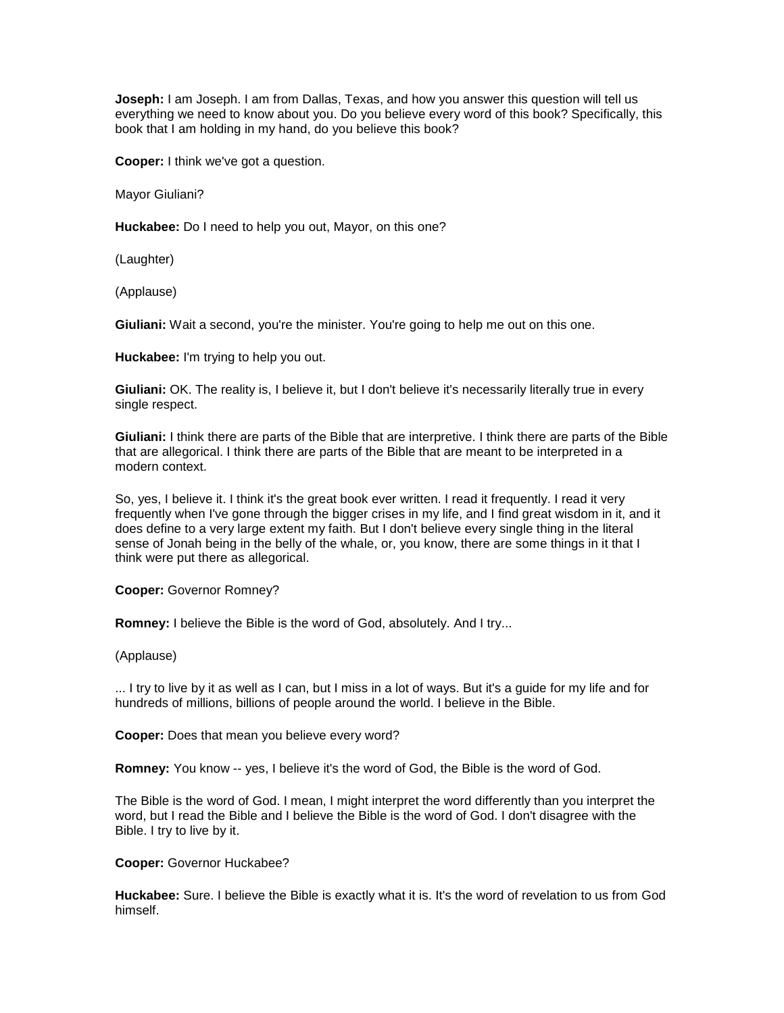**Joseph:** I am Joseph. I am from Dallas, Texas, and how you answer this question will tell us everything we need to know about you. Do you believe every word of this book? Specifically, this book that I am holding in my hand, do you believe this book?

**Cooper:** I think we've got a question.

Mayor Giuliani?

**Huckabee:** Do I need to help you out, Mayor, on this one?

(Laughter)

(Applause)

**Giuliani:** Wait a second, you're the minister. You're going to help me out on this one.

**Huckabee:** I'm trying to help you out.

Giuliani: OK. The reality is, I believe it, but I don't believe it's necessarily literally true in every single respect.

**Giuliani:** I think there are parts of the Bible that are interpretive. I think there are parts of the Bible that are allegorical. I think there are parts of the Bible that are meant to be interpreted in a modern context.

So, yes, I believe it. I think it's the great book ever written. I read it frequently. I read it very frequently when I've gone through the bigger crises in my life, and I find great wisdom in it, and it does define to a very large extent my faith. But I don't believe every single thing in the literal sense of Jonah being in the belly of the whale, or, you know, there are some things in it that I think were put there as allegorical.

**Cooper:** Governor Romney?

**Romney:** I believe the Bible is the word of God, absolutely. And I try...

(Applause)

... I try to live by it as well as I can, but I miss in a lot of ways. But it's a guide for my life and for hundreds of millions, billions of people around the world. I believe in the Bible.

**Cooper:** Does that mean you believe every word?

**Romney:** You know -- yes, I believe it's the word of God, the Bible is the word of God.

The Bible is the word of God. I mean, I might interpret the word differently than you interpret the word, but I read the Bible and I believe the Bible is the word of God. I don't disagree with the Bible. I try to live by it.

**Cooper:** Governor Huckabee?

**Huckabee:** Sure. I believe the Bible is exactly what it is. It's the word of revelation to us from God himself.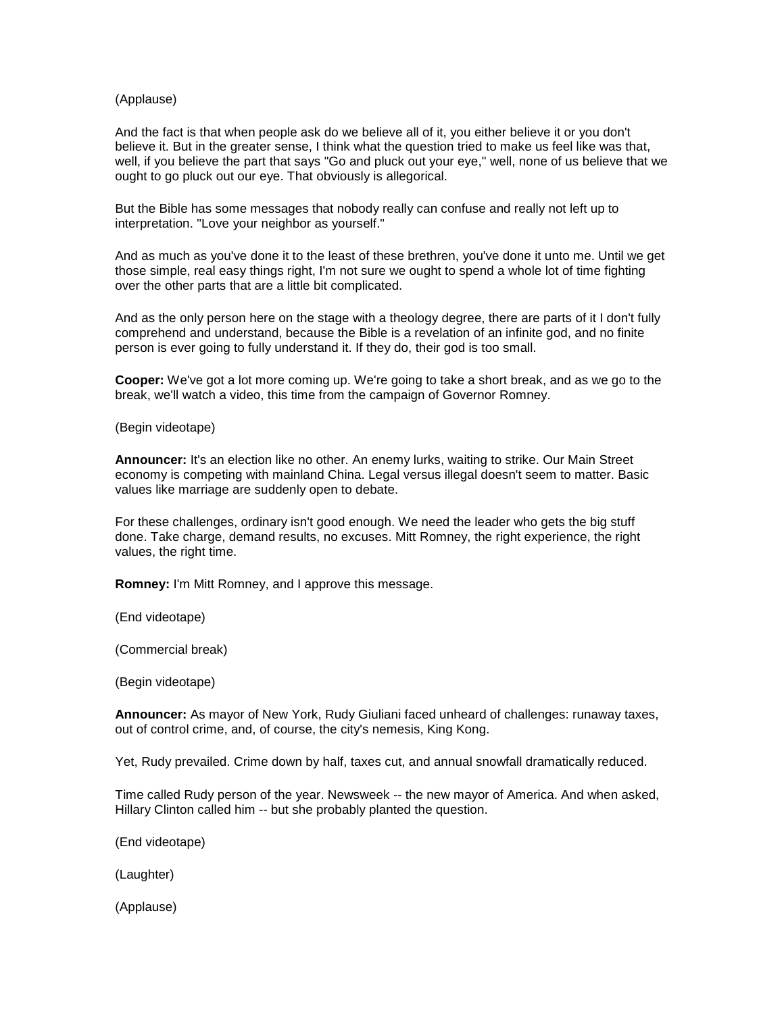## (Applause)

And the fact is that when people ask do we believe all of it, you either believe it or you don't believe it. But in the greater sense, I think what the question tried to make us feel like was that, well, if you believe the part that says "Go and pluck out your eye," well, none of us believe that we ought to go pluck out our eye. That obviously is allegorical.

But the Bible has some messages that nobody really can confuse and really not left up to interpretation. "Love your neighbor as yourself."

And as much as you've done it to the least of these brethren, you've done it unto me. Until we get those simple, real easy things right, I'm not sure we ought to spend a whole lot of time fighting over the other parts that are a little bit complicated.

And as the only person here on the stage with a theology degree, there are parts of it I don't fully comprehend and understand, because the Bible is a revelation of an infinite god, and no finite person is ever going to fully understand it. If they do, their god is too small.

**Cooper:** We've got a lot more coming up. We're going to take a short break, and as we go to the break, we'll watch a video, this time from the campaign of Governor Romney.

(Begin videotape)

**Announcer:** It's an election like no other. An enemy lurks, waiting to strike. Our Main Street economy is competing with mainland China. Legal versus illegal doesn't seem to matter. Basic values like marriage are suddenly open to debate.

For these challenges, ordinary isn't good enough. We need the leader who gets the big stuff done. Take charge, demand results, no excuses. Mitt Romney, the right experience, the right values, the right time.

**Romney:** I'm Mitt Romney, and I approve this message.

(End videotape)

(Commercial break)

(Begin videotape)

**Announcer:** As mayor of New York, Rudy Giuliani faced unheard of challenges: runaway taxes, out of control crime, and, of course, the city's nemesis, King Kong.

Yet, Rudy prevailed. Crime down by half, taxes cut, and annual snowfall dramatically reduced.

Time called Rudy person of the year. Newsweek -- the new mayor of America. And when asked, Hillary Clinton called him -- but she probably planted the question.

(End videotape)

(Laughter)

(Applause)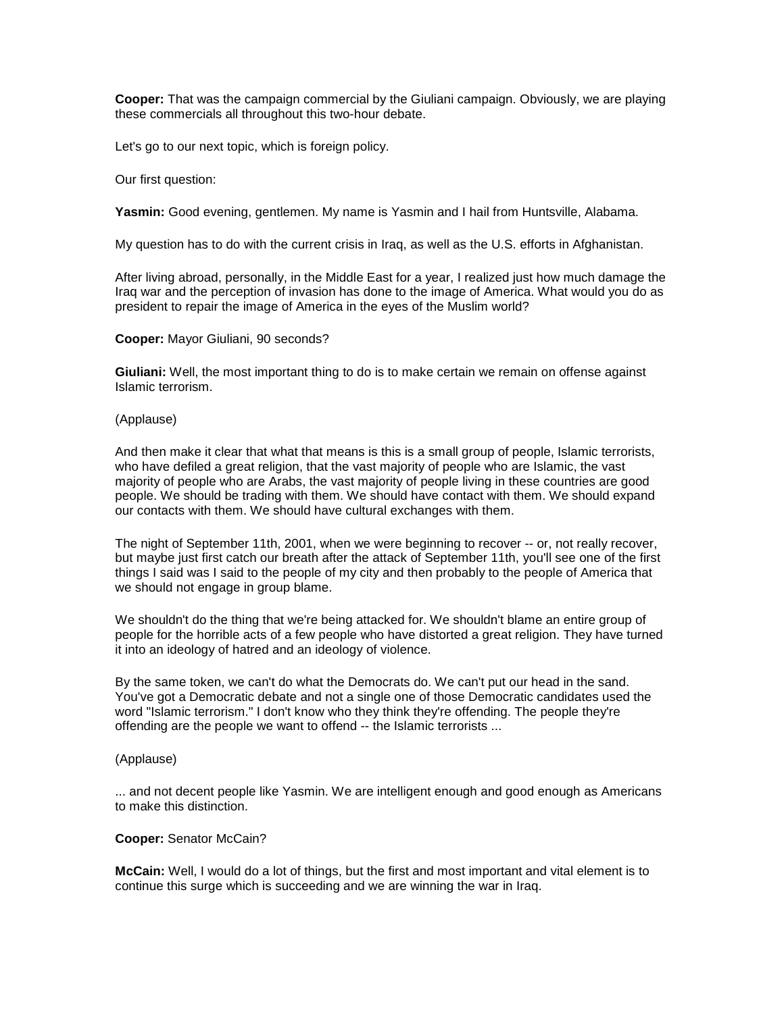**Cooper:** That was the campaign commercial by the Giuliani campaign. Obviously, we are playing these commercials all throughout this two-hour debate.

Let's go to our next topic, which is foreign policy.

Our first question:

**Yasmin:** Good evening, gentlemen. My name is Yasmin and I hail from Huntsville, Alabama.

My question has to do with the current crisis in Iraq, as well as the U.S. efforts in Afghanistan.

After living abroad, personally, in the Middle East for a year, I realized just how much damage the Iraq war and the perception of invasion has done to the image of America. What would you do as president to repair the image of America in the eyes of the Muslim world?

**Cooper:** Mayor Giuliani, 90 seconds?

**Giuliani:** Well, the most important thing to do is to make certain we remain on offense against Islamic terrorism.

#### (Applause)

And then make it clear that what that means is this is a small group of people, Islamic terrorists, who have defiled a great religion, that the vast majority of people who are Islamic, the vast majority of people who are Arabs, the vast majority of people living in these countries are good people. We should be trading with them. We should have contact with them. We should expand our contacts with them. We should have cultural exchanges with them.

The night of September 11th, 2001, when we were beginning to recover -- or, not really recover, but maybe just first catch our breath after the attack of September 11th, you'll see one of the first things I said was I said to the people of my city and then probably to the people of America that we should not engage in group blame.

We shouldn't do the thing that we're being attacked for. We shouldn't blame an entire group of people for the horrible acts of a few people who have distorted a great religion. They have turned it into an ideology of hatred and an ideology of violence.

By the same token, we can't do what the Democrats do. We can't put our head in the sand. You've got a Democratic debate and not a single one of those Democratic candidates used the word "Islamic terrorism." I don't know who they think they're offending. The people they're offending are the people we want to offend -- the Islamic terrorists ...

#### (Applause)

... and not decent people like Yasmin. We are intelligent enough and good enough as Americans to make this distinction.

## **Cooper:** Senator McCain?

**McCain:** Well, I would do a lot of things, but the first and most important and vital element is to continue this surge which is succeeding and we are winning the war in Iraq.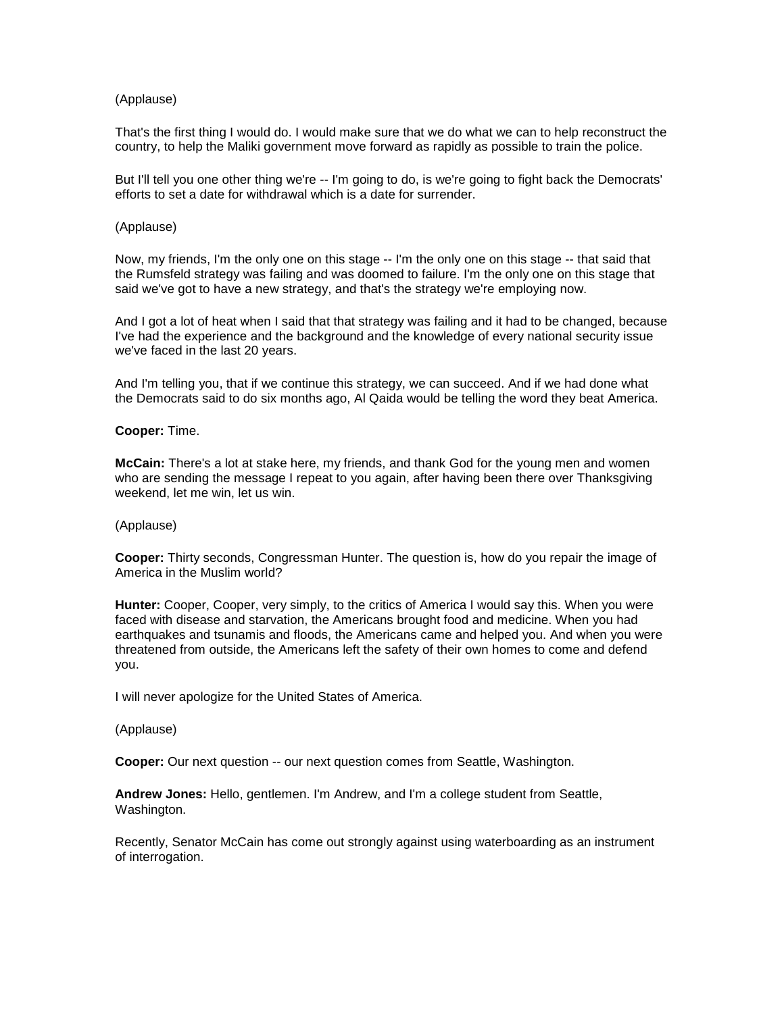# (Applause)

That's the first thing I would do. I would make sure that we do what we can to help reconstruct the country, to help the Maliki government move forward as rapidly as possible to train the police.

But I'll tell you one other thing we're -- I'm going to do, is we're going to fight back the Democrats' efforts to set a date for withdrawal which is a date for surrender.

#### (Applause)

Now, my friends, I'm the only one on this stage -- I'm the only one on this stage -- that said that the Rumsfeld strategy was failing and was doomed to failure. I'm the only one on this stage that said we've got to have a new strategy, and that's the strategy we're employing now.

And I got a lot of heat when I said that that strategy was failing and it had to be changed, because I've had the experience and the background and the knowledge of every national security issue we've faced in the last 20 years.

And I'm telling you, that if we continue this strategy, we can succeed. And if we had done what the Democrats said to do six months ago, Al Qaida would be telling the word they beat America.

#### **Cooper:** Time.

**McCain:** There's a lot at stake here, my friends, and thank God for the young men and women who are sending the message I repeat to you again, after having been there over Thanksgiving weekend, let me win, let us win.

#### (Applause)

**Cooper:** Thirty seconds, Congressman Hunter. The question is, how do you repair the image of America in the Muslim world?

**Hunter:** Cooper, Cooper, very simply, to the critics of America I would say this. When you were faced with disease and starvation, the Americans brought food and medicine. When you had earthquakes and tsunamis and floods, the Americans came and helped you. And when you were threatened from outside, the Americans left the safety of their own homes to come and defend you.

I will never apologize for the United States of America.

#### (Applause)

**Cooper:** Our next question -- our next question comes from Seattle, Washington.

**Andrew Jones:** Hello, gentlemen. I'm Andrew, and I'm a college student from Seattle, Washington.

Recently, Senator McCain has come out strongly against using waterboarding as an instrument of interrogation.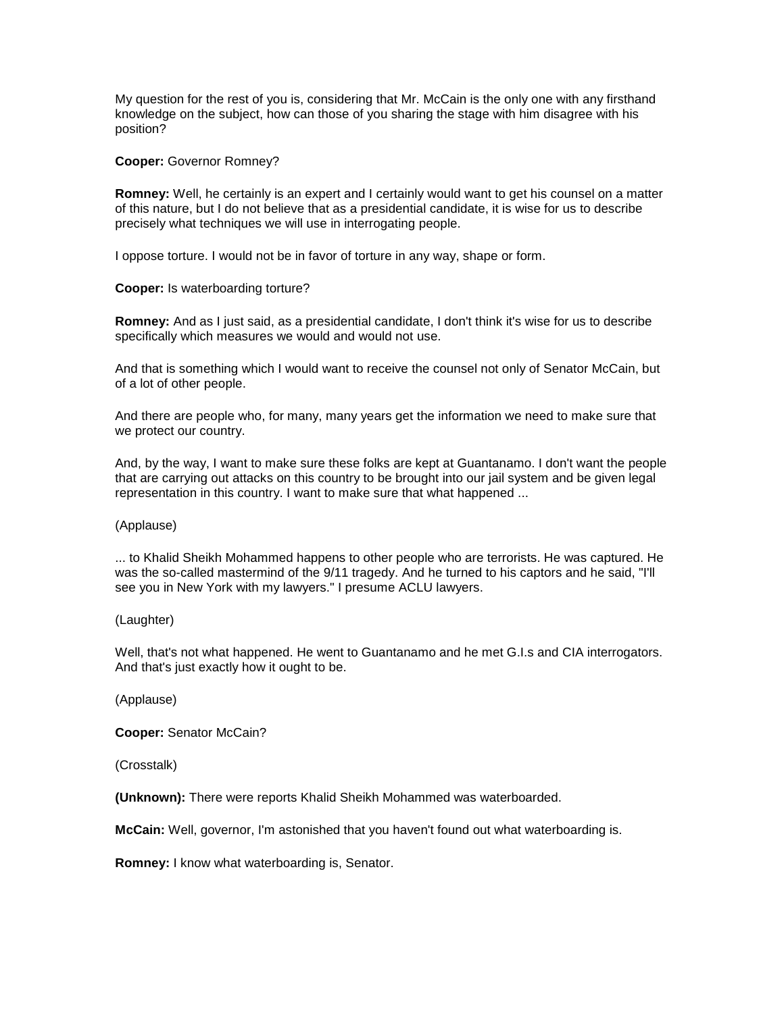My question for the rest of you is, considering that Mr. McCain is the only one with any firsthand knowledge on the subject, how can those of you sharing the stage with him disagree with his position?

**Cooper:** Governor Romney?

**Romney:** Well, he certainly is an expert and I certainly would want to get his counsel on a matter of this nature, but I do not believe that as a presidential candidate, it is wise for us to describe precisely what techniques we will use in interrogating people.

I oppose torture. I would not be in favor of torture in any way, shape or form.

**Cooper:** Is waterboarding torture?

**Romney:** And as I just said, as a presidential candidate, I don't think it's wise for us to describe specifically which measures we would and would not use.

And that is something which I would want to receive the counsel not only of Senator McCain, but of a lot of other people.

And there are people who, for many, many years get the information we need to make sure that we protect our country.

And, by the way, I want to make sure these folks are kept at Guantanamo. I don't want the people that are carrying out attacks on this country to be brought into our jail system and be given legal representation in this country. I want to make sure that what happened ...

(Applause)

... to Khalid Sheikh Mohammed happens to other people who are terrorists. He was captured. He was the so-called mastermind of the 9/11 tragedy. And he turned to his captors and he said, "I'll see you in New York with my lawyers." I presume ACLU lawyers.

(Laughter)

Well, that's not what happened. He went to Guantanamo and he met G.I.s and CIA interrogators. And that's just exactly how it ought to be.

(Applause)

**Cooper:** Senator McCain?

(Crosstalk)

**(Unknown):** There were reports Khalid Sheikh Mohammed was waterboarded.

**McCain:** Well, governor, I'm astonished that you haven't found out what waterboarding is.

**Romney:** I know what waterboarding is, Senator.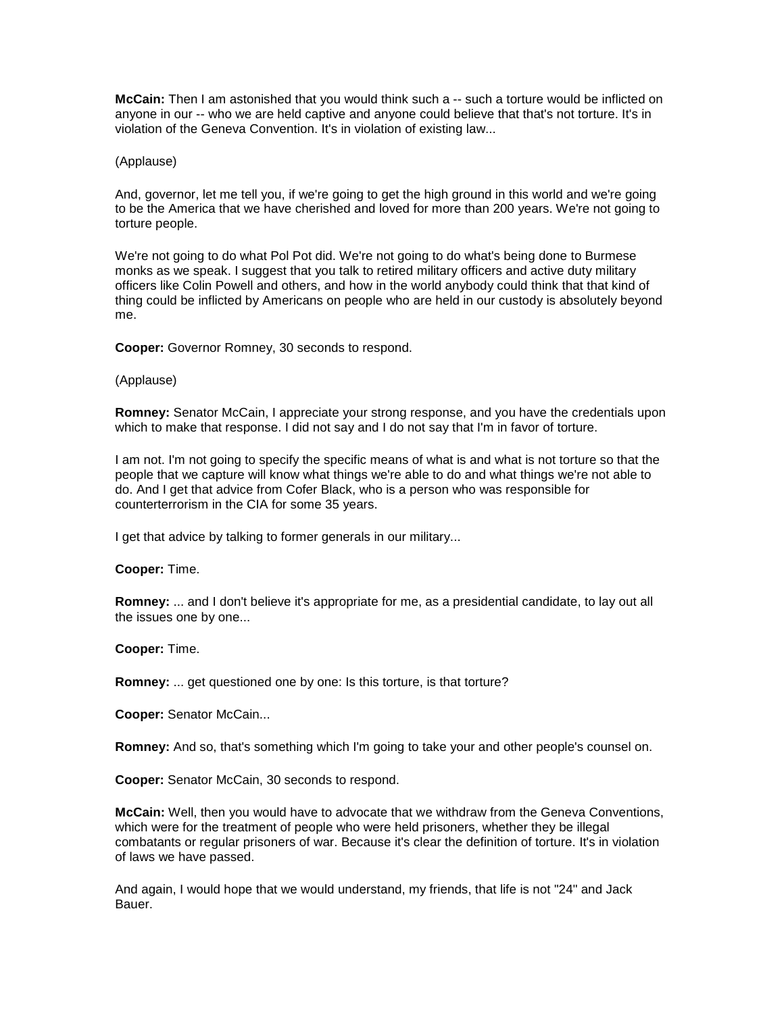**McCain:** Then I am astonished that you would think such a -- such a torture would be inflicted on anyone in our -- who we are held captive and anyone could believe that that's not torture. It's in violation of the Geneva Convention. It's in violation of existing law...

# (Applause)

And, governor, let me tell you, if we're going to get the high ground in this world and we're going to be the America that we have cherished and loved for more than 200 years. We're not going to torture people.

We're not going to do what Pol Pot did. We're not going to do what's being done to Burmese monks as we speak. I suggest that you talk to retired military officers and active duty military officers like Colin Powell and others, and how in the world anybody could think that that kind of thing could be inflicted by Americans on people who are held in our custody is absolutely beyond me.

**Cooper:** Governor Romney, 30 seconds to respond.

## (Applause)

**Romney:** Senator McCain, I appreciate your strong response, and you have the credentials upon which to make that response. I did not say and I do not say that I'm in favor of torture.

I am not. I'm not going to specify the specific means of what is and what is not torture so that the people that we capture will know what things we're able to do and what things we're not able to do. And I get that advice from Cofer Black, who is a person who was responsible for counterterrorism in the CIA for some 35 years.

I get that advice by talking to former generals in our military...

# **Cooper:** Time.

**Romney:** ... and I don't believe it's appropriate for me, as a presidential candidate, to lay out all the issues one by one...

**Cooper:** Time.

**Romney:** ... get questioned one by one: Is this torture, is that torture?

**Cooper:** Senator McCain...

**Romney:** And so, that's something which I'm going to take your and other people's counsel on.

**Cooper:** Senator McCain, 30 seconds to respond.

**McCain:** Well, then you would have to advocate that we withdraw from the Geneva Conventions, which were for the treatment of people who were held prisoners, whether they be illegal combatants or regular prisoners of war. Because it's clear the definition of torture. It's in violation of laws we have passed.

And again, I would hope that we would understand, my friends, that life is not "24" and Jack Bauer.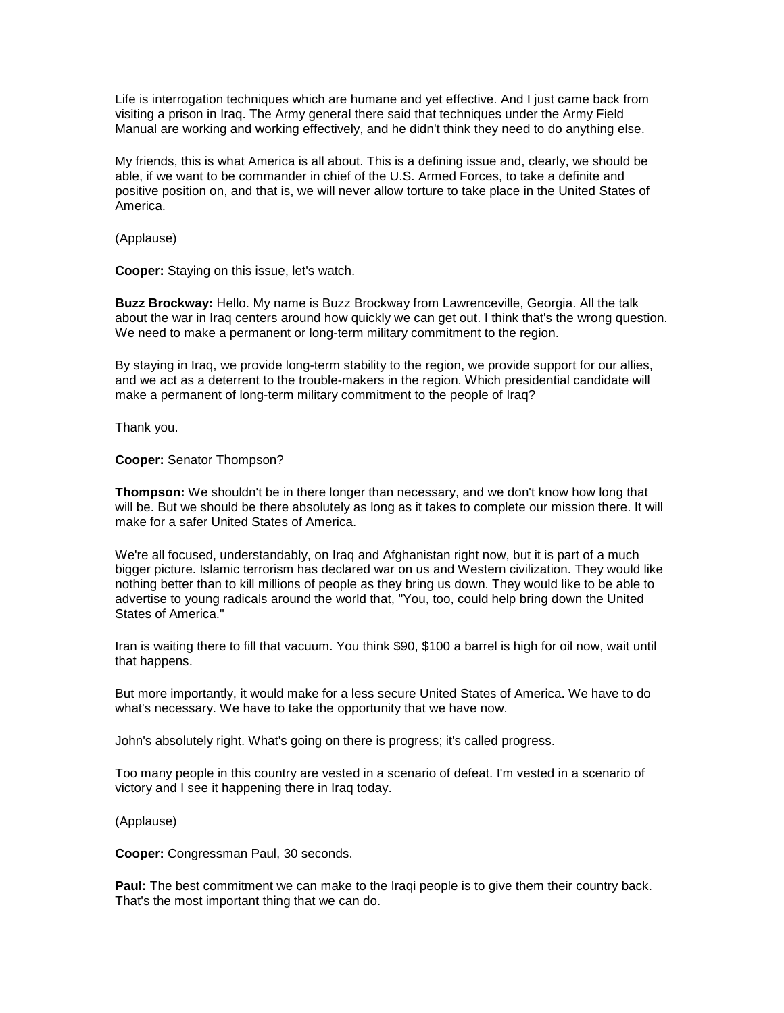Life is interrogation techniques which are humane and yet effective. And I just came back from visiting a prison in Iraq. The Army general there said that techniques under the Army Field Manual are working and working effectively, and he didn't think they need to do anything else.

My friends, this is what America is all about. This is a defining issue and, clearly, we should be able, if we want to be commander in chief of the U.S. Armed Forces, to take a definite and positive position on, and that is, we will never allow torture to take place in the United States of America.

(Applause)

**Cooper:** Staying on this issue, let's watch.

**Buzz Brockway:** Hello. My name is Buzz Brockway from Lawrenceville, Georgia. All the talk about the war in Iraq centers around how quickly we can get out. I think that's the wrong question. We need to make a permanent or long-term military commitment to the region.

By staying in Iraq, we provide long-term stability to the region, we provide support for our allies, and we act as a deterrent to the trouble-makers in the region. Which presidential candidate will make a permanent of long-term military commitment to the people of Iraq?

Thank you.

**Cooper:** Senator Thompson?

**Thompson:** We shouldn't be in there longer than necessary, and we don't know how long that will be. But we should be there absolutely as long as it takes to complete our mission there. It will make for a safer United States of America.

We're all focused, understandably, on Iraq and Afghanistan right now, but it is part of a much bigger picture. Islamic terrorism has declared war on us and Western civilization. They would like nothing better than to kill millions of people as they bring us down. They would like to be able to advertise to young radicals around the world that, "You, too, could help bring down the United States of America."

Iran is waiting there to fill that vacuum. You think \$90, \$100 a barrel is high for oil now, wait until that happens.

But more importantly, it would make for a less secure United States of America. We have to do what's necessary. We have to take the opportunity that we have now.

John's absolutely right. What's going on there is progress; it's called progress.

Too many people in this country are vested in a scenario of defeat. I'm vested in a scenario of victory and I see it happening there in Iraq today.

(Applause)

**Cooper:** Congressman Paul, 30 seconds.

**Paul:** The best commitment we can make to the Iraqi people is to give them their country back. That's the most important thing that we can do.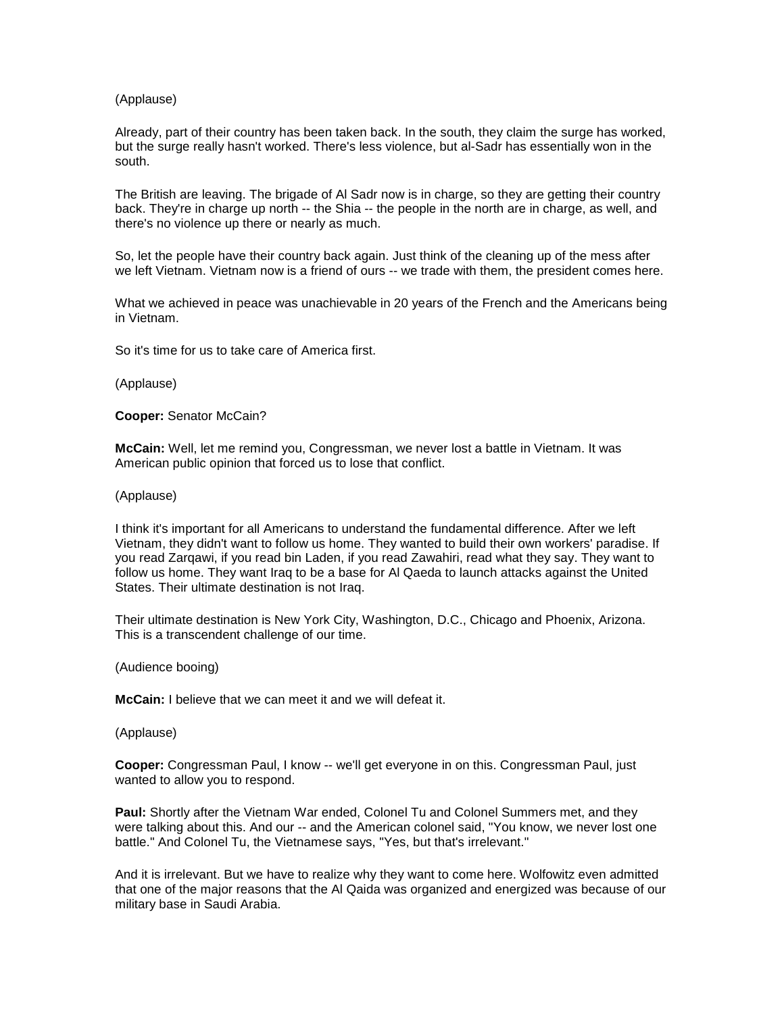## (Applause)

Already, part of their country has been taken back. In the south, they claim the surge has worked, but the surge really hasn't worked. There's less violence, but al-Sadr has essentially won in the south.

The British are leaving. The brigade of Al Sadr now is in charge, so they are getting their country back. They're in charge up north -- the Shia -- the people in the north are in charge, as well, and there's no violence up there or nearly as much.

So, let the people have their country back again. Just think of the cleaning up of the mess after we left Vietnam. Vietnam now is a friend of ours -- we trade with them, the president comes here.

What we achieved in peace was unachievable in 20 years of the French and the Americans being in Vietnam.

So it's time for us to take care of America first.

(Applause)

**Cooper:** Senator McCain?

**McCain:** Well, let me remind you, Congressman, we never lost a battle in Vietnam. It was American public opinion that forced us to lose that conflict.

#### (Applause)

I think it's important for all Americans to understand the fundamental difference. After we left Vietnam, they didn't want to follow us home. They wanted to build their own workers' paradise. If you read Zarqawi, if you read bin Laden, if you read Zawahiri, read what they say. They want to follow us home. They want Iraq to be a base for Al Qaeda to launch attacks against the United States. Their ultimate destination is not Iraq.

Their ultimate destination is New York City, Washington, D.C., Chicago and Phoenix, Arizona. This is a transcendent challenge of our time.

(Audience booing)

**McCain:** I believe that we can meet it and we will defeat it.

(Applause)

**Cooper:** Congressman Paul, I know -- we'll get everyone in on this. Congressman Paul, just wanted to allow you to respond.

**Paul:** Shortly after the Vietnam War ended, Colonel Tu and Colonel Summers met, and they were talking about this. And our -- and the American colonel said, "You know, we never lost one battle." And Colonel Tu, the Vietnamese says, "Yes, but that's irrelevant."

And it is irrelevant. But we have to realize why they want to come here. Wolfowitz even admitted that one of the major reasons that the Al Qaida was organized and energized was because of our military base in Saudi Arabia.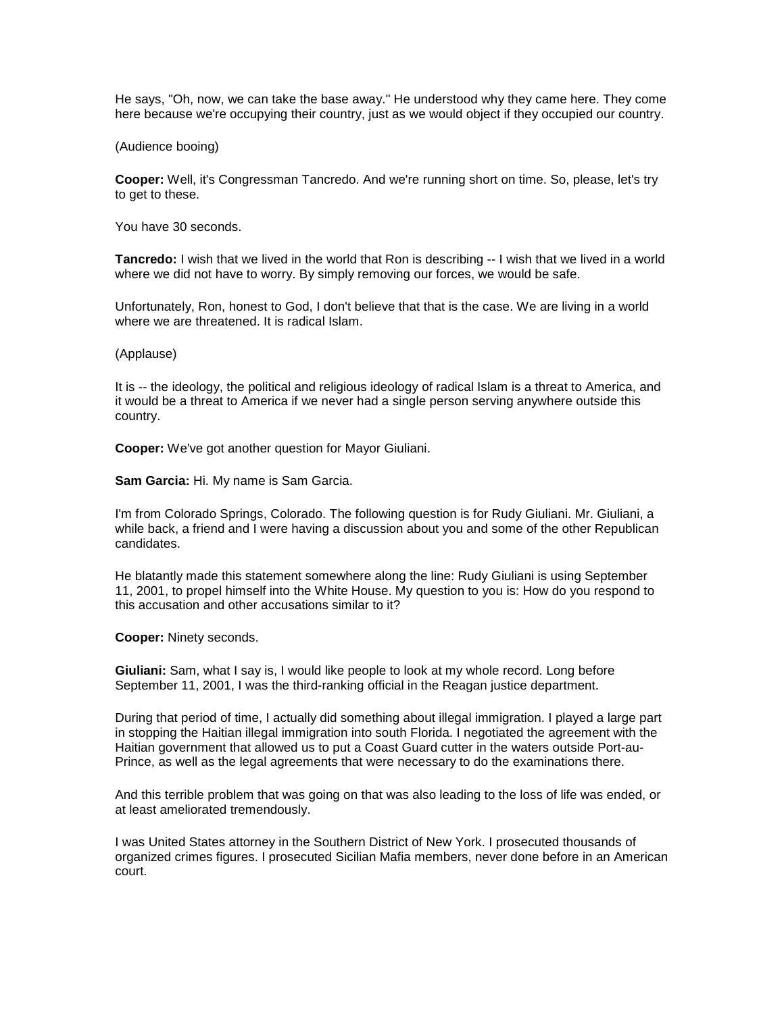He says, "Oh, now, we can take the base away." He understood why they came here. They come here because we're occupying their country, just as we would object if they occupied our country.

(Audience booing)

**Cooper:** Well, it's Congressman Tancredo. And we're running short on time. So, please, let's try to get to these.

You have 30 seconds.

**Tancredo:** I wish that we lived in the world that Ron is describing -- I wish that we lived in a world where we did not have to worry. By simply removing our forces, we would be safe.

Unfortunately, Ron, honest to God, I don't believe that that is the case. We are living in a world where we are threatened. It is radical Islam.

(Applause)

It is -- the ideology, the political and religious ideology of radical Islam is a threat to America, and it would be a threat to America if we never had a single person serving anywhere outside this country.

**Cooper:** We've got another question for Mayor Giuliani.

**Sam Garcia:** Hi. My name is Sam Garcia.

I'm from Colorado Springs, Colorado. The following question is for Rudy Giuliani. Mr. Giuliani, a while back, a friend and I were having a discussion about you and some of the other Republican candidates.

He blatantly made this statement somewhere along the line: Rudy Giuliani is using September 11, 2001, to propel himself into the White House. My question to you is: How do you respond to this accusation and other accusations similar to it?

**Cooper:** Ninety seconds.

**Giuliani:** Sam, what I say is, I would like people to look at my whole record. Long before September 11, 2001, I was the third-ranking official in the Reagan justice department.

During that period of time, I actually did something about illegal immigration. I played a large part in stopping the Haitian illegal immigration into south Florida. I negotiated the agreement with the Haitian government that allowed us to put a Coast Guard cutter in the waters outside Port-au-Prince, as well as the legal agreements that were necessary to do the examinations there.

And this terrible problem that was going on that was also leading to the loss of life was ended, or at least ameliorated tremendously.

I was United States attorney in the Southern District of New York. I prosecuted thousands of organized crimes figures. I prosecuted Sicilian Mafia members, never done before in an American court.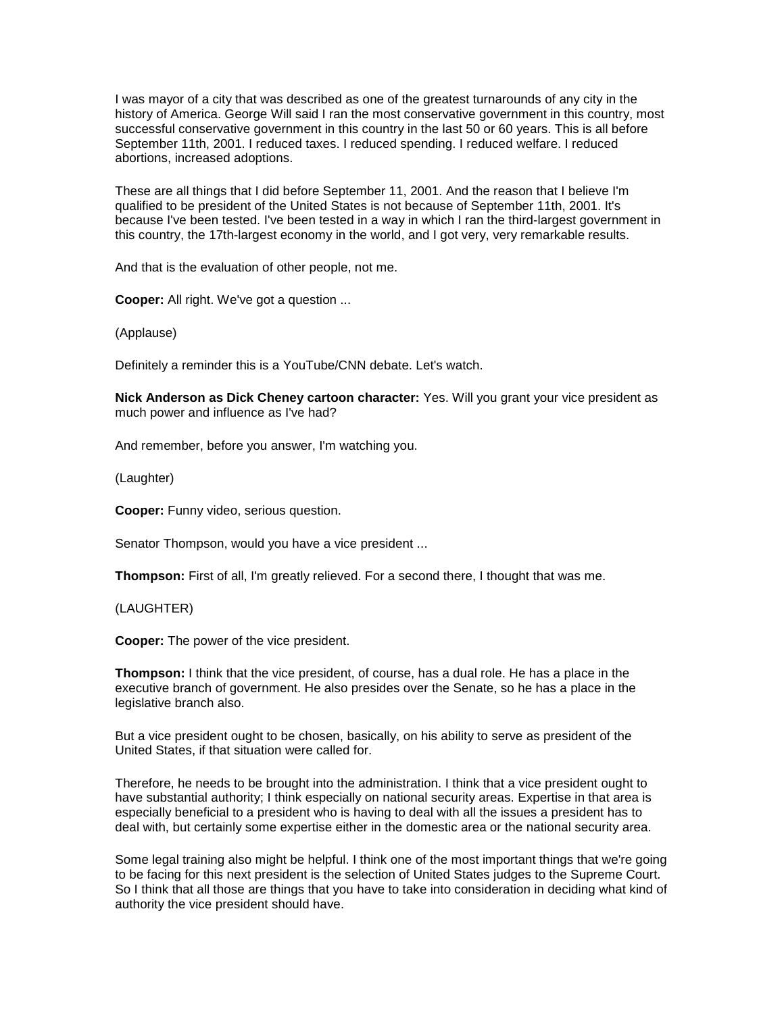I was mayor of a city that was described as one of the greatest turnarounds of any city in the history of America. George Will said I ran the most conservative government in this country, most successful conservative government in this country in the last 50 or 60 years. This is all before September 11th, 2001. I reduced taxes. I reduced spending. I reduced welfare. I reduced abortions, increased adoptions.

These are all things that I did before September 11, 2001. And the reason that I believe I'm qualified to be president of the United States is not because of September 11th, 2001. It's because I've been tested. I've been tested in a way in which I ran the third-largest government in this country, the 17th-largest economy in the world, and I got very, very remarkable results.

And that is the evaluation of other people, not me.

**Cooper:** All right. We've got a question ...

(Applause)

Definitely a reminder this is a YouTube/CNN debate. Let's watch.

**Nick Anderson as Dick Cheney cartoon character:** Yes. Will you grant your vice president as much power and influence as I've had?

And remember, before you answer, I'm watching you.

(Laughter)

**Cooper:** Funny video, serious question.

Senator Thompson, would you have a vice president ...

**Thompson:** First of all, I'm greatly relieved. For a second there, I thought that was me.

# (LAUGHTER)

**Cooper:** The power of the vice president.

**Thompson:** I think that the vice president, of course, has a dual role. He has a place in the executive branch of government. He also presides over the Senate, so he has a place in the legislative branch also.

But a vice president ought to be chosen, basically, on his ability to serve as president of the United States, if that situation were called for.

Therefore, he needs to be brought into the administration. I think that a vice president ought to have substantial authority; I think especially on national security areas. Expertise in that area is especially beneficial to a president who is having to deal with all the issues a president has to deal with, but certainly some expertise either in the domestic area or the national security area.

Some legal training also might be helpful. I think one of the most important things that we're going to be facing for this next president is the selection of United States judges to the Supreme Court. So I think that all those are things that you have to take into consideration in deciding what kind of authority the vice president should have.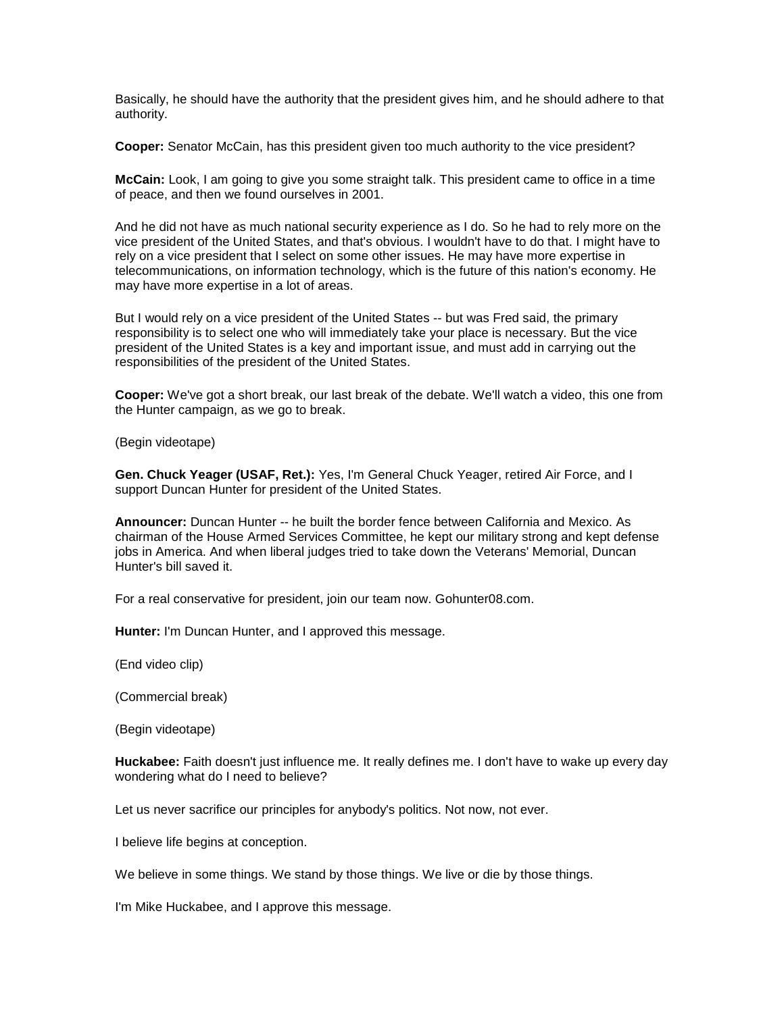Basically, he should have the authority that the president gives him, and he should adhere to that authority.

**Cooper:** Senator McCain, has this president given too much authority to the vice president?

**McCain:** Look, I am going to give you some straight talk. This president came to office in a time of peace, and then we found ourselves in 2001.

And he did not have as much national security experience as I do. So he had to rely more on the vice president of the United States, and that's obvious. I wouldn't have to do that. I might have to rely on a vice president that I select on some other issues. He may have more expertise in telecommunications, on information technology, which is the future of this nation's economy. He may have more expertise in a lot of areas.

But I would rely on a vice president of the United States -- but was Fred said, the primary responsibility is to select one who will immediately take your place is necessary. But the vice president of the United States is a key and important issue, and must add in carrying out the responsibilities of the president of the United States.

**Cooper:** We've got a short break, our last break of the debate. We'll watch a video, this one from the Hunter campaign, as we go to break.

(Begin videotape)

**Gen. Chuck Yeager (USAF, Ret.):** Yes, I'm General Chuck Yeager, retired Air Force, and I support Duncan Hunter for president of the United States.

**Announcer:** Duncan Hunter -- he built the border fence between California and Mexico. As chairman of the House Armed Services Committee, he kept our military strong and kept defense jobs in America. And when liberal judges tried to take down the Veterans' Memorial, Duncan Hunter's bill saved it.

For a real conservative for president, join our team now. Gohunter08.com.

**Hunter:** I'm Duncan Hunter, and I approved this message.

(End video clip)

(Commercial break)

(Begin videotape)

**Huckabee:** Faith doesn't just influence me. It really defines me. I don't have to wake up every day wondering what do I need to believe?

Let us never sacrifice our principles for anybody's politics. Not now, not ever.

I believe life begins at conception.

We believe in some things. We stand by those things. We live or die by those things.

I'm Mike Huckabee, and I approve this message.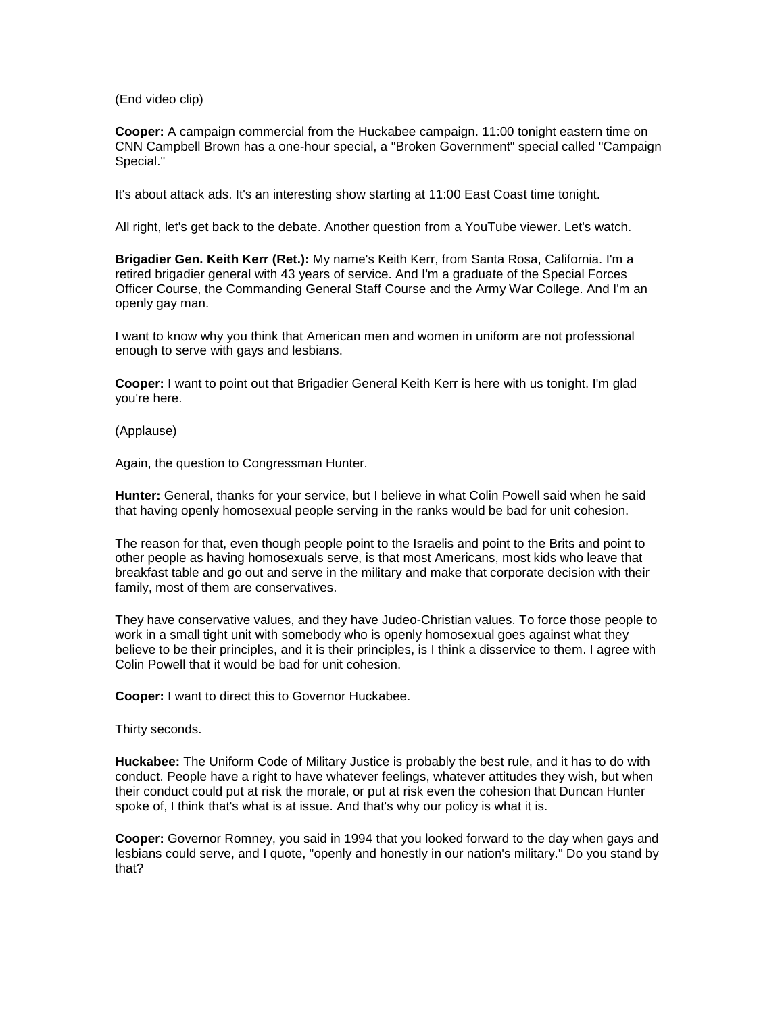(End video clip)

**Cooper:** A campaign commercial from the Huckabee campaign. 11:00 tonight eastern time on CNN Campbell Brown has a one-hour special, a "Broken Government" special called "Campaign Special."

It's about attack ads. It's an interesting show starting at 11:00 East Coast time tonight.

All right, let's get back to the debate. Another question from a YouTube viewer. Let's watch.

**Brigadier Gen. Keith Kerr (Ret.):** My name's Keith Kerr, from Santa Rosa, California. I'm a retired brigadier general with 43 years of service. And I'm a graduate of the Special Forces Officer Course, the Commanding General Staff Course and the Army War College. And I'm an openly gay man.

I want to know why you think that American men and women in uniform are not professional enough to serve with gays and lesbians.

**Cooper:** I want to point out that Brigadier General Keith Kerr is here with us tonight. I'm glad you're here.

(Applause)

Again, the question to Congressman Hunter.

**Hunter:** General, thanks for your service, but I believe in what Colin Powell said when he said that having openly homosexual people serving in the ranks would be bad for unit cohesion.

The reason for that, even though people point to the Israelis and point to the Brits and point to other people as having homosexuals serve, is that most Americans, most kids who leave that breakfast table and go out and serve in the military and make that corporate decision with their family, most of them are conservatives.

They have conservative values, and they have Judeo-Christian values. To force those people to work in a small tight unit with somebody who is openly homosexual goes against what they believe to be their principles, and it is their principles, is I think a disservice to them. I agree with Colin Powell that it would be bad for unit cohesion.

**Cooper:** I want to direct this to Governor Huckabee.

Thirty seconds.

**Huckabee:** The Uniform Code of Military Justice is probably the best rule, and it has to do with conduct. People have a right to have whatever feelings, whatever attitudes they wish, but when their conduct could put at risk the morale, or put at risk even the cohesion that Duncan Hunter spoke of, I think that's what is at issue. And that's why our policy is what it is.

**Cooper:** Governor Romney, you said in 1994 that you looked forward to the day when gays and lesbians could serve, and I quote, "openly and honestly in our nation's military." Do you stand by that?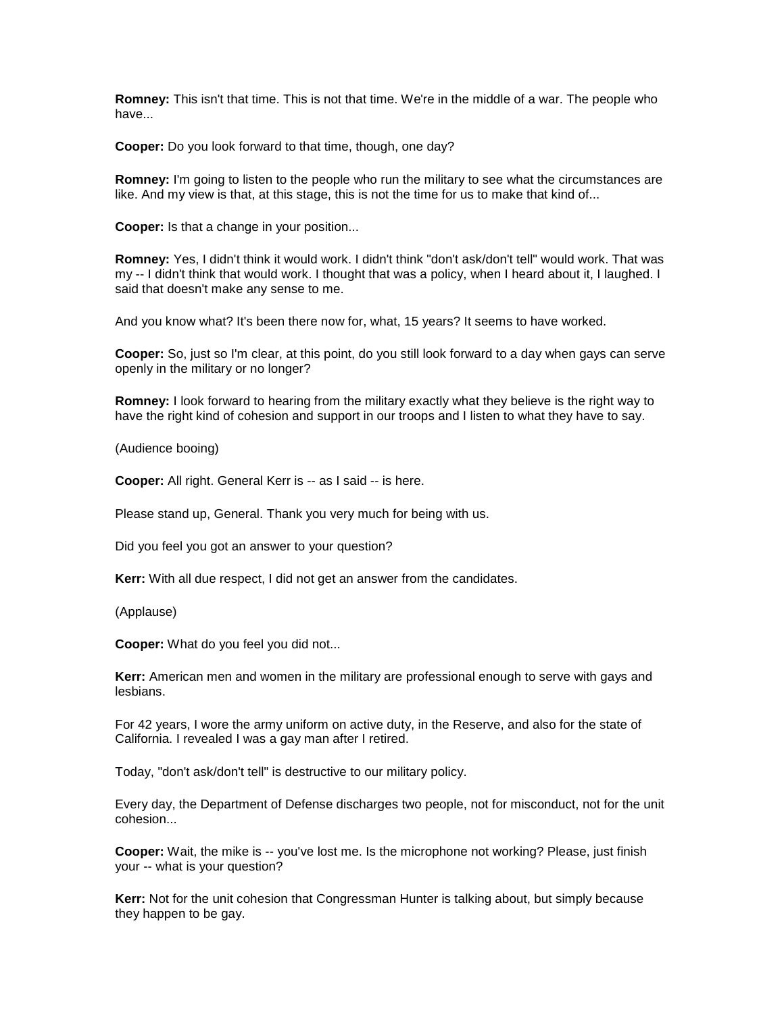**Romney:** This isn't that time. This is not that time. We're in the middle of a war. The people who have...

**Cooper:** Do you look forward to that time, though, one day?

**Romney:** I'm going to listen to the people who run the military to see what the circumstances are like. And my view is that, at this stage, this is not the time for us to make that kind of...

**Cooper:** Is that a change in your position...

**Romney:** Yes, I didn't think it would work. I didn't think "don't ask/don't tell" would work. That was my -- I didn't think that would work. I thought that was a policy, when I heard about it, I laughed. I said that doesn't make any sense to me.

And you know what? It's been there now for, what, 15 years? It seems to have worked.

**Cooper:** So, just so I'm clear, at this point, do you still look forward to a day when gays can serve openly in the military or no longer?

**Romney:** I look forward to hearing from the military exactly what they believe is the right way to have the right kind of cohesion and support in our troops and I listen to what they have to say.

(Audience booing)

**Cooper:** All right. General Kerr is -- as I said -- is here.

Please stand up, General. Thank you very much for being with us.

Did you feel you got an answer to your question?

**Kerr:** With all due respect, I did not get an answer from the candidates.

(Applause)

**Cooper:** What do you feel you did not...

**Kerr:** American men and women in the military are professional enough to serve with gays and lesbians.

For 42 years, I wore the army uniform on active duty, in the Reserve, and also for the state of California. I revealed I was a gay man after I retired.

Today, "don't ask/don't tell" is destructive to our military policy.

Every day, the Department of Defense discharges two people, not for misconduct, not for the unit cohesion...

**Cooper:** Wait, the mike is -- you've lost me. Is the microphone not working? Please, just finish your -- what is your question?

**Kerr:** Not for the unit cohesion that Congressman Hunter is talking about, but simply because they happen to be gay.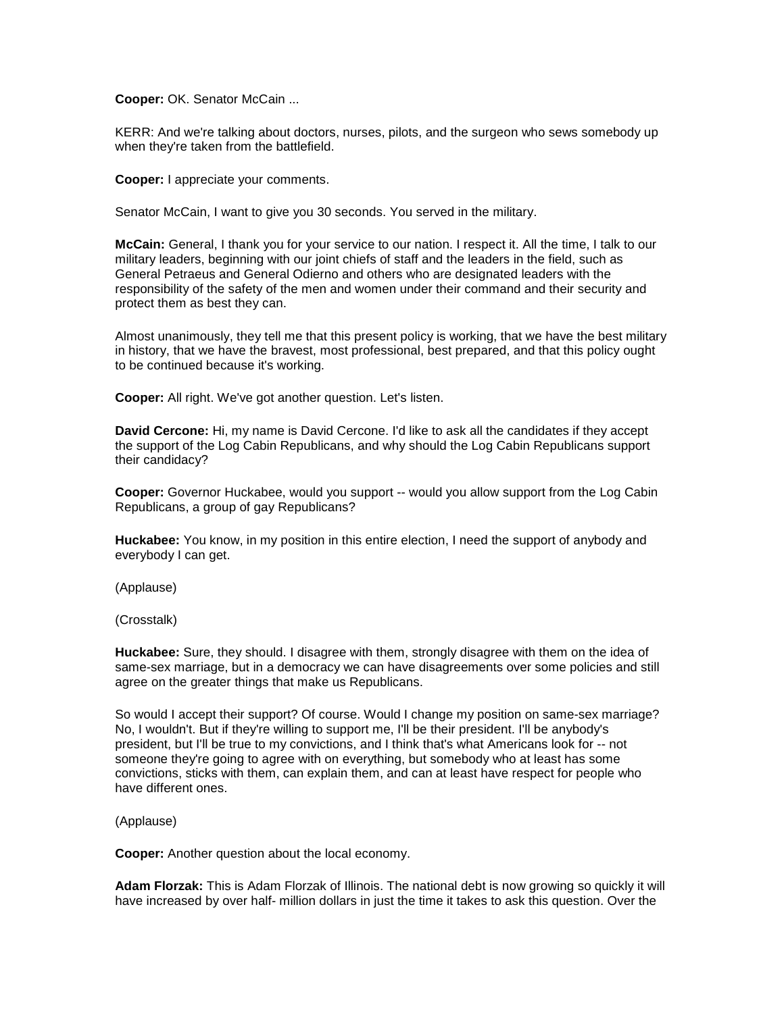**Cooper:** OK. Senator McCain ...

KERR: And we're talking about doctors, nurses, pilots, and the surgeon who sews somebody up when they're taken from the battlefield.

**Cooper:** I appreciate your comments.

Senator McCain, I want to give you 30 seconds. You served in the military.

**McCain:** General, I thank you for your service to our nation. I respect it. All the time, I talk to our military leaders, beginning with our joint chiefs of staff and the leaders in the field, such as General Petraeus and General Odierno and others who are designated leaders with the responsibility of the safety of the men and women under their command and their security and protect them as best they can.

Almost unanimously, they tell me that this present policy is working, that we have the best military in history, that we have the bravest, most professional, best prepared, and that this policy ought to be continued because it's working.

**Cooper:** All right. We've got another question. Let's listen.

**David Cercone:** Hi, my name is David Cercone. I'd like to ask all the candidates if they accept the support of the Log Cabin Republicans, and why should the Log Cabin Republicans support their candidacy?

**Cooper:** Governor Huckabee, would you support -- would you allow support from the Log Cabin Republicans, a group of gay Republicans?

**Huckabee:** You know, in my position in this entire election, I need the support of anybody and everybody I can get.

(Applause)

(Crosstalk)

**Huckabee:** Sure, they should. I disagree with them, strongly disagree with them on the idea of same-sex marriage, but in a democracy we can have disagreements over some policies and still agree on the greater things that make us Republicans.

So would I accept their support? Of course. Would I change my position on same-sex marriage? No, I wouldn't. But if they're willing to support me, I'll be their president. I'll be anybody's president, but I'll be true to my convictions, and I think that's what Americans look for -- not someone they're going to agree with on everything, but somebody who at least has some convictions, sticks with them, can explain them, and can at least have respect for people who have different ones.

(Applause)

**Cooper:** Another question about the local economy.

**Adam Florzak:** This is Adam Florzak of Illinois. The national debt is now growing so quickly it will have increased by over half- million dollars in just the time it takes to ask this question. Over the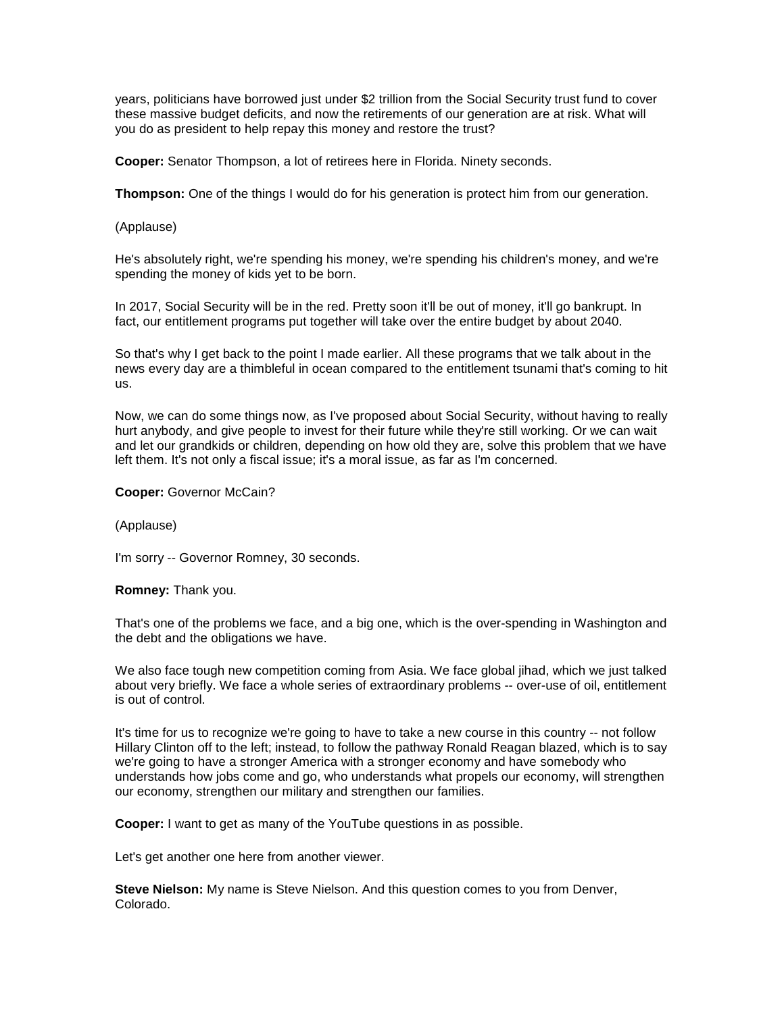years, politicians have borrowed just under \$2 trillion from the Social Security trust fund to cover these massive budget deficits, and now the retirements of our generation are at risk. What will you do as president to help repay this money and restore the trust?

**Cooper:** Senator Thompson, a lot of retirees here in Florida. Ninety seconds.

**Thompson:** One of the things I would do for his generation is protect him from our generation.

## (Applause)

He's absolutely right, we're spending his money, we're spending his children's money, and we're spending the money of kids yet to be born.

In 2017, Social Security will be in the red. Pretty soon it'll be out of money, it'll go bankrupt. In fact, our entitlement programs put together will take over the entire budget by about 2040.

So that's why I get back to the point I made earlier. All these programs that we talk about in the news every day are a thimbleful in ocean compared to the entitlement tsunami that's coming to hit us.

Now, we can do some things now, as I've proposed about Social Security, without having to really hurt anybody, and give people to invest for their future while they're still working. Or we can wait and let our grandkids or children, depending on how old they are, solve this problem that we have left them. It's not only a fiscal issue; it's a moral issue, as far as I'm concerned.

**Cooper:** Governor McCain?

(Applause)

I'm sorry -- Governor Romney, 30 seconds.

**Romney:** Thank you.

That's one of the problems we face, and a big one, which is the over-spending in Washington and the debt and the obligations we have.

We also face tough new competition coming from Asia. We face global jihad, which we just talked about very briefly. We face a whole series of extraordinary problems -- over-use of oil, entitlement is out of control.

It's time for us to recognize we're going to have to take a new course in this country -- not follow Hillary Clinton off to the left; instead, to follow the pathway Ronald Reagan blazed, which is to say we're going to have a stronger America with a stronger economy and have somebody who understands how jobs come and go, who understands what propels our economy, will strengthen our economy, strengthen our military and strengthen our families.

**Cooper:** I want to get as many of the YouTube questions in as possible.

Let's get another one here from another viewer.

**Steve Nielson:** My name is Steve Nielson. And this question comes to you from Denver, Colorado.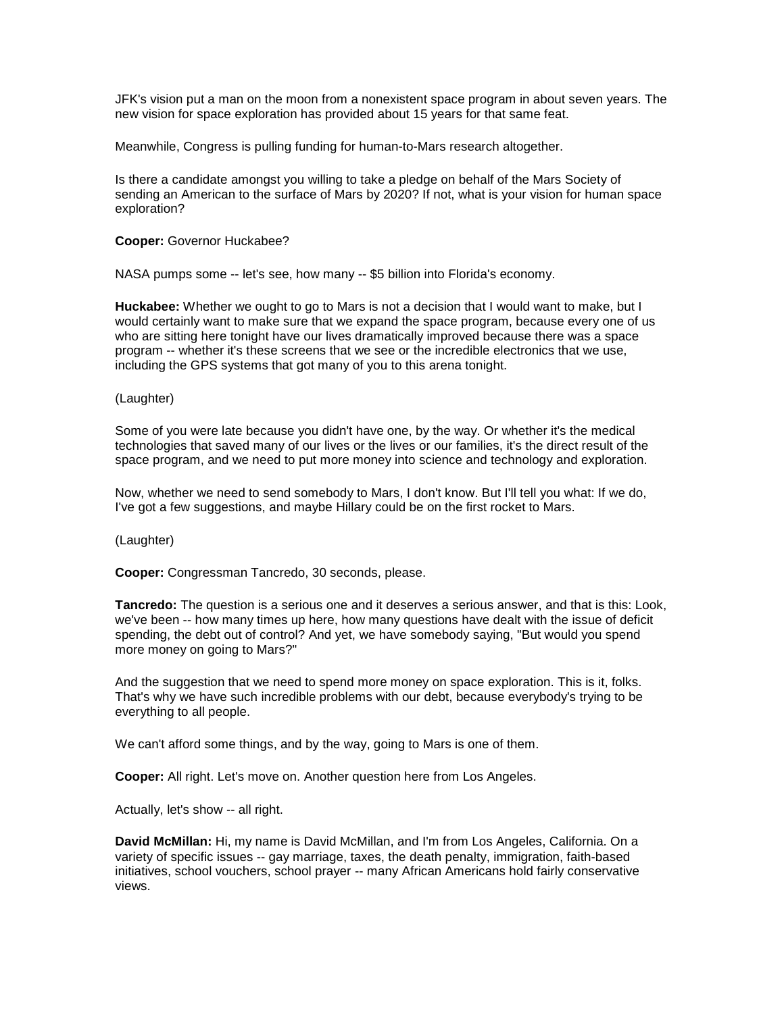JFK's vision put a man on the moon from a nonexistent space program in about seven years. The new vision for space exploration has provided about 15 years for that same feat.

Meanwhile, Congress is pulling funding for human-to-Mars research altogether.

Is there a candidate amongst you willing to take a pledge on behalf of the Mars Society of sending an American to the surface of Mars by 2020? If not, what is your vision for human space exploration?

## **Cooper:** Governor Huckabee?

NASA pumps some -- let's see, how many -- \$5 billion into Florida's economy.

**Huckabee:** Whether we ought to go to Mars is not a decision that I would want to make, but I would certainly want to make sure that we expand the space program, because every one of us who are sitting here tonight have our lives dramatically improved because there was a space program -- whether it's these screens that we see or the incredible electronics that we use, including the GPS systems that got many of you to this arena tonight.

## (Laughter)

Some of you were late because you didn't have one, by the way. Or whether it's the medical technologies that saved many of our lives or the lives or our families, it's the direct result of the space program, and we need to put more money into science and technology and exploration.

Now, whether we need to send somebody to Mars, I don't know. But I'll tell you what: If we do, I've got a few suggestions, and maybe Hillary could be on the first rocket to Mars.

#### (Laughter)

**Cooper:** Congressman Tancredo, 30 seconds, please.

**Tancredo:** The question is a serious one and it deserves a serious answer, and that is this: Look, we've been -- how many times up here, how many questions have dealt with the issue of deficit spending, the debt out of control? And yet, we have somebody saying, "But would you spend more money on going to Mars?"

And the suggestion that we need to spend more money on space exploration. This is it, folks. That's why we have such incredible problems with our debt, because everybody's trying to be everything to all people.

We can't afford some things, and by the way, going to Mars is one of them.

**Cooper:** All right. Let's move on. Another question here from Los Angeles.

Actually, let's show -- all right.

**David McMillan:** Hi, my name is David McMillan, and I'm from Los Angeles, California. On a variety of specific issues -- gay marriage, taxes, the death penalty, immigration, faith-based initiatives, school vouchers, school prayer -- many African Americans hold fairly conservative views.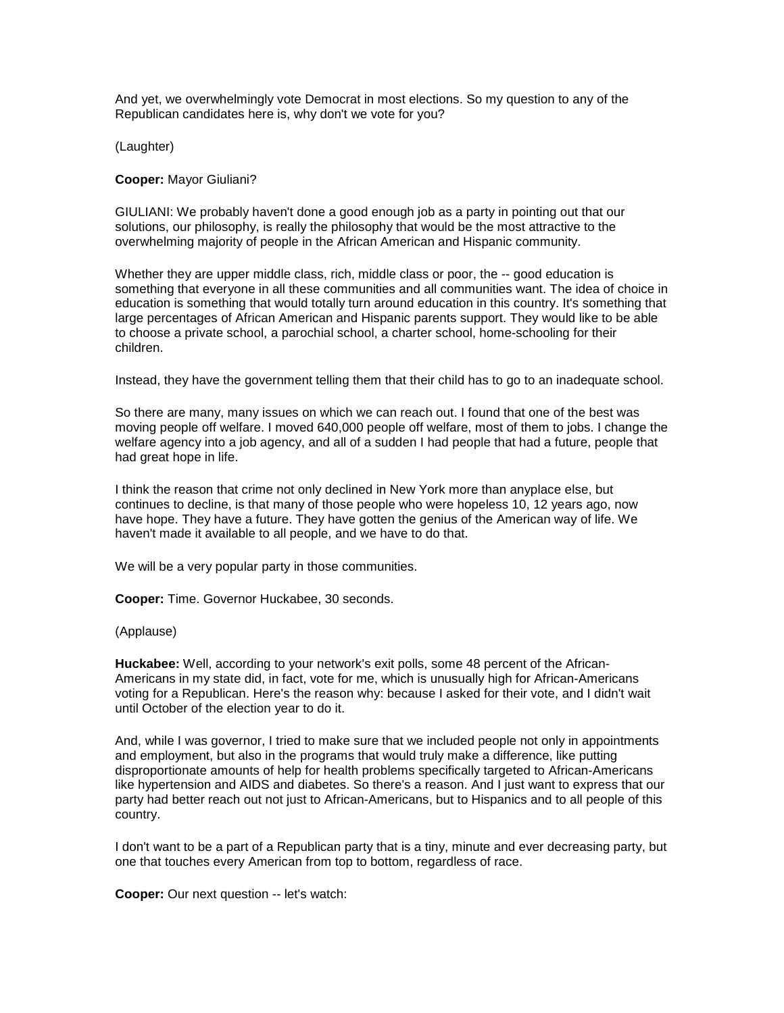And yet, we overwhelmingly vote Democrat in most elections. So my question to any of the Republican candidates here is, why don't we vote for you?

(Laughter)

## **Cooper:** Mayor Giuliani?

GIULIANI: We probably haven't done a good enough job as a party in pointing out that our solutions, our philosophy, is really the philosophy that would be the most attractive to the overwhelming majority of people in the African American and Hispanic community.

Whether they are upper middle class, rich, middle class or poor, the -- good education is something that everyone in all these communities and all communities want. The idea of choice in education is something that would totally turn around education in this country. It's something that large percentages of African American and Hispanic parents support. They would like to be able to choose a private school, a parochial school, a charter school, home-schooling for their children.

Instead, they have the government telling them that their child has to go to an inadequate school.

So there are many, many issues on which we can reach out. I found that one of the best was moving people off welfare. I moved 640,000 people off welfare, most of them to jobs. I change the welfare agency into a job agency, and all of a sudden I had people that had a future, people that had great hope in life.

I think the reason that crime not only declined in New York more than anyplace else, but continues to decline, is that many of those people who were hopeless 10, 12 years ago, now have hope. They have a future. They have gotten the genius of the American way of life. We haven't made it available to all people, and we have to do that.

We will be a very popular party in those communities.

**Cooper:** Time. Governor Huckabee, 30 seconds.

# (Applause)

**Huckabee:** Well, according to your network's exit polls, some 48 percent of the African-Americans in my state did, in fact, vote for me, which is unusually high for African-Americans voting for a Republican. Here's the reason why: because I asked for their vote, and I didn't wait until October of the election year to do it.

And, while I was governor, I tried to make sure that we included people not only in appointments and employment, but also in the programs that would truly make a difference, like putting disproportionate amounts of help for health problems specifically targeted to African-Americans like hypertension and AIDS and diabetes. So there's a reason. And I just want to express that our party had better reach out not just to African-Americans, but to Hispanics and to all people of this country.

I don't want to be a part of a Republican party that is a tiny, minute and ever decreasing party, but one that touches every American from top to bottom, regardless of race.

**Cooper:** Our next question -- let's watch: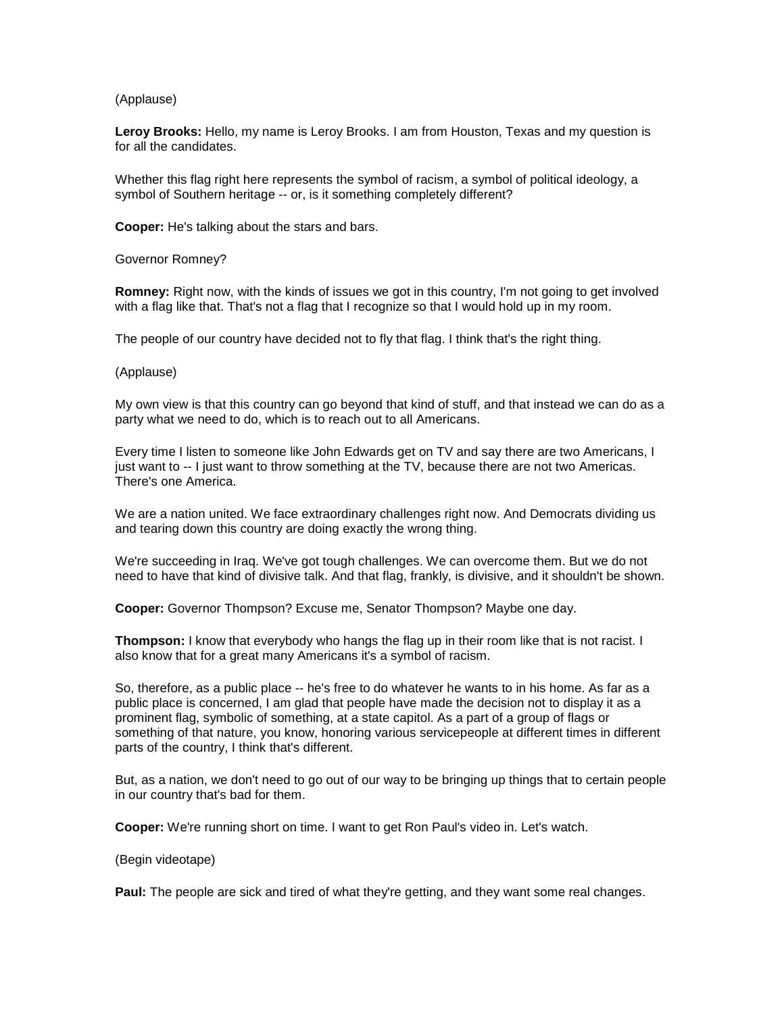## (Applause)

**Leroy Brooks:** Hello, my name is Leroy Brooks. I am from Houston, Texas and my question is for all the candidates.

Whether this flag right here represents the symbol of racism, a symbol of political ideology, a symbol of Southern heritage -- or, is it something completely different?

**Cooper:** He's talking about the stars and bars.

Governor Romney?

**Romney:** Right now, with the kinds of issues we got in this country, I'm not going to get involved with a flag like that. That's not a flag that I recognize so that I would hold up in my room.

The people of our country have decided not to fly that flag. I think that's the right thing.

#### (Applause)

My own view is that this country can go beyond that kind of stuff, and that instead we can do as a party what we need to do, which is to reach out to all Americans.

Every time I listen to someone like John Edwards get on TV and say there are two Americans, I just want to -- I just want to throw something at the TV, because there are not two Americas. There's one America.

We are a nation united. We face extraordinary challenges right now. And Democrats dividing us and tearing down this country are doing exactly the wrong thing.

We're succeeding in Iraq. We've got tough challenges. We can overcome them. But we do not need to have that kind of divisive talk. And that flag, frankly, is divisive, and it shouldn't be shown.

**Cooper:** Governor Thompson? Excuse me, Senator Thompson? Maybe one day.

**Thompson:** I know that everybody who hangs the flag up in their room like that is not racist. I also know that for a great many Americans it's a symbol of racism.

So, therefore, as a public place -- he's free to do whatever he wants to in his home. As far as a public place is concerned, I am glad that people have made the decision not to display it as a prominent flag, symbolic of something, at a state capitol. As a part of a group of flags or something of that nature, you know, honoring various servicepeople at different times in different parts of the country, I think that's different.

But, as a nation, we don't need to go out of our way to be bringing up things that to certain people in our country that's bad for them.

**Cooper:** We're running short on time. I want to get Ron Paul's video in. Let's watch.

#### (Begin videotape)

**Paul:** The people are sick and tired of what they're getting, and they want some real changes.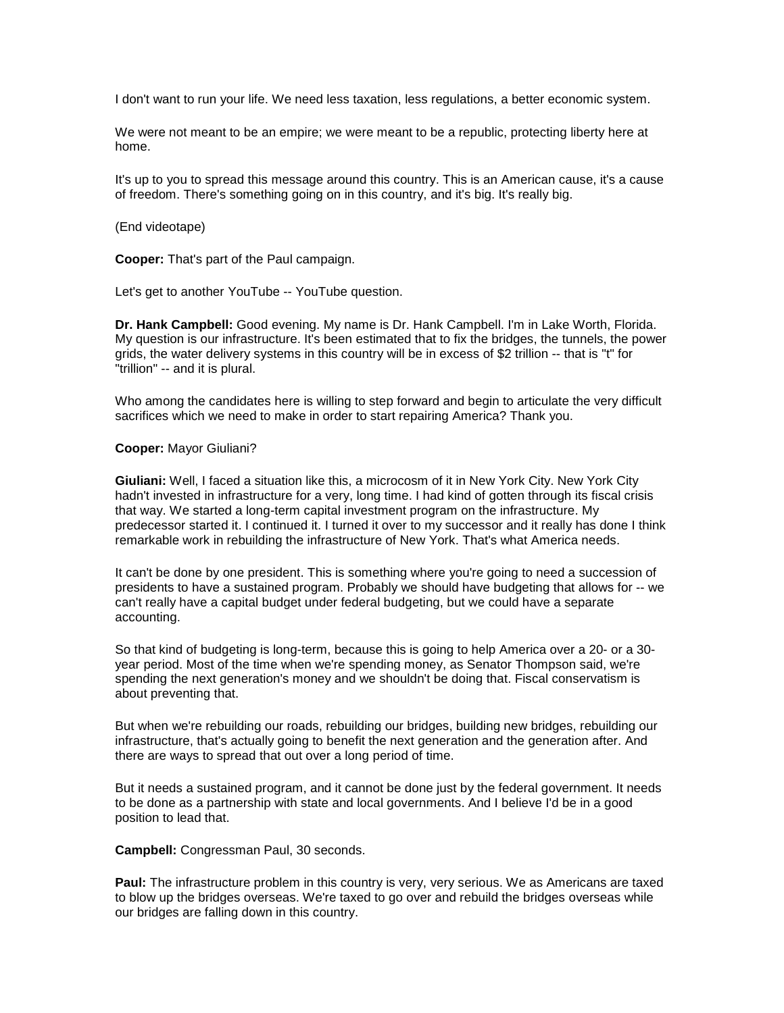I don't want to run your life. We need less taxation, less regulations, a better economic system.

We were not meant to be an empire; we were meant to be a republic, protecting liberty here at home.

It's up to you to spread this message around this country. This is an American cause, it's a cause of freedom. There's something going on in this country, and it's big. It's really big.

(End videotape)

**Cooper:** That's part of the Paul campaign.

Let's get to another YouTube -- YouTube question.

**Dr. Hank Campbell:** Good evening. My name is Dr. Hank Campbell. I'm in Lake Worth, Florida. My question is our infrastructure. It's been estimated that to fix the bridges, the tunnels, the power grids, the water delivery systems in this country will be in excess of \$2 trillion -- that is "t" for "trillion" -- and it is plural.

Who among the candidates here is willing to step forward and begin to articulate the very difficult sacrifices which we need to make in order to start repairing America? Thank you.

#### **Cooper:** Mayor Giuliani?

**Giuliani:** Well, I faced a situation like this, a microcosm of it in New York City. New York City hadn't invested in infrastructure for a very, long time. I had kind of gotten through its fiscal crisis that way. We started a long-term capital investment program on the infrastructure. My predecessor started it. I continued it. I turned it over to my successor and it really has done I think remarkable work in rebuilding the infrastructure of New York. That's what America needs.

It can't be done by one president. This is something where you're going to need a succession of presidents to have a sustained program. Probably we should have budgeting that allows for -- we can't really have a capital budget under federal budgeting, but we could have a separate accounting.

So that kind of budgeting is long-term, because this is going to help America over a 20- or a 30 year period. Most of the time when we're spending money, as Senator Thompson said, we're spending the next generation's money and we shouldn't be doing that. Fiscal conservatism is about preventing that.

But when we're rebuilding our roads, rebuilding our bridges, building new bridges, rebuilding our infrastructure, that's actually going to benefit the next generation and the generation after. And there are ways to spread that out over a long period of time.

But it needs a sustained program, and it cannot be done just by the federal government. It needs to be done as a partnership with state and local governments. And I believe I'd be in a good position to lead that.

## **Campbell:** Congressman Paul, 30 seconds.

**Paul:** The infrastructure problem in this country is very, very serious. We as Americans are taxed to blow up the bridges overseas. We're taxed to go over and rebuild the bridges overseas while our bridges are falling down in this country.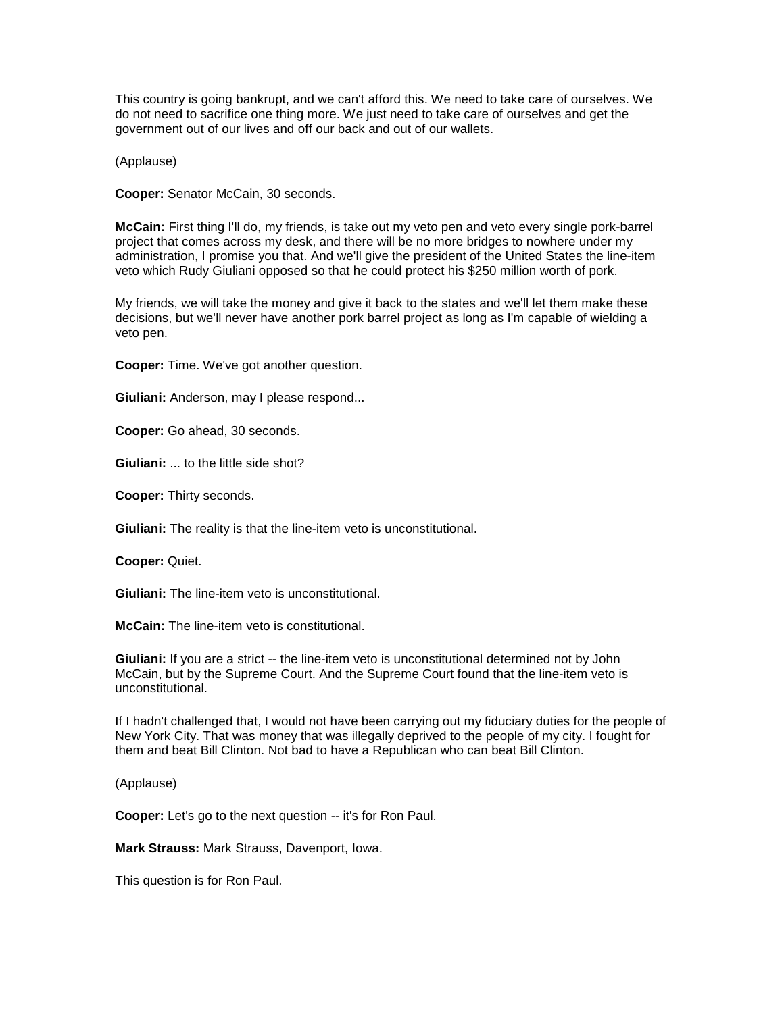This country is going bankrupt, and we can't afford this. We need to take care of ourselves. We do not need to sacrifice one thing more. We just need to take care of ourselves and get the government out of our lives and off our back and out of our wallets.

(Applause)

**Cooper:** Senator McCain, 30 seconds.

**McCain:** First thing I'll do, my friends, is take out my veto pen and veto every single pork-barrel project that comes across my desk, and there will be no more bridges to nowhere under my administration, I promise you that. And we'll give the president of the United States the line-item veto which Rudy Giuliani opposed so that he could protect his \$250 million worth of pork.

My friends, we will take the money and give it back to the states and we'll let them make these decisions, but we'll never have another pork barrel project as long as I'm capable of wielding a veto pen.

**Cooper:** Time. We've got another question.

**Giuliani:** Anderson, may I please respond...

**Cooper:** Go ahead, 30 seconds.

**Giuliani:** ... to the little side shot?

**Cooper:** Thirty seconds.

**Giuliani:** The reality is that the line-item veto is unconstitutional.

**Cooper:** Quiet.

**Giuliani:** The line-item veto is unconstitutional.

**McCain:** The line-item veto is constitutional.

**Giuliani:** If you are a strict -- the line-item veto is unconstitutional determined not by John McCain, but by the Supreme Court. And the Supreme Court found that the line-item veto is unconstitutional.

If I hadn't challenged that, I would not have been carrying out my fiduciary duties for the people of New York City. That was money that was illegally deprived to the people of my city. I fought for them and beat Bill Clinton. Not bad to have a Republican who can beat Bill Clinton.

(Applause)

**Cooper:** Let's go to the next question -- it's for Ron Paul.

**Mark Strauss:** Mark Strauss, Davenport, Iowa.

This question is for Ron Paul.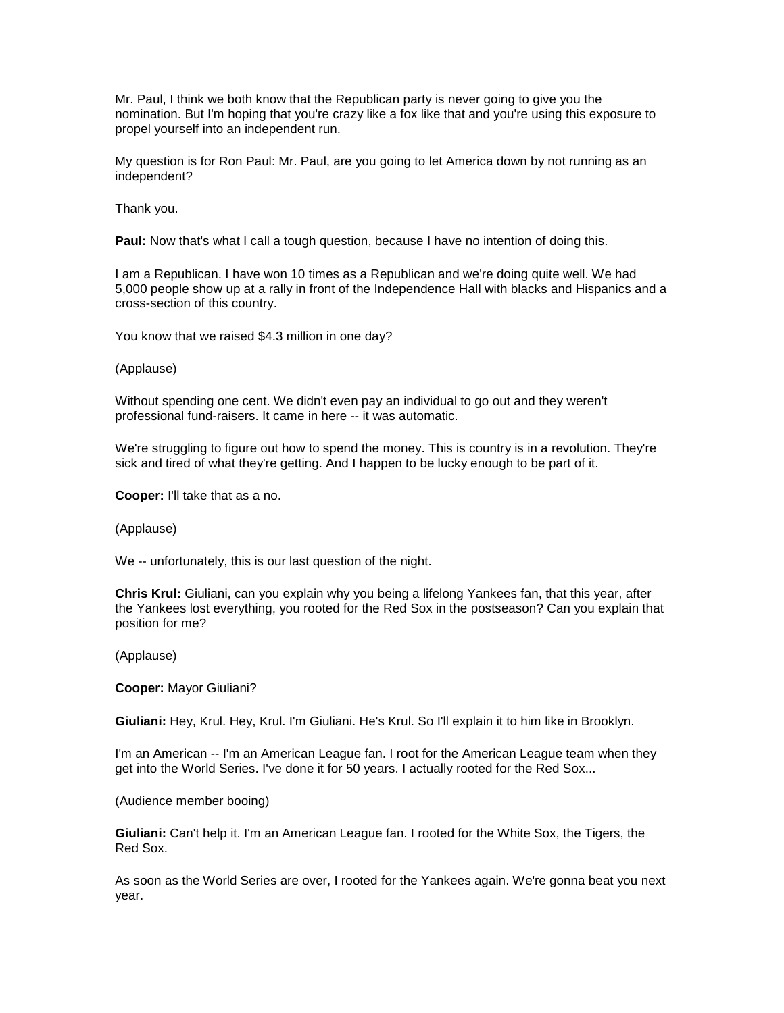Mr. Paul, I think we both know that the Republican party is never going to give you the nomination. But I'm hoping that you're crazy like a fox like that and you're using this exposure to propel yourself into an independent run.

My question is for Ron Paul: Mr. Paul, are you going to let America down by not running as an independent?

Thank you.

**Paul:** Now that's what I call a tough question, because I have no intention of doing this.

I am a Republican. I have won 10 times as a Republican and we're doing quite well. We had 5,000 people show up at a rally in front of the Independence Hall with blacks and Hispanics and a cross-section of this country.

You know that we raised \$4.3 million in one day?

(Applause)

Without spending one cent. We didn't even pay an individual to go out and they weren't professional fund-raisers. It came in here -- it was automatic.

We're struggling to figure out how to spend the money. This is country is in a revolution. They're sick and tired of what they're getting. And I happen to be lucky enough to be part of it.

**Cooper:** I'll take that as a no.

(Applause)

We -- unfortunately, this is our last question of the night.

**Chris Krul:** Giuliani, can you explain why you being a lifelong Yankees fan, that this year, after the Yankees lost everything, you rooted for the Red Sox in the postseason? Can you explain that position for me?

(Applause)

**Cooper:** Mayor Giuliani?

**Giuliani:** Hey, Krul. Hey, Krul. I'm Giuliani. He's Krul. So I'll explain it to him like in Brooklyn.

I'm an American -- I'm an American League fan. I root for the American League team when they get into the World Series. I've done it for 50 years. I actually rooted for the Red Sox...

(Audience member booing)

**Giuliani:** Can't help it. I'm an American League fan. I rooted for the White Sox, the Tigers, the Red Sox.

As soon as the World Series are over, I rooted for the Yankees again. We're gonna beat you next year.